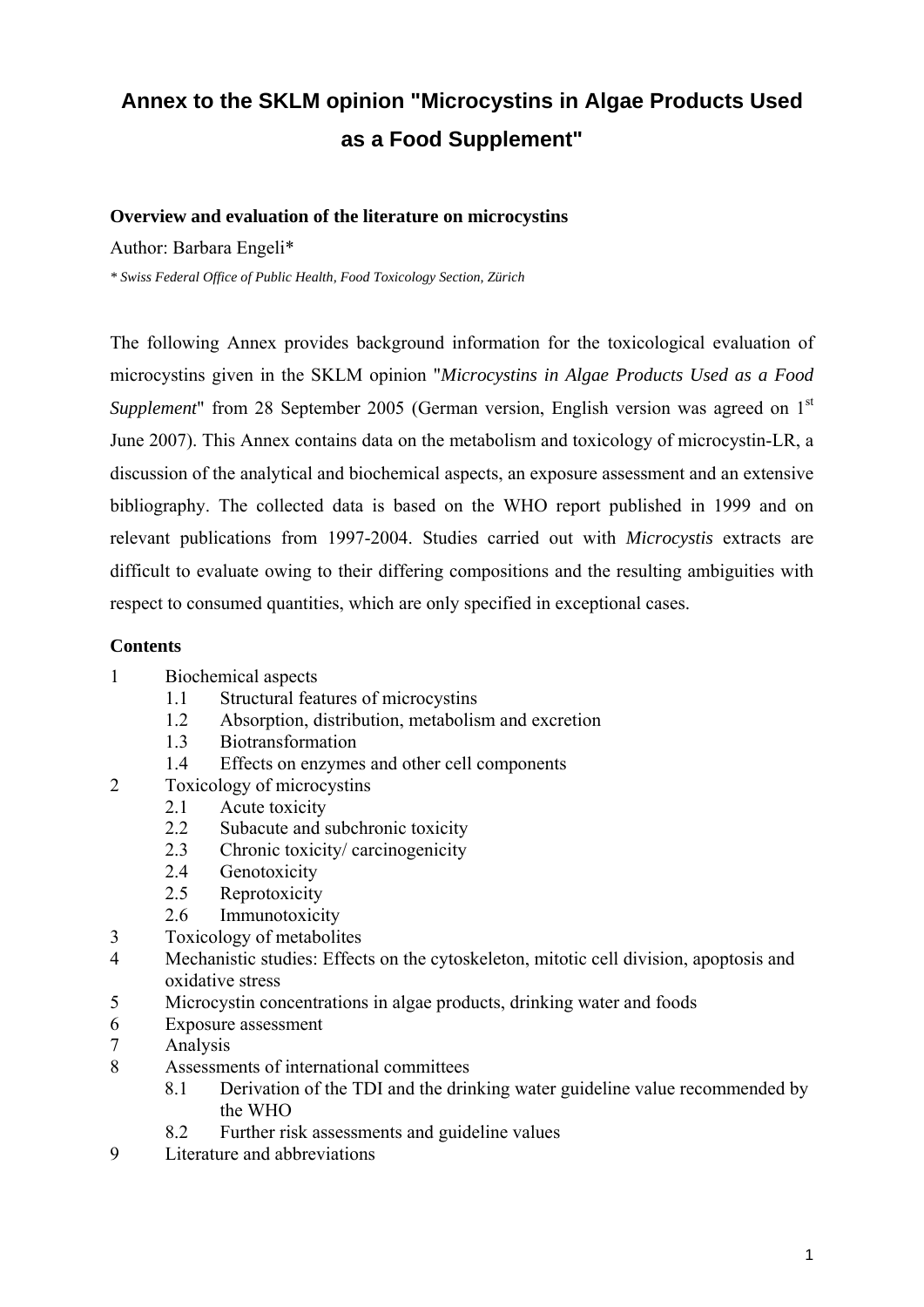# **Annex to the SKLM opinion "Microcystins in Algae Products Used as a Food Supplement"**

## **Overview and evaluation of the literature on microcystins**

Author: Barbara Engeli\*

*\* Swiss Federal Office of Public Health, Food Toxicology Section, Zürich* 

The following Annex provides background information for the toxicological evaluation of microcystins given in the SKLM opinion "*Microcystins in Algae Products Used as a Food Supplement*" from 28 September 2005 (German version, English version was agreed on 1<sup>st</sup> June 2007). This Annex contains data on the metabolism and toxicology of microcystin-LR, a discussion of the analytical and biochemical aspects, an exposure assessment and an extensive bibliography. The collected data is based on the WHO report published in 1999 and on relevant publications from 1997-2004. Studies carried out with *Microcystis* extracts are difficult to evaluate owing to their differing compositions and the resulting ambiguities with respect to consumed quantities, which are only specified in exceptional cases.

## **Contents**

- 1 Biochemical aspects
	- 1.1 Structural features of microcystins
	- 1.2 Absorption, distribution, metabolism and excretion
	- 1.3 Biotransformation
	- 1.4 Effects on enzymes and other cell components
- 2 Toxicology of microcystins
	- 2.1 Acute toxicity
	- 2.2 Subacute and subchronic toxicity
	- 2.3 Chronic toxicity/ carcinogenicity
	- 2.4 Genotoxicity
	- 2.5 Reprotoxicity
	- 2.6 Immunotoxicity
- 3 Toxicology of metabolites
- 4 Mechanistic studies: Effects on the cytoskeleton, mitotic cell division, apoptosis and oxidative stress
- 5 Microcystin concentrations in algae products, drinking water and foods
- 6 Exposure assessment
- 7 Analysis
- 8 Assessments of international committees
	- 8.1 Derivation of the TDI and the drinking water guideline value recommended by the WHO
	- 8.2 Further risk assessments and guideline values
- 9 Literature and abbreviations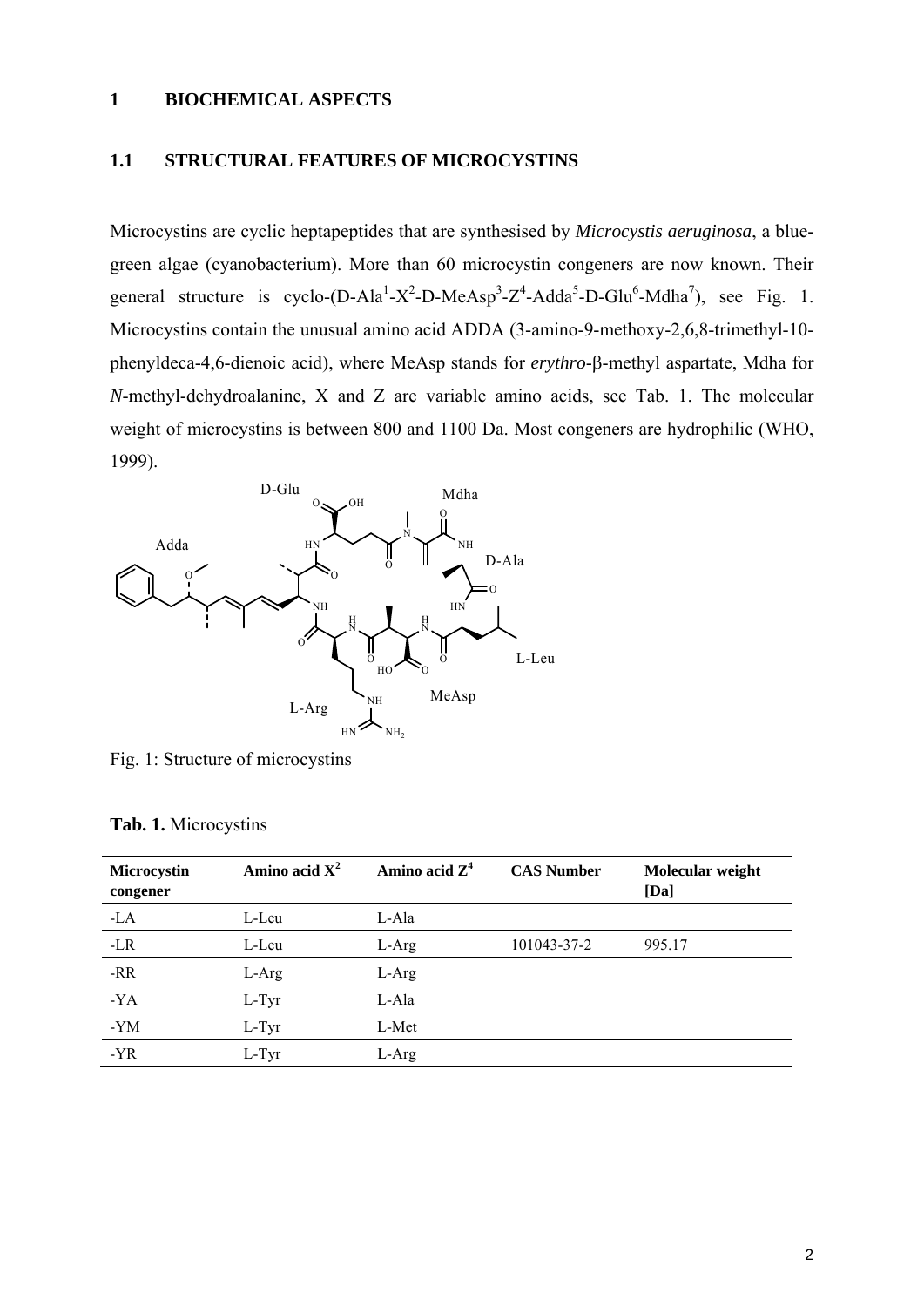## **1 BIOCHEMICAL ASPECTS**

## **1.1 STRUCTURAL FEATURES OF MICROCYSTINS**

Microcystins are cyclic heptapeptides that are synthesised by *Microcystis aeruginosa*, a bluegreen algae (cyanobacterium). More than 60 microcystin congeners are now known. Their general structure is cyclo-(D-Ala<sup>1</sup>-X<sup>2</sup>-D-MeAsp<sup>3</sup>-Z<sup>4</sup>-Adda<sup>5</sup>-D-Glu<sup>6</sup>-Mdha<sup>7</sup>), see Fig. 1. Microcystins contain the unusual amino acid ADDA (3-amino-9-methoxy-2,6,8-trimethyl-10 phenyldeca-4,6-dienoic acid), where MeAsp stands for *erythro*-β-methyl aspartate, Mdha for *N*-methyl-dehydroalanine, X and Z are variable amino acids, see Tab. 1. The molecular weight of microcystins is between 800 and 1100 Da. Most congeners are hydrophilic (WHO, 1999).



Fig. 1: Structure of microcystins

| Microcystin<br>congener | Amino acid $X^2$ | Amino acid $Z^4$ | <b>CAS Number</b> | Molecular weight<br>[Da] |
|-------------------------|------------------|------------------|-------------------|--------------------------|
| $-LA$                   | L-Leu            | L-Ala            |                   |                          |
| $-LR$                   | L-Leu            | $L-Arg$          | 101043-37-2       | 995.17                   |
| $-RR$                   | L-Arg            | L-Arg            |                   |                          |
| $-YA$                   | L-Tyr            | L-Ala            |                   |                          |
| $-YM$                   | L-Tyr            | L-Met            |                   |                          |
| $-YR$                   | $L-Tyr$          | $L$ -Arg         |                   |                          |
|                         |                  |                  |                   |                          |

## **Tab. 1.** Microcystins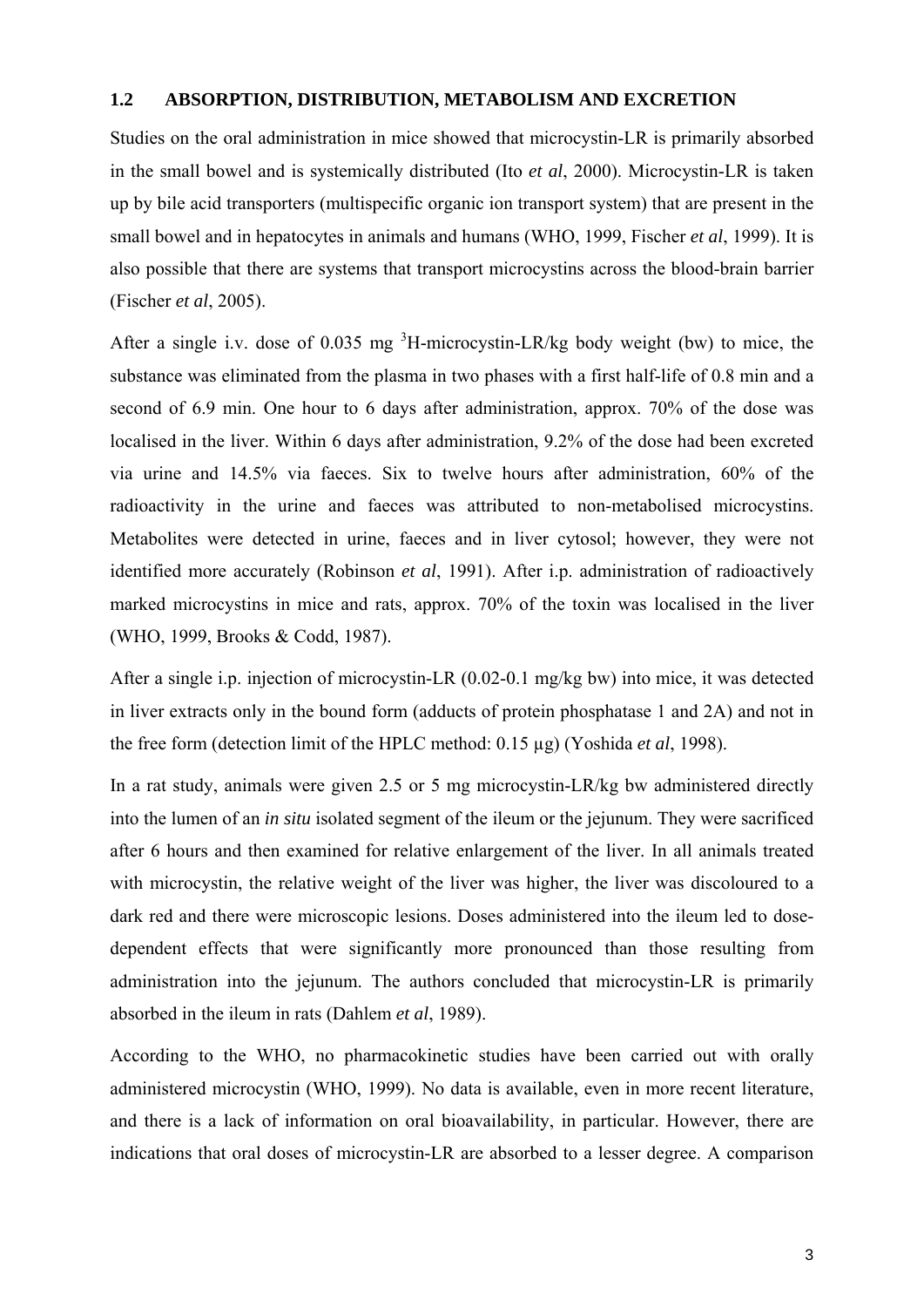## **1.2 ABSORPTION, DISTRIBUTION, METABOLISM AND EXCRETION**

Studies on the oral administration in mice showed that microcystin-LR is primarily absorbed in the small bowel and is systemically distributed (Ito *et al*, 2000). Microcystin-LR is taken up by bile acid transporters (multispecific organic ion transport system) that are present in the small bowel and in hepatocytes in animals and humans (WHO, 1999, Fischer *et al*, 1999). It is also possible that there are systems that transport microcystins across the blood-brain barrier (Fischer *et al*, 2005).

After a single i.v. dose of 0.035 mg  ${}^{3}$ H-microcystin-LR/kg body weight (bw) to mice, the substance was eliminated from the plasma in two phases with a first half-life of 0.8 min and a second of 6.9 min. One hour to 6 days after administration, approx. 70% of the dose was localised in the liver. Within 6 days after administration, 9.2% of the dose had been excreted via urine and 14.5% via faeces. Six to twelve hours after administration, 60% of the radioactivity in the urine and faeces was attributed to non-metabolised microcystins. Metabolites were detected in urine, faeces and in liver cytosol; however, they were not identified more accurately (Robinson *et al*, 1991). After i.p. administration of radioactively marked microcystins in mice and rats, approx. 70% of the toxin was localised in the liver (WHO, 1999, Brooks & Codd, 1987).

After a single i.p. injection of microcystin-LR (0.02-0.1 mg/kg bw) into mice, it was detected in liver extracts only in the bound form (adducts of protein phosphatase 1 and 2A) and not in the free form (detection limit of the HPLC method: 0.15 µg) (Yoshida *et al*, 1998).

In a rat study, animals were given 2.5 or 5 mg microcystin-LR/kg bw administered directly into the lumen of an *in situ* isolated segment of the ileum or the jejunum. They were sacrificed after 6 hours and then examined for relative enlargement of the liver. In all animals treated with microcystin, the relative weight of the liver was higher, the liver was discoloured to a dark red and there were microscopic lesions. Doses administered into the ileum led to dosedependent effects that were significantly more pronounced than those resulting from administration into the jejunum. The authors concluded that microcystin-LR is primarily absorbed in the ileum in rats (Dahlem *et al*, 1989).

According to the WHO, no pharmacokinetic studies have been carried out with orally administered microcystin (WHO, 1999). No data is available, even in more recent literature, and there is a lack of information on oral bioavailability, in particular. However, there are indications that oral doses of microcystin-LR are absorbed to a lesser degree. A comparison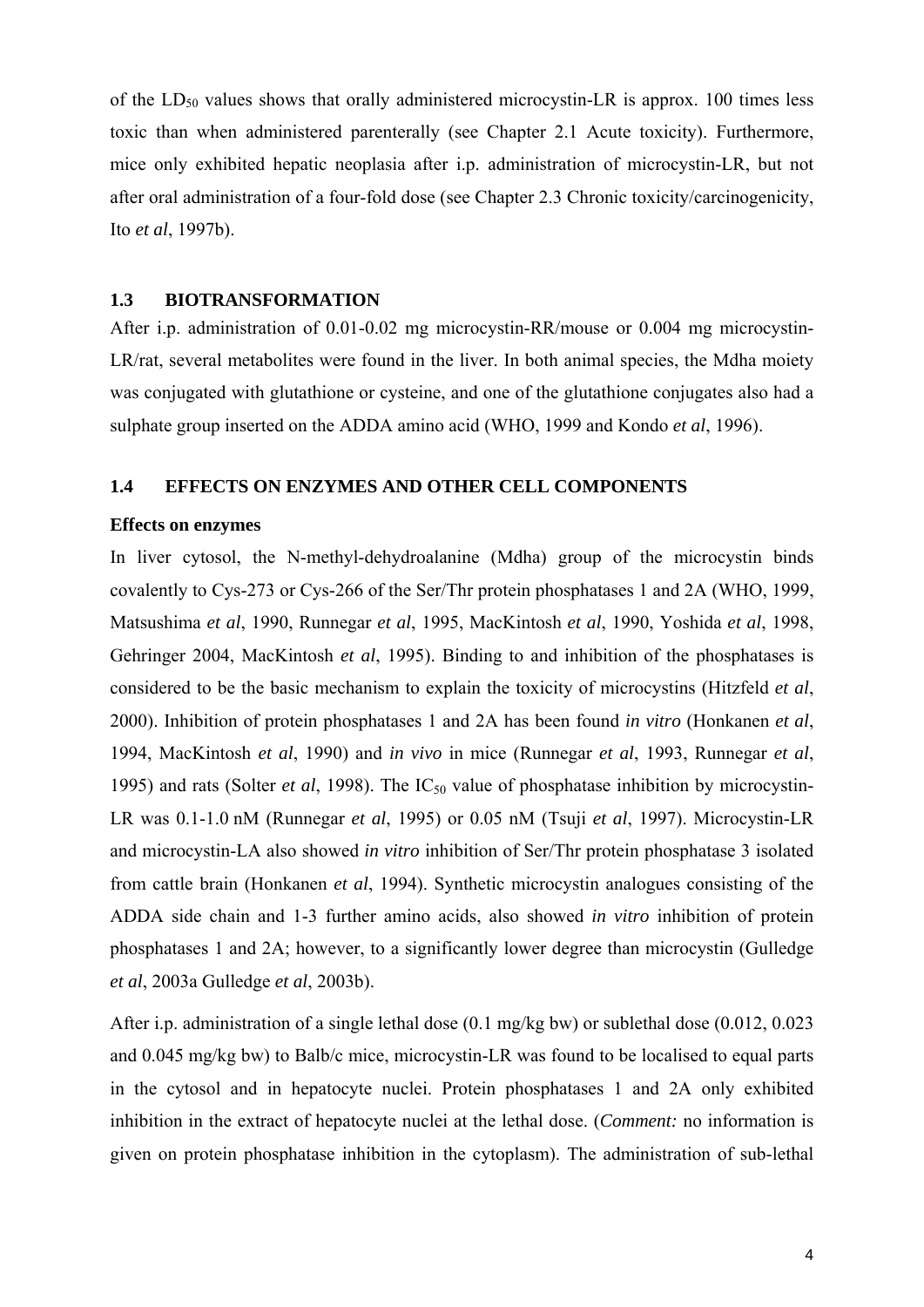of the  $LD_{50}$  values shows that orally administered microcystin-LR is approx. 100 times less toxic than when administered parenterally (see Chapter 2.1 Acute toxicity). Furthermore, mice only exhibited hepatic neoplasia after i.p. administration of microcystin-LR, but not after oral administration of a four-fold dose (see Chapter 2.3 Chronic toxicity/carcinogenicity, Ito *et al*, 1997b).

## **1.3 BIOTRANSFORMATION**

After i.p. administration of 0.01-0.02 mg microcystin-RR/mouse or 0.004 mg microcystin-LR/rat, several metabolites were found in the liver. In both animal species, the Mdha moiety was conjugated with glutathione or cysteine, and one of the glutathione conjugates also had a sulphate group inserted on the ADDA amino acid (WHO, 1999 and Kondo *et al*, 1996).

## **1.4 EFFECTS ON ENZYMES AND OTHER CELL COMPONENTS**

#### **Effects on enzymes**

In liver cytosol, the N-methyl-dehydroalanine (Mdha) group of the microcystin binds covalently to Cys-273 or Cys-266 of the Ser/Thr protein phosphatases 1 and 2A (WHO, 1999, Matsushima *et al*, 1990, Runnegar *et al*, 1995, MacKintosh *et al*, 1990, Yoshida *et al*, 1998, Gehringer 2004, MacKintosh *et al*, 1995). Binding to and inhibition of the phosphatases is considered to be the basic mechanism to explain the toxicity of microcystins (Hitzfeld *et al*, 2000). Inhibition of protein phosphatases 1 and 2A has been found *in vitro* (Honkanen *et al*, 1994, MacKintosh *et al*, 1990) and *in vivo* in mice (Runnegar *et al*, 1993, Runnegar *et al*, 1995) and rats (Solter *et al.* 1998). The IC<sub>50</sub> value of phosphatase inhibition by microcystin-LR was 0.1-1.0 nM (Runnegar *et al*, 1995) or 0.05 nM (Tsuji *et al*, 1997). Microcystin-LR and microcystin-LA also showed *in vitro* inhibition of Ser/Thr protein phosphatase 3 isolated from cattle brain (Honkanen *et al*, 1994). Synthetic microcystin analogues consisting of the ADDA side chain and 1-3 further amino acids, also showed *in vitro* inhibition of protein phosphatases 1 and 2A; however, to a significantly lower degree than microcystin (Gulledge *et al*, 2003a Gulledge *et al*, 2003b).

After i.p. administration of a single lethal dose (0.1 mg/kg bw) or sublethal dose (0.012, 0.023 and 0.045 mg/kg bw) to Balb/c mice, microcystin-LR was found to be localised to equal parts in the cytosol and in hepatocyte nuclei. Protein phosphatases 1 and 2A only exhibited inhibition in the extract of hepatocyte nuclei at the lethal dose. (*Comment:* no information is given on protein phosphatase inhibition in the cytoplasm). The administration of sub-lethal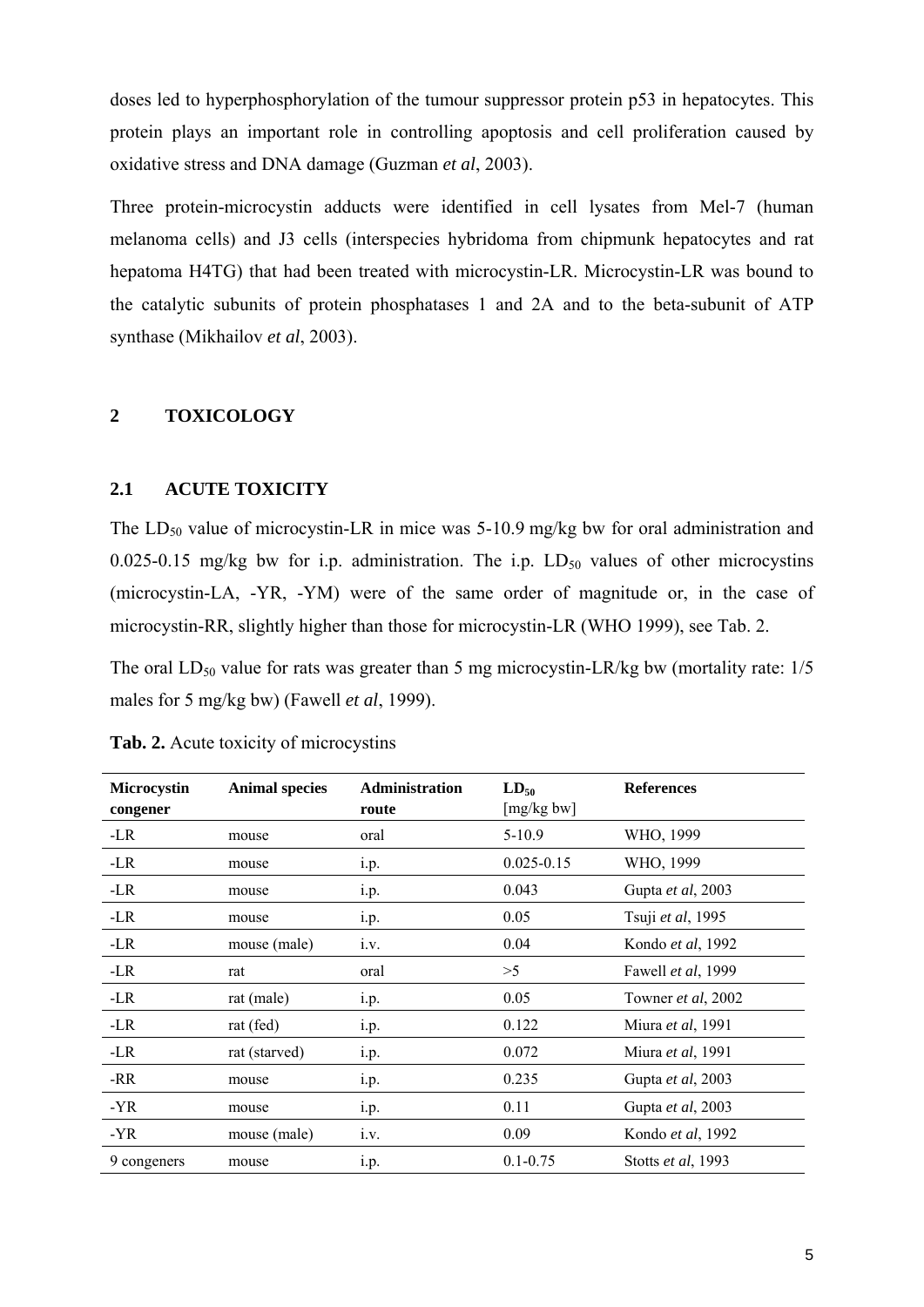doses led to hyperphosphorylation of the tumour suppressor protein p53 in hepatocytes. This protein plays an important role in controlling apoptosis and cell proliferation caused by oxidative stress and DNA damage (Guzman *et al*, 2003).

Three protein-microcystin adducts were identified in cell lysates from Mel-7 (human melanoma cells) and J3 cells (interspecies hybridoma from chipmunk hepatocytes and rat hepatoma H4TG) that had been treated with microcystin-LR. Microcystin-LR was bound to the catalytic subunits of protein phosphatases 1 and 2A and to the beta-subunit of ATP synthase (Mikhailov *et al*, 2003).

## **2 TOXICOLOGY**

## **2.1 ACUTE TOXICITY**

The  $LD_{50}$  value of microcystin-LR in mice was 5-10.9 mg/kg bw for oral administration and 0.025-0.15 mg/kg bw for i.p. administration. The i.p.  $LD_{50}$  values of other microcystins (microcystin-LA, -YR, -YM) were of the same order of magnitude or, in the case of microcystin-RR, slightly higher than those for microcystin-LR (WHO 1999), see Tab. 2.

The oral  $LD_{50}$  value for rats was greater than 5 mg microcystin-LR/kg bw (mortality rate:  $1/5$ males for 5 mg/kg bw) (Fawell *et al*, 1999).

| <b>Microcystin</b><br>congener | <b>Animal species</b> | <b>Administration</b><br>route | $LD_{50}$<br>[mg/kg bw] | <b>References</b>         |
|--------------------------------|-----------------------|--------------------------------|-------------------------|---------------------------|
| -LR                            | mouse                 | oral                           | $5 - 10.9$              | WHO, 1999                 |
| $-LR$                          | mouse                 | i.p.                           | $0.025 - 0.15$          | WHO, 1999                 |
| -LR                            | mouse                 | i.p.                           | 0.043                   | Gupta et al, 2003         |
| -LR                            | mouse                 | i.p.                           | 0.05                    | Tsuji et al, 1995         |
| -LR                            | mouse (male)          | i.v.                           | 0.04                    | Kondo <i>et al</i> , 1992 |
| -LR                            | rat                   | oral                           | >5                      | Fawell et al, 1999        |
| -LR                            | rat (male)            | i.p.                           | 0.05                    | Towner et al, 2002        |
| -LR                            | rat (fed)             | i.p.                           | 0.122                   | Miura et al, 1991         |
| $-LR$                          | rat (starved)         | i.p.                           | 0.072                   | Miura et al, 1991         |
| -RR                            | mouse                 | 1.p.                           | 0.235                   | Gupta et al, 2003         |
| $-YR$                          | mouse                 | i.p.                           | 0.11                    | Gupta et al, 2003         |
| -YR                            | mouse (male)          | 1.V.                           | 0.09                    | Kondo et al, 1992         |
| 9 congeners                    | mouse                 | i.p.                           | $0.1 - 0.75$            | Stotts et al, 1993        |

**Tab. 2.** Acute toxicity of microcystins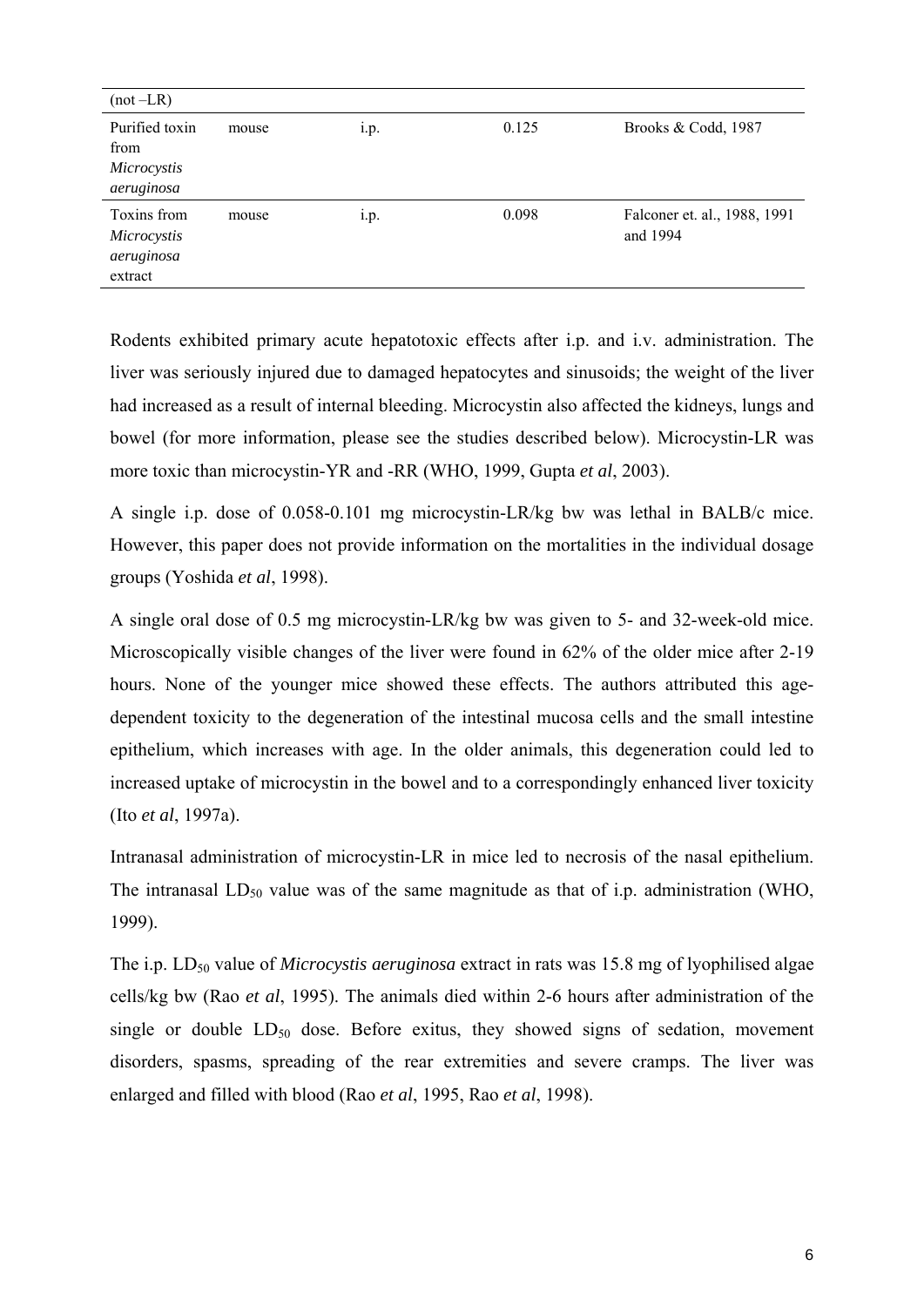| $(not - LR)$                                        |       |      |       |                                          |
|-----------------------------------------------------|-------|------|-------|------------------------------------------|
| Purified toxin<br>from<br>Microcystis<br>aeruginosa | mouse | 1.p. | 0.125 | Brooks & Codd, 1987                      |
| Toxins from<br>Microcystis<br>aeruginosa<br>extract | mouse | 1.p. | 0.098 | Falconer et. al., 1988, 1991<br>and 1994 |

Rodents exhibited primary acute hepatotoxic effects after i.p. and i.v. administration. The liver was seriously injured due to damaged hepatocytes and sinusoids; the weight of the liver had increased as a result of internal bleeding. Microcystin also affected the kidneys, lungs and bowel (for more information, please see the studies described below). Microcystin-LR was more toxic than microcystin-YR and -RR (WHO, 1999, Gupta *et al*, 2003).

A single i.p. dose of 0.058-0.101 mg microcystin-LR/kg bw was lethal in BALB/c mice. However, this paper does not provide information on the mortalities in the individual dosage groups (Yoshida *et al*, 1998).

A single oral dose of 0.5 mg microcystin-LR/kg bw was given to 5- and 32-week-old mice. Microscopically visible changes of the liver were found in 62% of the older mice after 2-19 hours. None of the younger mice showed these effects. The authors attributed this agedependent toxicity to the degeneration of the intestinal mucosa cells and the small intestine epithelium, which increases with age. In the older animals, this degeneration could led to increased uptake of microcystin in the bowel and to a correspondingly enhanced liver toxicity (Ito *et al*, 1997a).

Intranasal administration of microcystin-LR in mice led to necrosis of the nasal epithelium. The intranasal  $LD_{50}$  value was of the same magnitude as that of i.p. administration (WHO, 1999).

The i.p. LD<sub>50</sub> value of *Microcystis aeruginosa* extract in rats was 15.8 mg of lyophilised algae cells/kg bw (Rao *et al*, 1995). The animals died within 2-6 hours after administration of the single or double  $LD_{50}$  dose. Before exitus, they showed signs of sedation, movement disorders, spasms, spreading of the rear extremities and severe cramps. The liver was enlarged and filled with blood (Rao *et al*, 1995, Rao *et al*, 1998).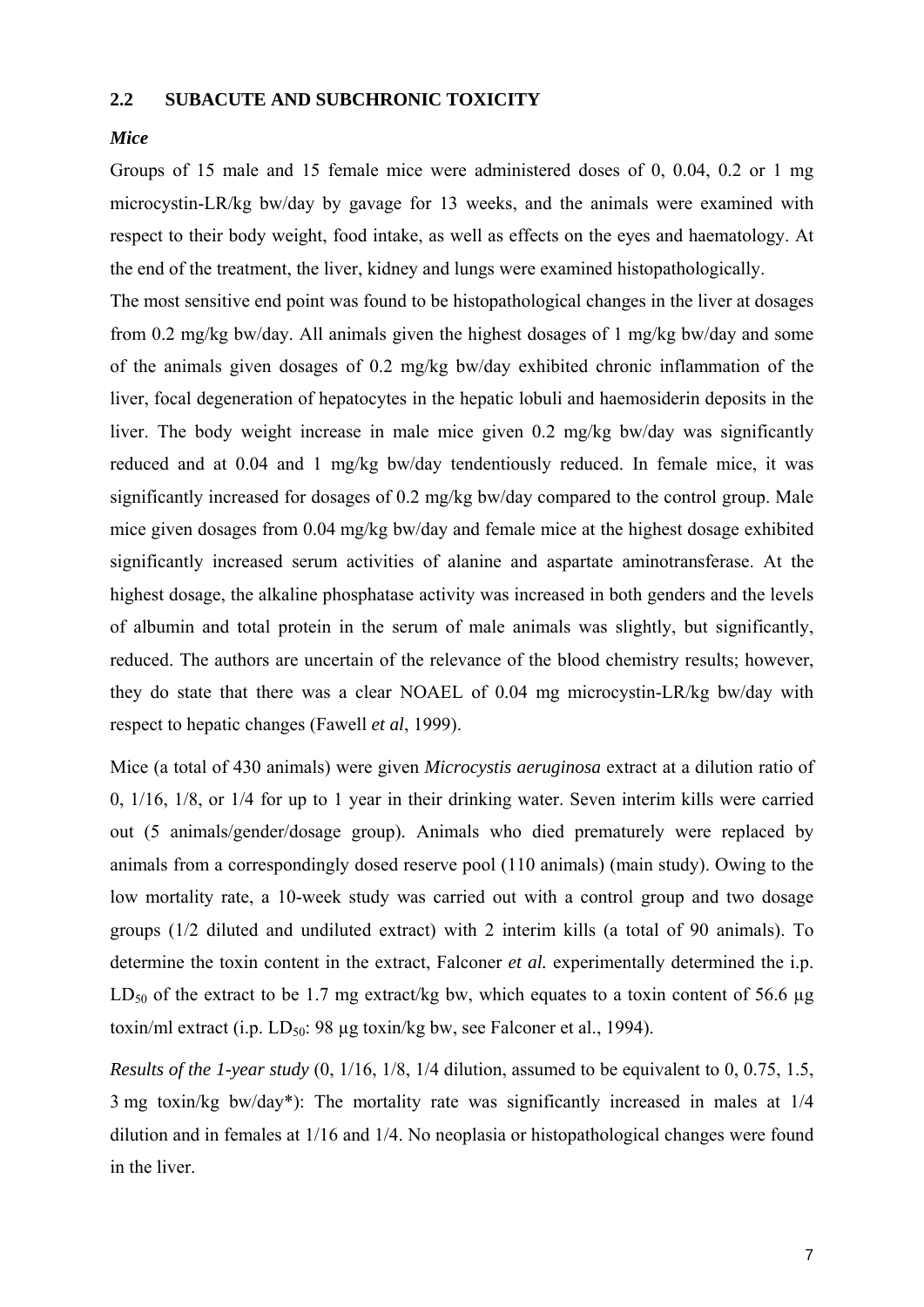## **2.2 SUBACUTE AND SUBCHRONIC TOXICITY**

## *Mice*

Groups of 15 male and 15 female mice were administered doses of 0, 0.04, 0.2 or 1 mg microcystin-LR/kg bw/day by gavage for 13 weeks, and the animals were examined with respect to their body weight, food intake, as well as effects on the eyes and haematology. At the end of the treatment, the liver, kidney and lungs were examined histopathologically.

The most sensitive end point was found to be histopathological changes in the liver at dosages from 0.2 mg/kg bw/day. All animals given the highest dosages of 1 mg/kg bw/day and some of the animals given dosages of 0.2 mg/kg bw/day exhibited chronic inflammation of the liver, focal degeneration of hepatocytes in the hepatic lobuli and haemosiderin deposits in the liver. The body weight increase in male mice given 0.2 mg/kg bw/day was significantly reduced and at 0.04 and 1 mg/kg bw/day tendentiously reduced. In female mice, it was significantly increased for dosages of 0.2 mg/kg bw/day compared to the control group. Male mice given dosages from 0.04 mg/kg bw/day and female mice at the highest dosage exhibited significantly increased serum activities of alanine and aspartate aminotransferase. At the highest dosage, the alkaline phosphatase activity was increased in both genders and the levels of albumin and total protein in the serum of male animals was slightly, but significantly, reduced. The authors are uncertain of the relevance of the blood chemistry results; however, they do state that there was a clear NOAEL of 0.04 mg microcystin-LR/kg bw/day with respect to hepatic changes (Fawell *et al*, 1999).

Mice (a total of 430 animals) were given *Microcystis aeruginosa* extract at a dilution ratio of 0, 1/16, 1/8, or 1/4 for up to 1 year in their drinking water. Seven interim kills were carried out (5 animals/gender/dosage group). Animals who died prematurely were replaced by animals from a correspondingly dosed reserve pool (110 animals) (main study). Owing to the low mortality rate, a 10-week study was carried out with a control group and two dosage groups (1/2 diluted and undiluted extract) with 2 interim kills (a total of 90 animals). To determine the toxin content in the extract, Falconer *et al.* experimentally determined the i.p. LD<sub>50</sub> of the extract to be 1.7 mg extract/kg bw, which equates to a toxin content of 56.6 µg toxin/ml extract (i.p. LD<sub>50</sub>: 98 µg toxin/kg bw, see Falconer et al., 1994).

*Results of the 1-year study* (0, 1/16, 1/8, 1/4 dilution, assumed to be equivalent to 0, 0.75, 1.5, 3 mg toxin/kg bw/day\*): The mortality rate was significantly increased in males at 1/4 dilution and in females at 1/16 and 1/4. No neoplasia or histopathological changes were found in the liver.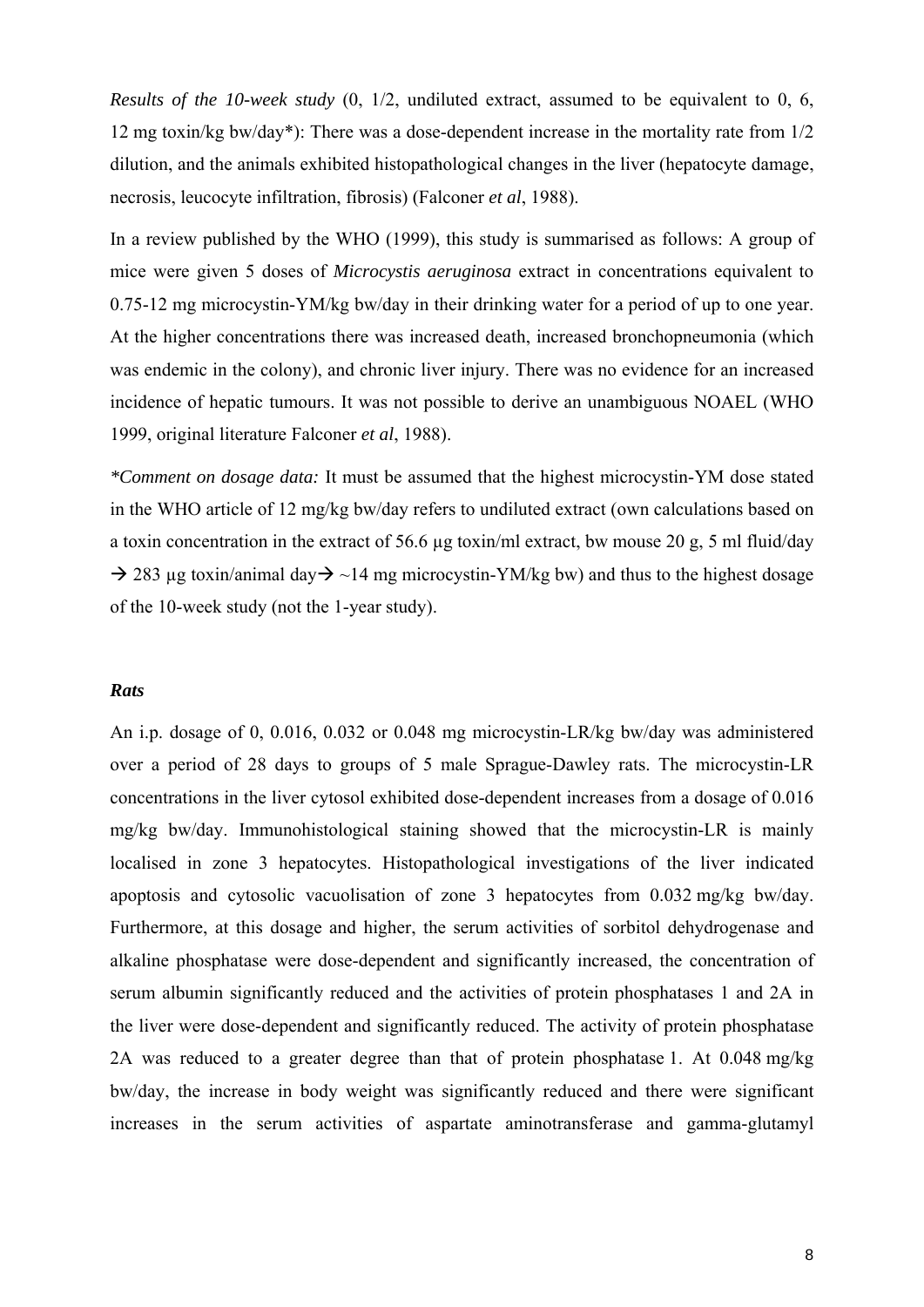*Results of the 10-week study* (0, 1/2, undiluted extract, assumed to be equivalent to 0, 6, 12 mg toxin/kg bw/day\*): There was a dose-dependent increase in the mortality rate from 1/2 dilution, and the animals exhibited histopathological changes in the liver (hepatocyte damage, necrosis, leucocyte infiltration, fibrosis) (Falconer *et al*, 1988).

In a review published by the WHO (1999), this study is summarised as follows: A group of mice were given 5 doses of *Microcystis aeruginosa* extract in concentrations equivalent to 0.75-12 mg microcystin-YM/kg bw/day in their drinking water for a period of up to one year. At the higher concentrations there was increased death, increased bronchopneumonia (which was endemic in the colony), and chronic liver injury. There was no evidence for an increased incidence of hepatic tumours. It was not possible to derive an unambiguous NOAEL (WHO 1999, original literature Falconer *et al*, 1988).

*\*Comment on dosage data:* It must be assumed that the highest microcystin-YM dose stated in the WHO article of 12 mg/kg bw/day refers to undiluted extract (own calculations based on a toxin concentration in the extract of 56.6 µg toxin/ml extract, bw mouse 20 g, 5 ml fluid/day  $\rightarrow$  283 ug toxin/animal day $\rightarrow$  ~14 mg microcystin-YM/kg bw) and thus to the highest dosage of the 10-week study (not the 1-year study).

## *Rats*

An i.p. dosage of 0, 0.016, 0.032 or 0.048 mg microcystin-LR/kg bw/day was administered over a period of 28 days to groups of 5 male Sprague-Dawley rats. The microcystin-LR concentrations in the liver cytosol exhibited dose-dependent increases from a dosage of 0.016 mg/kg bw/day. Immunohistological staining showed that the microcystin-LR is mainly localised in zone 3 hepatocytes. Histopathological investigations of the liver indicated apoptosis and cytosolic vacuolisation of zone 3 hepatocytes from 0.032 mg/kg bw/day. Furthermore, at this dosage and higher, the serum activities of sorbitol dehydrogenase and alkaline phosphatase were dose-dependent and significantly increased, the concentration of serum albumin significantly reduced and the activities of protein phosphatases 1 and 2A in the liver were dose-dependent and significantly reduced. The activity of protein phosphatase 2A was reduced to a greater degree than that of protein phosphatase 1. At 0.048 mg/kg bw/day, the increase in body weight was significantly reduced and there were significant increases in the serum activities of aspartate aminotransferase and gamma-glutamyl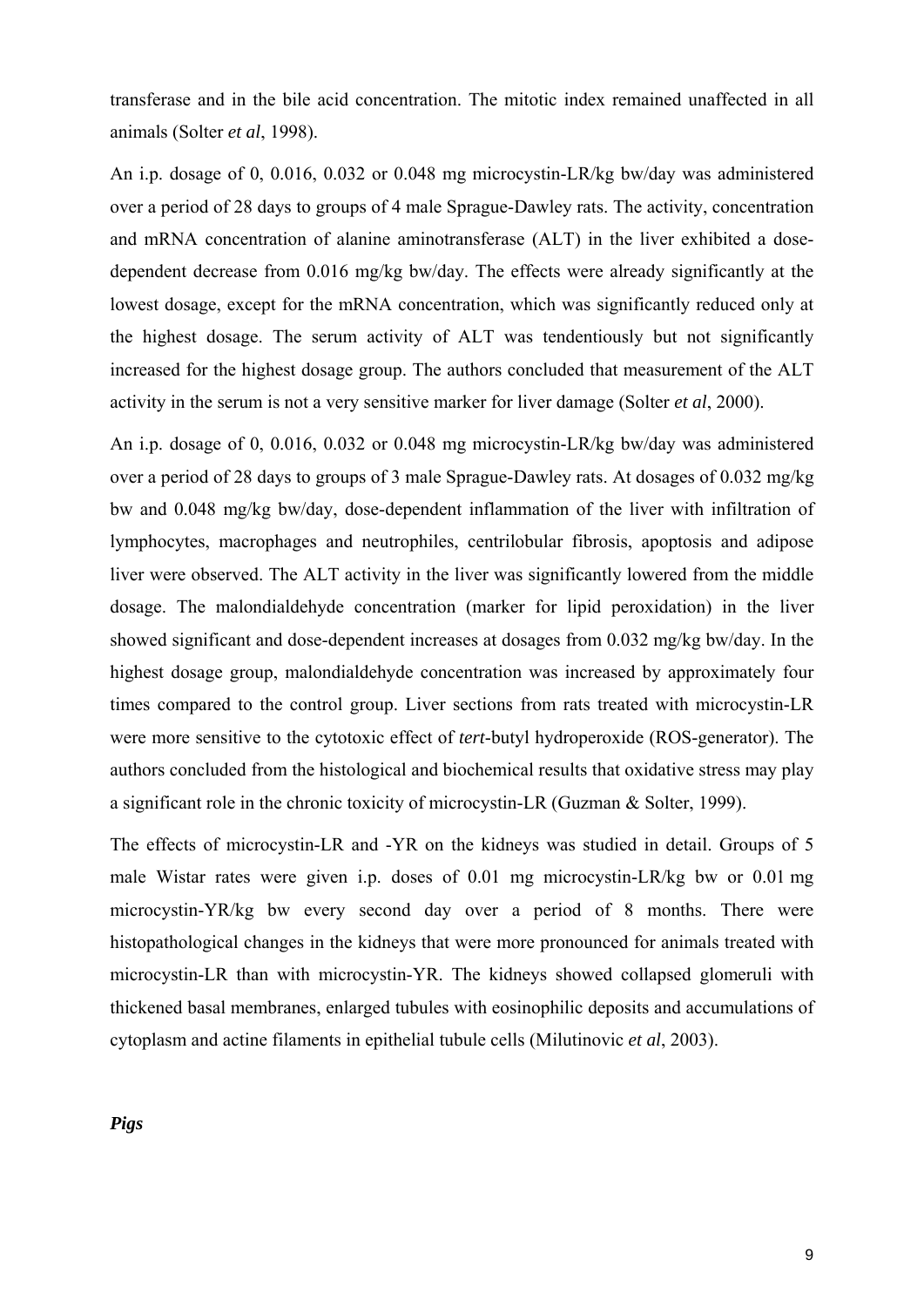transferase and in the bile acid concentration. The mitotic index remained unaffected in all animals (Solter *et al*, 1998).

An i.p. dosage of 0, 0.016, 0.032 or 0.048 mg microcystin-LR/kg bw/day was administered over a period of 28 days to groups of 4 male Sprague-Dawley rats. The activity, concentration and mRNA concentration of alanine aminotransferase (ALT) in the liver exhibited a dosedependent decrease from 0.016 mg/kg bw/day. The effects were already significantly at the lowest dosage, except for the mRNA concentration, which was significantly reduced only at the highest dosage. The serum activity of ALT was tendentiously but not significantly increased for the highest dosage group. The authors concluded that measurement of the ALT activity in the serum is not a very sensitive marker for liver damage (Solter *et al*, 2000).

An i.p. dosage of 0, 0.016, 0.032 or 0.048 mg microcystin-LR/kg bw/day was administered over a period of 28 days to groups of 3 male Sprague-Dawley rats. At dosages of 0.032 mg/kg bw and 0.048 mg/kg bw/day, dose-dependent inflammation of the liver with infiltration of lymphocytes, macrophages and neutrophiles, centrilobular fibrosis, apoptosis and adipose liver were observed. The ALT activity in the liver was significantly lowered from the middle dosage. The malondialdehyde concentration (marker for lipid peroxidation) in the liver showed significant and dose-dependent increases at dosages from 0.032 mg/kg bw/day. In the highest dosage group, malondialdehyde concentration was increased by approximately four times compared to the control group. Liver sections from rats treated with microcystin-LR were more sensitive to the cytotoxic effect of *tert*-butyl hydroperoxide (ROS-generator). The authors concluded from the histological and biochemical results that oxidative stress may play a significant role in the chronic toxicity of microcystin-LR (Guzman & Solter, 1999).

The effects of microcystin-LR and -YR on the kidneys was studied in detail. Groups of 5 male Wistar rates were given i.p. doses of 0.01 mg microcystin-LR/kg bw or 0.01 mg microcystin-YR/kg bw every second day over a period of 8 months. There were histopathological changes in the kidneys that were more pronounced for animals treated with microcystin-LR than with microcystin-YR. The kidneys showed collapsed glomeruli with thickened basal membranes, enlarged tubules with eosinophilic deposits and accumulations of cytoplasm and actine filaments in epithelial tubule cells (Milutinovic *et al*, 2003).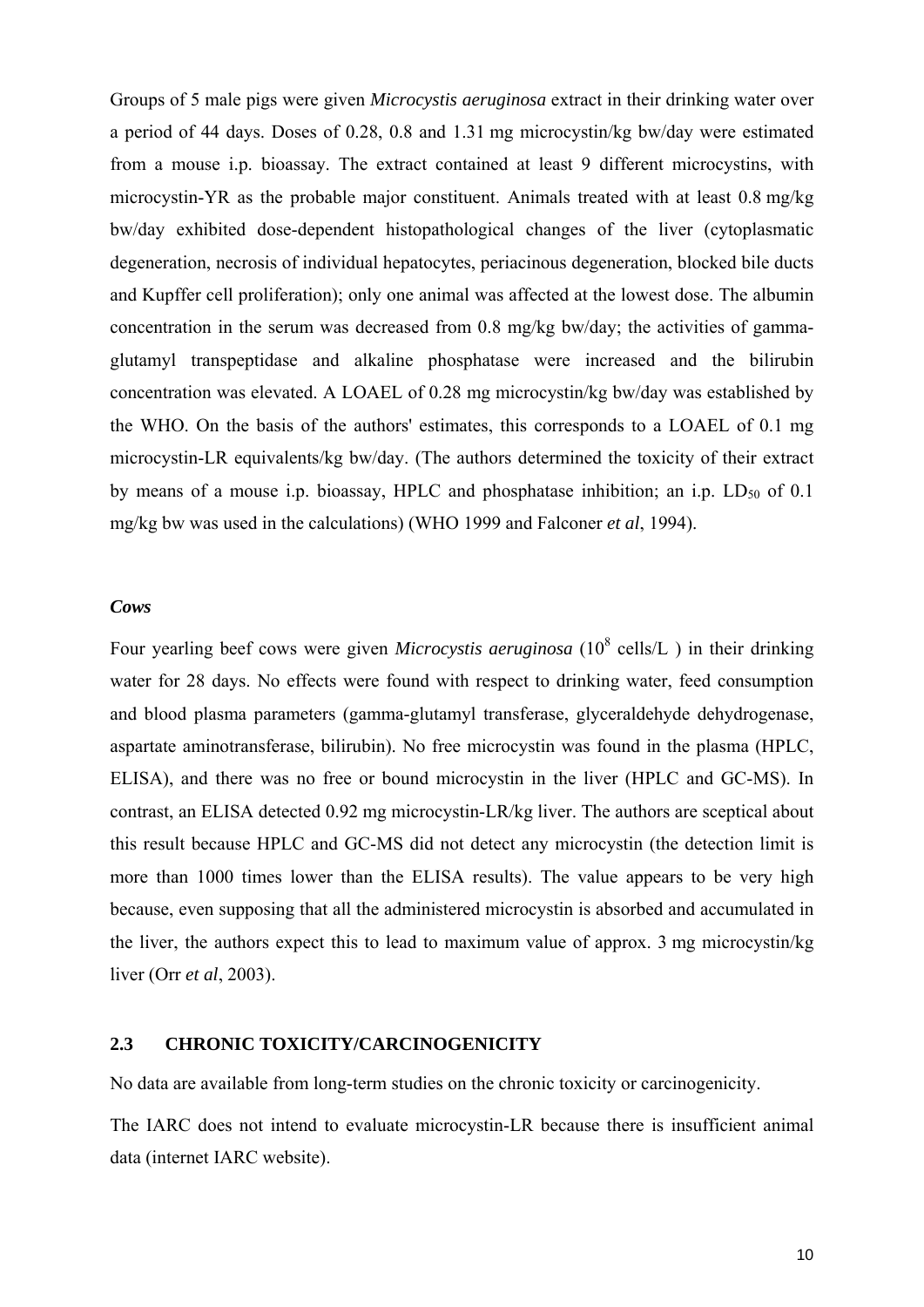Groups of 5 male pigs were given *Microcystis aeruginosa* extract in their drinking water over a period of 44 days. Doses of 0.28, 0.8 and 1.31 mg microcystin/kg bw/day were estimated from a mouse i.p. bioassay. The extract contained at least 9 different microcystins, with microcystin-YR as the probable major constituent. Animals treated with at least 0.8 mg/kg bw/day exhibited dose-dependent histopathological changes of the liver (cytoplasmatic degeneration, necrosis of individual hepatocytes, periacinous degeneration, blocked bile ducts and Kupffer cell proliferation); only one animal was affected at the lowest dose. The albumin concentration in the serum was decreased from 0.8 mg/kg bw/day; the activities of gammaglutamyl transpeptidase and alkaline phosphatase were increased and the bilirubin concentration was elevated. A LOAEL of 0.28 mg microcystin/kg bw/day was established by the WHO. On the basis of the authors' estimates, this corresponds to a LOAEL of 0.1 mg microcystin-LR equivalents/kg bw/day. (The authors determined the toxicity of their extract by means of a mouse i.p. bioassay, HPLC and phosphatase inhibition; an i.p.  $LD_{50}$  of 0.1 mg/kg bw was used in the calculations) (WHO 1999 and Falconer *et al*, 1994).

## *Cows*

Four yearling beef cows were given *Microcystis aeruginosa* (10<sup>8</sup> cells/L) in their drinking water for 28 days. No effects were found with respect to drinking water, feed consumption and blood plasma parameters (gamma-glutamyl transferase, glyceraldehyde dehydrogenase, aspartate aminotransferase, bilirubin). No free microcystin was found in the plasma (HPLC, ELISA), and there was no free or bound microcystin in the liver (HPLC and GC-MS). In contrast, an ELISA detected 0.92 mg microcystin-LR/kg liver. The authors are sceptical about this result because HPLC and GC-MS did not detect any microcystin (the detection limit is more than 1000 times lower than the ELISA results). The value appears to be very high because, even supposing that all the administered microcystin is absorbed and accumulated in the liver, the authors expect this to lead to maximum value of approx. 3 mg microcystin/kg liver (Orr *et al*, 2003).

## **2.3 CHRONIC TOXICITY/CARCINOGENICITY**

No data are available from long-term studies on the chronic toxicity or carcinogenicity.

The IARC does not intend to evaluate microcystin-LR because there is insufficient animal data (internet IARC website).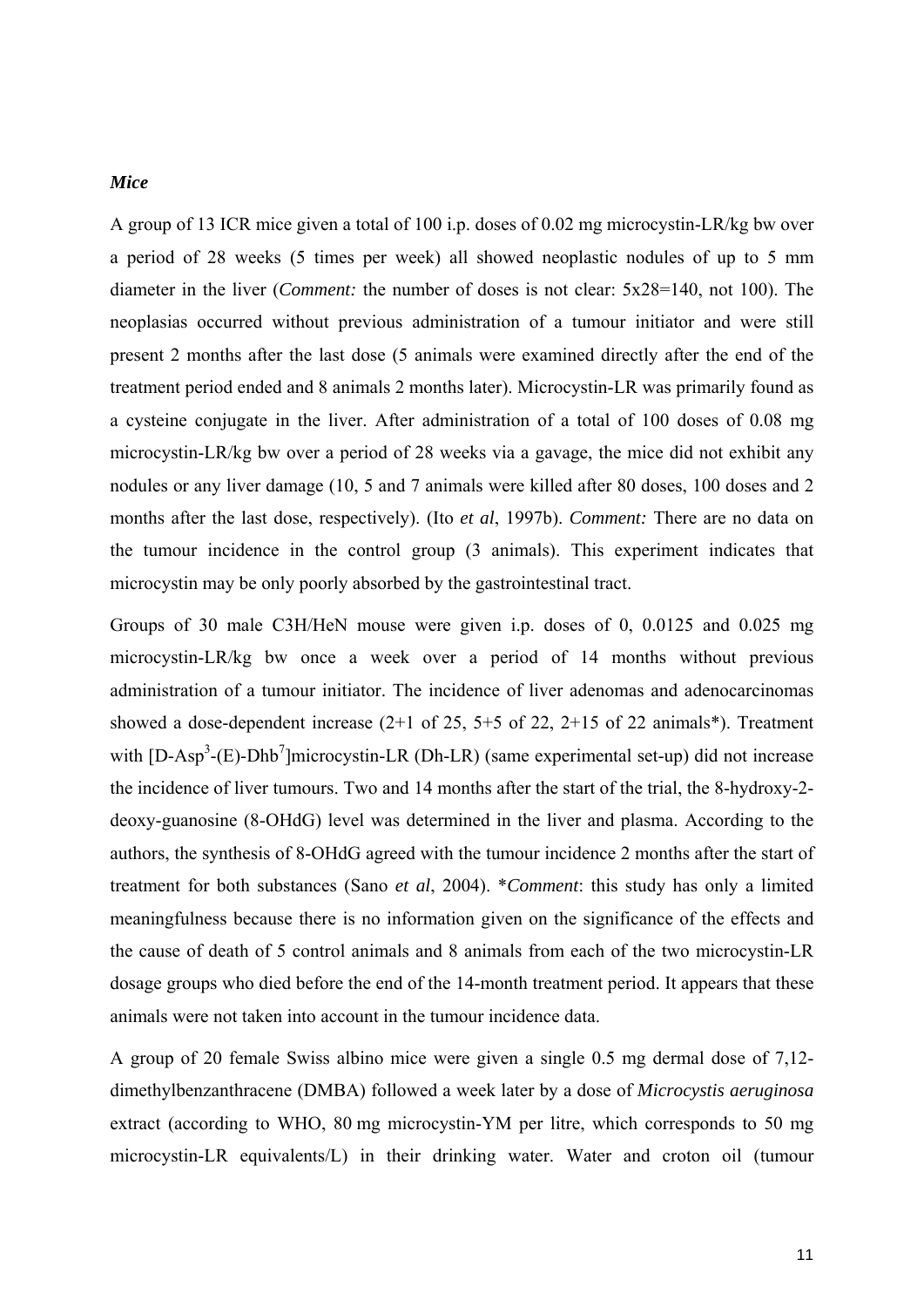### *Mice*

A group of 13 ICR mice given a total of 100 i.p. doses of 0.02 mg microcystin-LR/kg bw over a period of 28 weeks (5 times per week) all showed neoplastic nodules of up to 5 mm diameter in the liver (*Comment:* the number of doses is not clear: 5x28=140, not 100). The neoplasias occurred without previous administration of a tumour initiator and were still present 2 months after the last dose (5 animals were examined directly after the end of the treatment period ended and 8 animals 2 months later). Microcystin-LR was primarily found as a cysteine conjugate in the liver. After administration of a total of 100 doses of 0.08 mg microcystin-LR/kg bw over a period of 28 weeks via a gavage, the mice did not exhibit any nodules or any liver damage (10, 5 and 7 animals were killed after 80 doses, 100 doses and 2 months after the last dose, respectively). (Ito *et al*, 1997b). *Comment:* There are no data on the tumour incidence in the control group (3 animals). This experiment indicates that microcystin may be only poorly absorbed by the gastrointestinal tract.

Groups of 30 male C3H/HeN mouse were given i.p. doses of 0, 0.0125 and 0.025 mg microcystin-LR/kg bw once a week over a period of 14 months without previous administration of a tumour initiator. The incidence of liver adenomas and adenocarcinomas showed a dose-dependent increase  $(2+1)$  of 25, 5+5 of 22, 2+15 of 22 animals\*). Treatment with  $[D-Asp^3-(E)-Dhb^7]$ microcystin-LR (Dh-LR) (same experimental set-up) did not increase the incidence of liver tumours. Two and 14 months after the start of the trial, the 8-hydroxy-2 deoxy-guanosine (8-OHdG) level was determined in the liver and plasma. According to the authors, the synthesis of 8-OHdG agreed with the tumour incidence 2 months after the start of treatment for both substances (Sano *et al*, 2004). \**Comment*: this study has only a limited meaningfulness because there is no information given on the significance of the effects and the cause of death of 5 control animals and 8 animals from each of the two microcystin-LR dosage groups who died before the end of the 14-month treatment period. It appears that these animals were not taken into account in the tumour incidence data.

A group of 20 female Swiss albino mice were given a single 0.5 mg dermal dose of 7,12 dimethylbenzanthracene (DMBA) followed a week later by a dose of *Microcystis aeruginosa* extract (according to WHO, 80 mg microcystin-YM per litre, which corresponds to 50 mg microcystin-LR equivalents/L) in their drinking water. Water and croton oil (tumour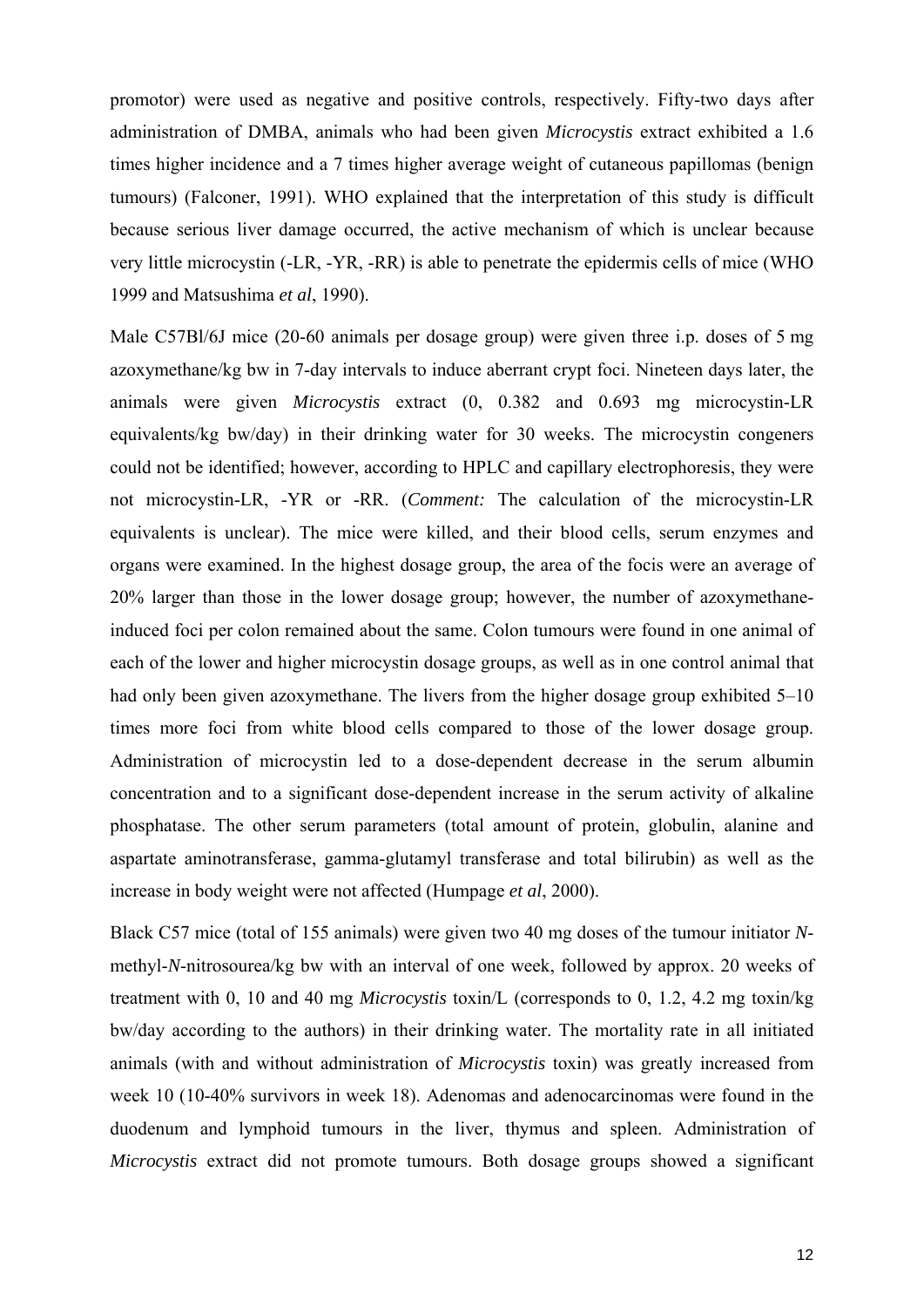promotor) were used as negative and positive controls, respectively. Fifty-two days after administration of DMBA, animals who had been given *Microcystis* extract exhibited a 1.6 times higher incidence and a 7 times higher average weight of cutaneous papillomas (benign tumours) (Falconer, 1991). WHO explained that the interpretation of this study is difficult because serious liver damage occurred, the active mechanism of which is unclear because very little microcystin (-LR, -YR, -RR) is able to penetrate the epidermis cells of mice (WHO 1999 and Matsushima *et al*, 1990).

Male C57Bl/6J mice (20-60 animals per dosage group) were given three i.p. doses of 5 mg azoxymethane/kg bw in 7-day intervals to induce aberrant crypt foci. Nineteen days later, the animals were given *Microcystis* extract (0, 0.382 and 0.693 mg microcystin-LR equivalents/kg bw/day) in their drinking water for 30 weeks. The microcystin congeners could not be identified; however, according to HPLC and capillary electrophoresis, they were not microcystin-LR, -YR or -RR. (*Comment:* The calculation of the microcystin-LR equivalents is unclear). The mice were killed, and their blood cells, serum enzymes and organs were examined. In the highest dosage group, the area of the focis were an average of 20% larger than those in the lower dosage group; however, the number of azoxymethaneinduced foci per colon remained about the same. Colon tumours were found in one animal of each of the lower and higher microcystin dosage groups, as well as in one control animal that had only been given azoxymethane. The livers from the higher dosage group exhibited 5–10 times more foci from white blood cells compared to those of the lower dosage group. Administration of microcystin led to a dose-dependent decrease in the serum albumin concentration and to a significant dose-dependent increase in the serum activity of alkaline phosphatase. The other serum parameters (total amount of protein, globulin, alanine and aspartate aminotransferase, gamma-glutamyl transferase and total bilirubin) as well as the increase in body weight were not affected (Humpage *et al*, 2000).

Black C57 mice (total of 155 animals) were given two 40 mg doses of the tumour initiator *N*methyl-*N*-nitrosourea/kg bw with an interval of one week, followed by approx. 20 weeks of treatment with 0, 10 and 40 mg *Microcystis* toxin/L (corresponds to 0, 1.2, 4.2 mg toxin/kg bw/day according to the authors) in their drinking water. The mortality rate in all initiated animals (with and without administration of *Microcystis* toxin) was greatly increased from week 10 (10-40% survivors in week 18). Adenomas and adenocarcinomas were found in the duodenum and lymphoid tumours in the liver, thymus and spleen. Administration of *Microcystis* extract did not promote tumours. Both dosage groups showed a significant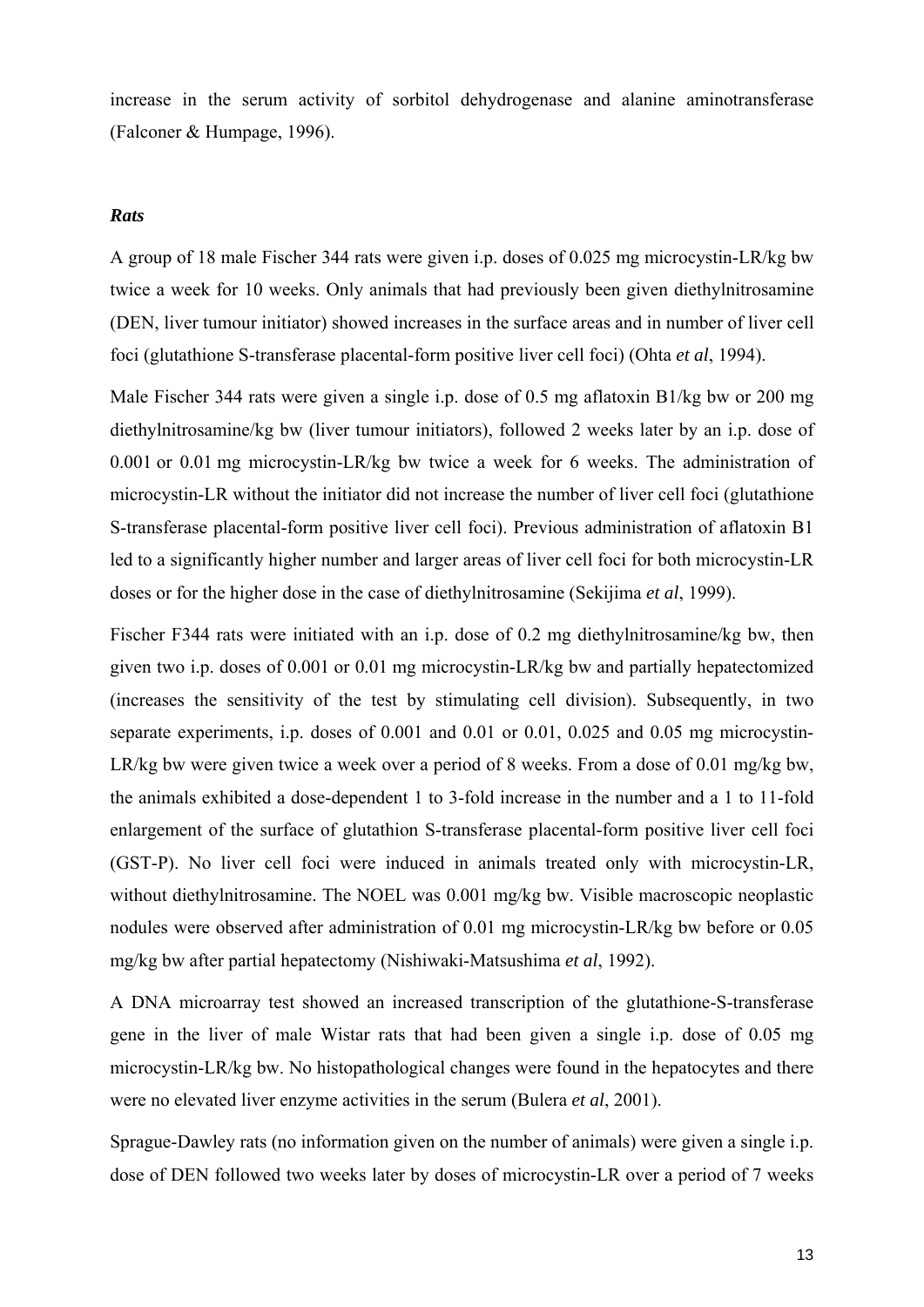increase in the serum activity of sorbitol dehydrogenase and alanine aminotransferase (Falconer & Humpage, 1996).

## *Rats*

A group of 18 male Fischer 344 rats were given i.p. doses of 0.025 mg microcystin-LR/kg bw twice a week for 10 weeks. Only animals that had previously been given diethylnitrosamine (DEN, liver tumour initiator) showed increases in the surface areas and in number of liver cell foci (glutathione S-transferase placental-form positive liver cell foci) (Ohta *et al*, 1994).

Male Fischer 344 rats were given a single i.p. dose of 0.5 mg aflatoxin B1/kg bw or 200 mg diethylnitrosamine/kg bw (liver tumour initiators), followed 2 weeks later by an i.p. dose of 0.001 or 0.01 mg microcystin-LR/kg bw twice a week for 6 weeks. The administration of microcystin-LR without the initiator did not increase the number of liver cell foci (glutathione S-transferase placental-form positive liver cell foci). Previous administration of aflatoxin B1 led to a significantly higher number and larger areas of liver cell foci for both microcystin-LR doses or for the higher dose in the case of diethylnitrosamine (Sekijima *et al*, 1999).

Fischer F344 rats were initiated with an i.p. dose of 0.2 mg diethylnitrosamine/kg bw, then given two i.p. doses of 0.001 or 0.01 mg microcystin-LR/kg bw and partially hepatectomized (increases the sensitivity of the test by stimulating cell division). Subsequently, in two separate experiments, i.p. doses of 0.001 and 0.01 or 0.01, 0.025 and 0.05 mg microcystin-LR/kg bw were given twice a week over a period of 8 weeks. From a dose of 0.01 mg/kg bw, the animals exhibited a dose-dependent 1 to 3-fold increase in the number and a 1 to 11-fold enlargement of the surface of glutathion S-transferase placental-form positive liver cell foci (GST-P). No liver cell foci were induced in animals treated only with microcystin-LR, without diethylnitrosamine. The NOEL was 0.001 mg/kg bw. Visible macroscopic neoplastic nodules were observed after administration of 0.01 mg microcystin-LR/kg bw before or 0.05 mg/kg bw after partial hepatectomy (Nishiwaki-Matsushima *et al*, 1992).

A DNA microarray test showed an increased transcription of the glutathione-S-transferase gene in the liver of male Wistar rats that had been given a single i.p. dose of 0.05 mg microcystin-LR/kg bw. No histopathological changes were found in the hepatocytes and there were no elevated liver enzyme activities in the serum (Bulera *et al*, 2001).

Sprague-Dawley rats (no information given on the number of animals) were given a single i.p. dose of DEN followed two weeks later by doses of microcystin-LR over a period of 7 weeks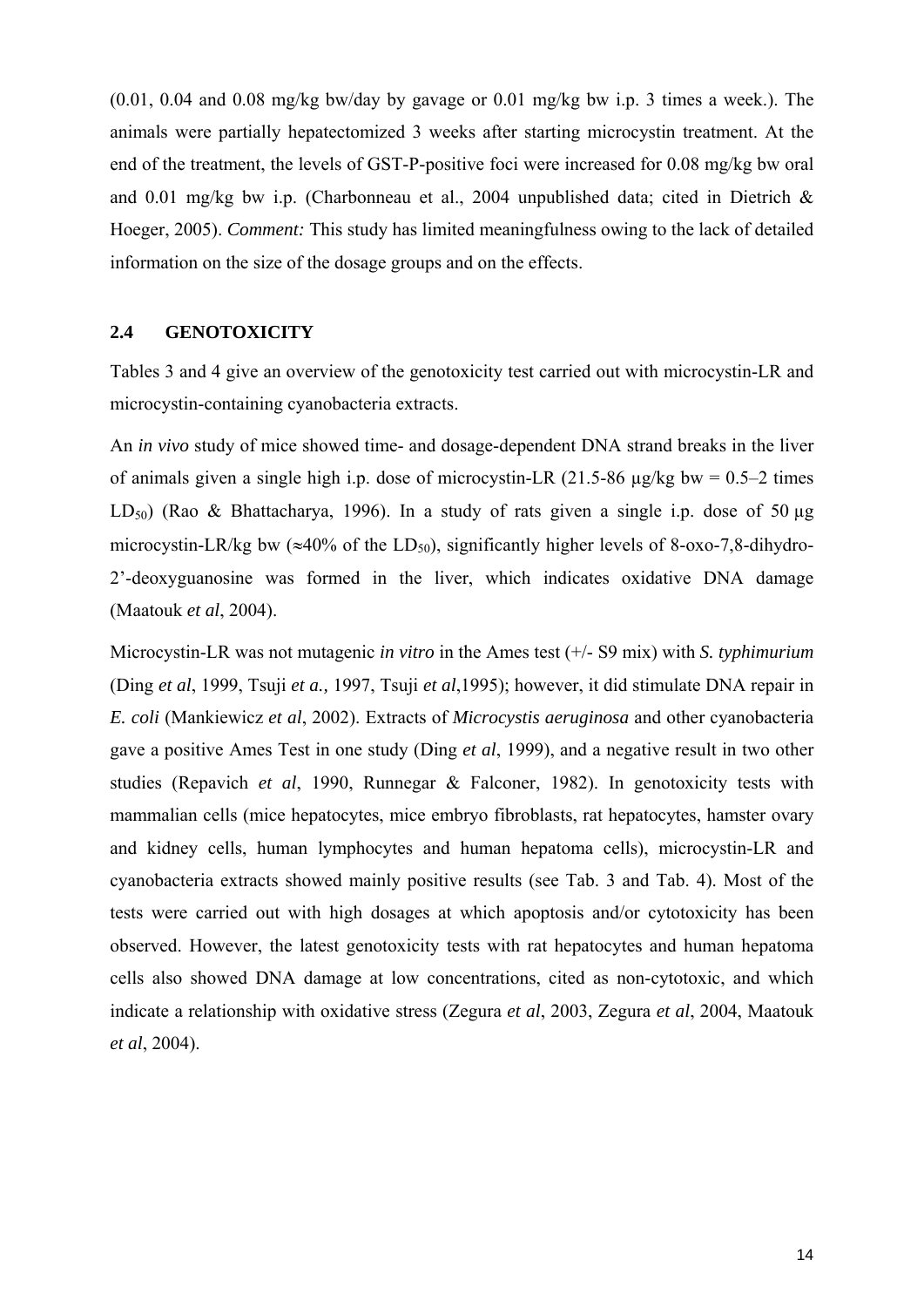$(0.01, 0.04$  and  $(0.08 \text{ mg/kg})$  bw/day by gavage or  $(0.01 \text{ mg/kg})$  bw i.p. 3 times a week.). The animals were partially hepatectomized 3 weeks after starting microcystin treatment. At the end of the treatment, the levels of GST-P-positive foci were increased for 0.08 mg/kg bw oral and 0.01 mg/kg bw i.p. (Charbonneau et al., 2004 unpublished data; cited in Dietrich & Hoeger, 2005). *Comment:* This study has limited meaningfulness owing to the lack of detailed information on the size of the dosage groups and on the effects.

## **2.4 GENOTOXICITY**

Tables 3 and 4 give an overview of the genotoxicity test carried out with microcystin-LR and microcystin-containing cyanobacteria extracts.

An *in vivo* study of mice showed time- and dosage-dependent DNA strand breaks in the liver of animals given a single high i.p. dose of microcystin-LR  $(21.5-86 \text{ µg/kg bw} = 0.5-2 \text{ times}$ LD<sub>50</sub>) (Rao & Bhattacharya, 1996). In a study of rats given a single i.p. dose of 50  $\mu$ g microcystin-LR/kg bw ( $\approx$ 40% of the LD<sub>50</sub>), significantly higher levels of 8-oxo-7,8-dihydro-2'-deoxyguanosine was formed in the liver, which indicates oxidative DNA damage (Maatouk *et al*, 2004).

Microcystin-LR was not mutagenic *in vitro* in the Ames test (+/- S9 mix) with *S. typhimurium* (Ding *et al*, 1999, Tsuji *et a.,* 1997, Tsuji *et al*,1995); however, it did stimulate DNA repair in *E. coli* (Mankiewicz *et al*, 2002). Extracts of *Microcystis aeruginosa* and other cyanobacteria gave a positive Ames Test in one study (Ding *et al*, 1999), and a negative result in two other studies (Repavich *et al*, 1990, Runnegar & Falconer, 1982). In genotoxicity tests with mammalian cells (mice hepatocytes, mice embryo fibroblasts, rat hepatocytes, hamster ovary and kidney cells, human lymphocytes and human hepatoma cells), microcystin-LR and cyanobacteria extracts showed mainly positive results (see Tab. 3 and Tab. 4). Most of the tests were carried out with high dosages at which apoptosis and/or cytotoxicity has been observed. However, the latest genotoxicity tests with rat hepatocytes and human hepatoma cells also showed DNA damage at low concentrations, cited as non-cytotoxic, and which indicate a relationship with oxidative stress (Zegura *et al*, 2003, Zegura *et al*, 2004, Maatouk *et al*, 2004).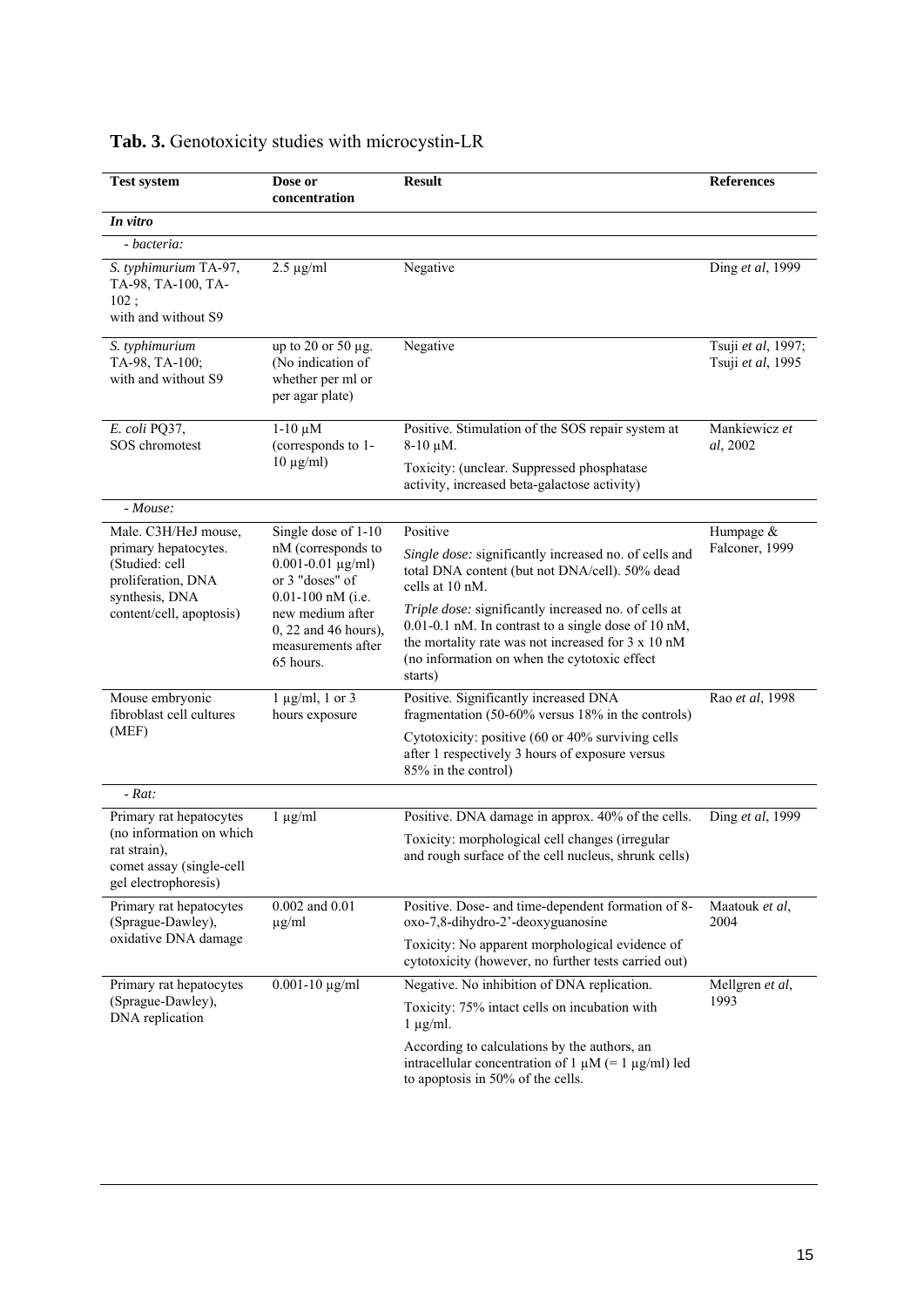| <b>Test system</b>                                                                                                                 | Dose or<br>concentration                                                                                                                                          | <b>Result</b>                                                                                                                                                                                                                                         | <b>References</b>                       |
|------------------------------------------------------------------------------------------------------------------------------------|-------------------------------------------------------------------------------------------------------------------------------------------------------------------|-------------------------------------------------------------------------------------------------------------------------------------------------------------------------------------------------------------------------------------------------------|-----------------------------------------|
| In vitro                                                                                                                           |                                                                                                                                                                   |                                                                                                                                                                                                                                                       |                                         |
| - bacteria:                                                                                                                        |                                                                                                                                                                   |                                                                                                                                                                                                                                                       |                                         |
| S. typhimurium TA-97,<br>TA-98, TA-100, TA-<br>102;<br>with and without S9                                                         | $2.5 \mu g/ml$                                                                                                                                                    | Negative                                                                                                                                                                                                                                              | Ding et al, 1999                        |
| S. typhimurium<br>TA-98, TA-100;<br>with and without S9                                                                            | up to 20 or 50 µg.<br>(No indication of<br>whether per ml or<br>per agar plate)                                                                                   | Negative                                                                                                                                                                                                                                              | Tsuji et al, 1997;<br>Tsuji et al, 1995 |
| E. coli PQ37,<br>SOS chromotest                                                                                                    | $1-10 \mu M$<br>(corresponds to 1-<br>$10 \mu g/ml$                                                                                                               | Positive. Stimulation of the SOS repair system at<br>$8-10 \mu M$ .<br>Toxicity: (unclear. Suppressed phosphatase<br>activity, increased beta-galactose activity)                                                                                     | Mankiewicz et<br>al, 2002               |
| - Mouse:                                                                                                                           |                                                                                                                                                                   |                                                                                                                                                                                                                                                       |                                         |
| Male. C3H/HeJ mouse,<br>primary hepatocytes.<br>(Studied: cell<br>proliferation, DNA<br>synthesis, DNA<br>content/cell, apoptosis) | Single dose of 1-10<br>nM (corresponds to<br>$0.001 - 0.01 \text{ µg/ml}$<br>or 3 "doses" of<br>$0.01 - 100$ nM (i.e.<br>new medium after<br>0, 22 and 46 hours), | Positive<br>Single dose: significantly increased no. of cells and<br>total DNA content (but not DNA/cell). 50% dead<br>cells at 10 nM.<br>Triple dose: significantly increased no. of cells at<br>0.01-0.1 nM. In contrast to a single dose of 10 nM, | Humpage $&$<br>Falconer, 1999           |
|                                                                                                                                    | measurements after<br>65 hours.                                                                                                                                   | the mortality rate was not increased for 3 x 10 nM<br>(no information on when the cytotoxic effect<br>starts)                                                                                                                                         |                                         |
| Mouse embryonic<br>fibroblast cell cultures                                                                                        | $1 \mu g/ml$ , $1 \text{ or } 3$<br>hours exposure                                                                                                                | Positive. Significantly increased DNA<br>fragmentation $(50-60\% \text{ versus } 18\% \text{ in the controls})$                                                                                                                                       | Rao et al, 1998                         |
| (MEF)                                                                                                                              |                                                                                                                                                                   | Cytotoxicity: positive (60 or 40% surviving cells<br>after 1 respectively 3 hours of exposure versus<br>85% in the control)                                                                                                                           |                                         |
| $-Rat:$                                                                                                                            |                                                                                                                                                                   |                                                                                                                                                                                                                                                       |                                         |
| Primary rat hepatocytes                                                                                                            | $1 \mu g/ml$                                                                                                                                                      | Positive. DNA damage in approx. 40% of the cells.                                                                                                                                                                                                     | Ding et al, 1999                        |
| (no information on which<br>rat strain),<br>comet assay (single-cell<br>gel electrophoresis)                                       |                                                                                                                                                                   | Toxicity: morphological cell changes (irregular<br>and rough surface of the cell nucleus, shrunk cells)                                                                                                                                               |                                         |
| Primary rat hepatocytes<br>(Sprague-Dawley),                                                                                       | 0.002 and 0.01<br>$\mu$ g/ml                                                                                                                                      | Positive. Dose- and time-dependent formation of 8-<br>oxo-7,8-dihydro-2'-deoxyguanosine                                                                                                                                                               | Maatouk et al,<br>2004                  |
| oxidative DNA damage                                                                                                               |                                                                                                                                                                   | Toxicity: No apparent morphological evidence of<br>cytotoxicity (however, no further tests carried out)                                                                                                                                               |                                         |
| Primary rat hepatocytes                                                                                                            | $0.001 - 10 \mu g/ml$                                                                                                                                             | Negative. No inhibition of DNA replication.                                                                                                                                                                                                           | Mellgren et al,                         |
| (Sprague-Dawley),<br>DNA replication                                                                                               |                                                                                                                                                                   | Toxicity: 75% intact cells on incubation with<br>$1 \mu g/ml$ .                                                                                                                                                                                       | 1993                                    |
|                                                                                                                                    |                                                                                                                                                                   | According to calculations by the authors, an<br>intracellular concentration of 1 $\mu$ M (= 1 $\mu$ g/ml) led<br>to apoptosis in 50% of the cells.                                                                                                    |                                         |

# **Tab. 3.** Genotoxicity studies with microcystin-LR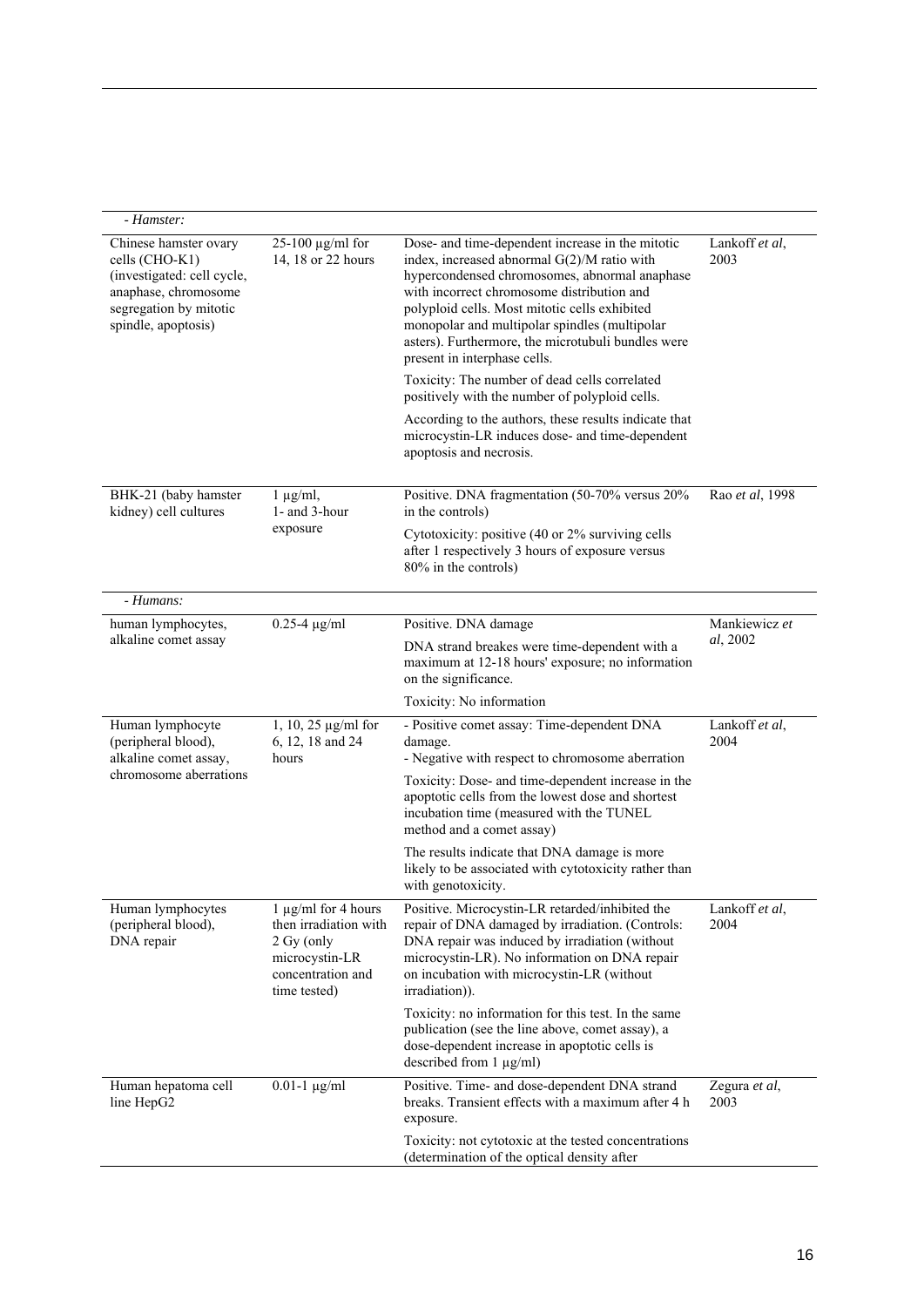| - Hamster:                                                                                                                                     |                                                                                                                   |                                                                                                                                                                                                                                                                                                                                                                                                                                                                                           |                        |
|------------------------------------------------------------------------------------------------------------------------------------------------|-------------------------------------------------------------------------------------------------------------------|-------------------------------------------------------------------------------------------------------------------------------------------------------------------------------------------------------------------------------------------------------------------------------------------------------------------------------------------------------------------------------------------------------------------------------------------------------------------------------------------|------------------------|
| Chinese hamster ovary<br>cells (CHO-K1)<br>(investigated: cell cycle,<br>anaphase, chromosome<br>segregation by mitotic<br>spindle, apoptosis) | $25-100 \mu g/ml$ for<br>14, 18 or 22 hours                                                                       | Dose- and time-dependent increase in the mitotic<br>index, increased abnormal G(2)/M ratio with<br>hypercondensed chromosomes, abnormal anaphase<br>with incorrect chromosome distribution and<br>polyploid cells. Most mitotic cells exhibited<br>monopolar and multipolar spindles (multipolar<br>asters). Furthermore, the microtubuli bundles were<br>present in interphase cells.<br>Toxicity: The number of dead cells correlated<br>positively with the number of polyploid cells. | Lankoff et al,<br>2003 |
|                                                                                                                                                |                                                                                                                   | According to the authors, these results indicate that<br>microcystin-LR induces dose- and time-dependent<br>apoptosis and necrosis.                                                                                                                                                                                                                                                                                                                                                       |                        |
| BHK-21 (baby hamster<br>kidney) cell cultures                                                                                                  | $1 \mu g/ml$ ,<br>1- and 3-hour                                                                                   | Positive. DNA fragmentation (50-70% versus 20%<br>in the controls)                                                                                                                                                                                                                                                                                                                                                                                                                        | Rao et al, 1998        |
|                                                                                                                                                | exposure                                                                                                          | Cytotoxicity: positive (40 or 2% surviving cells<br>after 1 respectively 3 hours of exposure versus<br>80% in the controls)                                                                                                                                                                                                                                                                                                                                                               |                        |
| - Humans:                                                                                                                                      |                                                                                                                   |                                                                                                                                                                                                                                                                                                                                                                                                                                                                                           |                        |
| human lymphocytes,                                                                                                                             | $0.25 - 4$ µg/ml                                                                                                  | Positive. DNA damage                                                                                                                                                                                                                                                                                                                                                                                                                                                                      | Mankiewicz et          |
| alkaline comet assay                                                                                                                           |                                                                                                                   | DNA strand breakes were time-dependent with a<br>maximum at 12-18 hours' exposure; no information<br>on the significance.                                                                                                                                                                                                                                                                                                                                                                 | al, 2002               |
|                                                                                                                                                |                                                                                                                   | Toxicity: No information                                                                                                                                                                                                                                                                                                                                                                                                                                                                  |                        |
| Human lymphocyte<br>(peripheral blood),<br>alkaline comet assay,                                                                               | $1, 10, 25 \,\mu g/ml$ for<br>6, 12, 18 and 24<br>hours                                                           | - Positive comet assay: Time-dependent DNA<br>damage.<br>- Negative with respect to chromosome aberration                                                                                                                                                                                                                                                                                                                                                                                 | Lankoff et al,<br>2004 |
| chromosome aberrations                                                                                                                         |                                                                                                                   | Toxicity: Dose- and time-dependent increase in the<br>apoptotic cells from the lowest dose and shortest<br>incubation time (measured with the TUNEL<br>method and a comet assay)                                                                                                                                                                                                                                                                                                          |                        |
|                                                                                                                                                |                                                                                                                   | The results indicate that DNA damage is more<br>likely to be associated with cytotoxicity rather than<br>with genotoxicity.                                                                                                                                                                                                                                                                                                                                                               |                        |
| Human lymphocytes<br>(peripheral blood),<br>DNA repair                                                                                         | 1 µg/ml for 4 hours<br>then irradiation with<br>2 Gy (only<br>microcystin-LR<br>concentration and<br>time tested) | Positive. Microcystin-LR retarded/inhibited the<br>repair of DNA damaged by irradiation. (Controls:<br>DNA repair was induced by irradiation (without<br>microcystin-LR). No information on DNA repair<br>on incubation with microcystin-LR (without<br>irradiation)).                                                                                                                                                                                                                    | Lankoff et al,<br>2004 |
|                                                                                                                                                |                                                                                                                   | Toxicity: no information for this test. In the same<br>publication (see the line above, comet assay), a<br>dose-dependent increase in apoptotic cells is<br>described from 1 µg/ml)                                                                                                                                                                                                                                                                                                       |                        |
| Human hepatoma cell<br>line HepG2                                                                                                              | $0.01 - 1$ $\mu$ g/ml                                                                                             | Positive. Time- and dose-dependent DNA strand<br>breaks. Transient effects with a maximum after 4 h<br>exposure.                                                                                                                                                                                                                                                                                                                                                                          | Zegura et al,<br>2003  |
|                                                                                                                                                |                                                                                                                   | Toxicity: not cytotoxic at the tested concentrations<br>(determination of the optical density after                                                                                                                                                                                                                                                                                                                                                                                       |                        |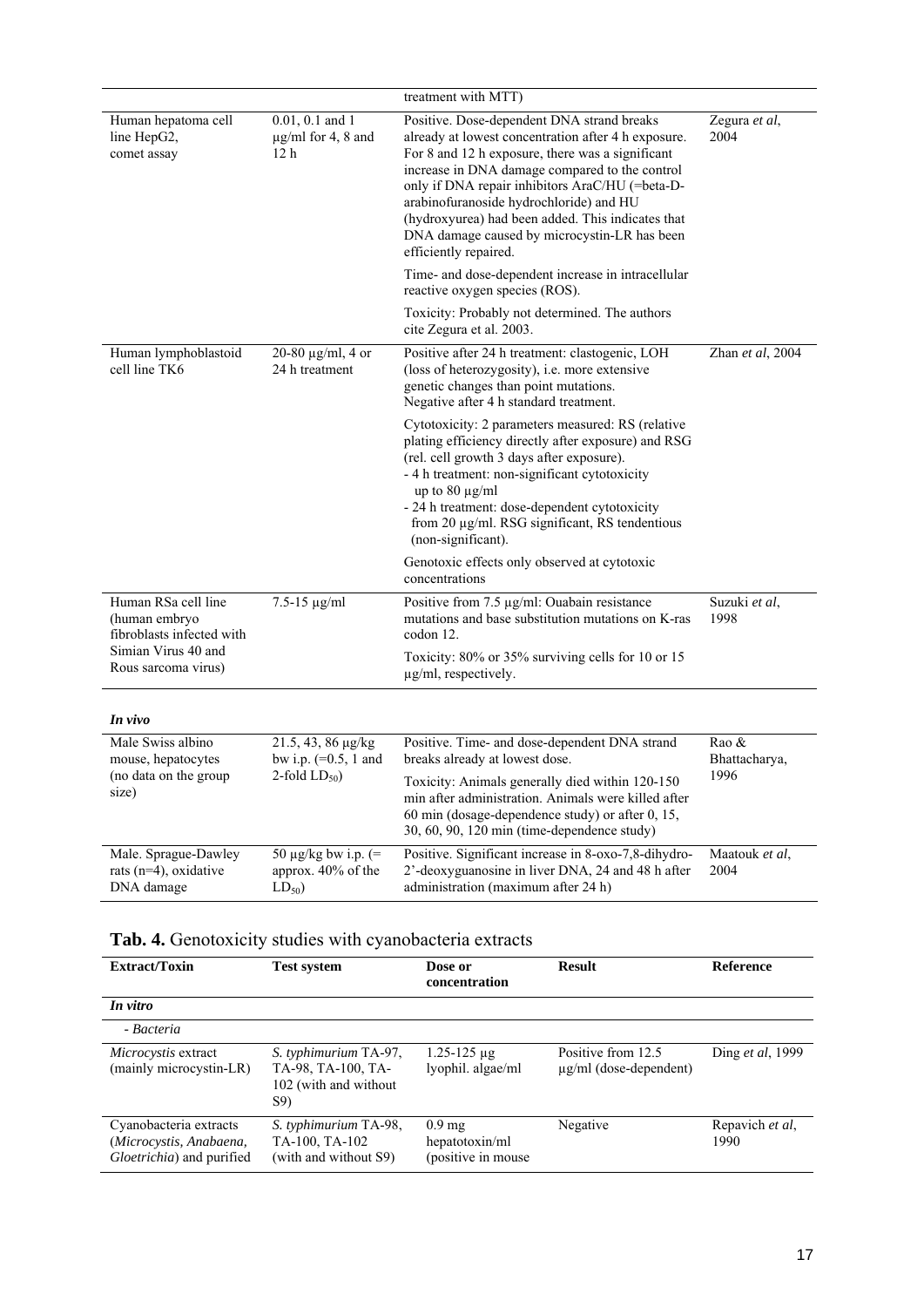| $0.01, 0.1$ and 1<br>Positive. Dose-dependent DNA strand breaks<br>Human hepatoma cell<br>Zegura et al,<br>$\mu$ g/ml for 4, 8 and<br>already at lowest concentration after 4 h exposure.<br>2004<br>line HepG2,<br>12 <sub>h</sub><br>For 8 and 12 h exposure, there was a significant<br>comet assay<br>increase in DNA damage compared to the control<br>only if DNA repair inhibitors AraC/HU (=beta-D-<br>arabinofuranoside hydrochloride) and HU<br>(hydroxyurea) had been added. This indicates that<br>DNA damage caused by microcystin-LR has been<br>efficiently repaired.<br>Time- and dose-dependent increase in intracellular<br>reactive oxygen species (ROS).<br>Toxicity: Probably not determined. The authors<br>cite Zegura et al. 2003.<br>Positive after 24 h treatment: clastogenic, LOH<br>Zhan et al, 2004<br>Human lymphoblastoid<br>20-80 $\mu$ g/ml, 4 or<br>cell line TK6<br>24 h treatment<br>(loss of heterozygosity), i.e. more extensive<br>genetic changes than point mutations.<br>Negative after 4 h standard treatment.<br>Cytotoxicity: 2 parameters measured: RS (relative<br>plating efficiency directly after exposure) and RSG<br>(rel. cell growth 3 days after exposure).<br>- 4 h treatment: non-significant cytotoxicity<br>up to $80 \mu g/ml$ |  | treatment with MTT)                           |  |
|---------------------------------------------------------------------------------------------------------------------------------------------------------------------------------------------------------------------------------------------------------------------------------------------------------------------------------------------------------------------------------------------------------------------------------------------------------------------------------------------------------------------------------------------------------------------------------------------------------------------------------------------------------------------------------------------------------------------------------------------------------------------------------------------------------------------------------------------------------------------------------------------------------------------------------------------------------------------------------------------------------------------------------------------------------------------------------------------------------------------------------------------------------------------------------------------------------------------------------------------------------------------------------------------|--|-----------------------------------------------|--|
|                                                                                                                                                                                                                                                                                                                                                                                                                                                                                                                                                                                                                                                                                                                                                                                                                                                                                                                                                                                                                                                                                                                                                                                                                                                                                             |  |                                               |  |
|                                                                                                                                                                                                                                                                                                                                                                                                                                                                                                                                                                                                                                                                                                                                                                                                                                                                                                                                                                                                                                                                                                                                                                                                                                                                                             |  |                                               |  |
|                                                                                                                                                                                                                                                                                                                                                                                                                                                                                                                                                                                                                                                                                                                                                                                                                                                                                                                                                                                                                                                                                                                                                                                                                                                                                             |  |                                               |  |
|                                                                                                                                                                                                                                                                                                                                                                                                                                                                                                                                                                                                                                                                                                                                                                                                                                                                                                                                                                                                                                                                                                                                                                                                                                                                                             |  |                                               |  |
| from 20 µg/ml. RSG significant, RS tendentious<br>(non-significant).                                                                                                                                                                                                                                                                                                                                                                                                                                                                                                                                                                                                                                                                                                                                                                                                                                                                                                                                                                                                                                                                                                                                                                                                                        |  | - 24 h treatment: dose-dependent cytotoxicity |  |
| Genotoxic effects only observed at cytotoxic<br>concentrations                                                                                                                                                                                                                                                                                                                                                                                                                                                                                                                                                                                                                                                                                                                                                                                                                                                                                                                                                                                                                                                                                                                                                                                                                              |  |                                               |  |
| Human RSa cell line<br>Positive from 7.5 µg/ml: Ouabain resistance<br>$7.5 - 15 \mu g/ml$<br>Suzuki et al,<br>mutations and base substitution mutations on K-ras<br>1998<br>(human embryo<br>fibroblasts infected with<br>codon 12.                                                                                                                                                                                                                                                                                                                                                                                                                                                                                                                                                                                                                                                                                                                                                                                                                                                                                                                                                                                                                                                         |  |                                               |  |
| Simian Virus 40 and<br>Toxicity: 80% or 35% surviving cells for 10 or 15<br>Rous sarcoma virus)<br>$\mu$ g/ml, respectively.                                                                                                                                                                                                                                                                                                                                                                                                                                                                                                                                                                                                                                                                                                                                                                                                                                                                                                                                                                                                                                                                                                                                                                |  |                                               |  |
|                                                                                                                                                                                                                                                                                                                                                                                                                                                                                                                                                                                                                                                                                                                                                                                                                                                                                                                                                                                                                                                                                                                                                                                                                                                                                             |  |                                               |  |
| In vivo<br>Male Swiss albino<br>Positive. Time- and dose-dependent DNA strand<br>Rao &<br>21.5, 43, 86 µg/kg                                                                                                                                                                                                                                                                                                                                                                                                                                                                                                                                                                                                                                                                                                                                                                                                                                                                                                                                                                                                                                                                                                                                                                                |  |                                               |  |
| mouse, hepatocytes<br>bw i.p. $(=0.5, 1$ and<br>breaks already at lowest dose.<br>Bhattacharya,<br>1996<br>(no data on the group<br>2-fold $LD_{50}$ )<br>Toxicity: Animals generally died within 120-150                                                                                                                                                                                                                                                                                                                                                                                                                                                                                                                                                                                                                                                                                                                                                                                                                                                                                                                                                                                                                                                                                   |  |                                               |  |
| size)<br>min after administration. Animals were killed after<br>60 min (dosage-dependence study) or after 0, 15,<br>30, 60, 90, 120 min (time-dependence study)                                                                                                                                                                                                                                                                                                                                                                                                                                                                                                                                                                                                                                                                                                                                                                                                                                                                                                                                                                                                                                                                                                                             |  |                                               |  |
| 50 μg/kg bw i.p. $(=$<br>Positive. Significant increase in 8-oxo-7,8-dihydro-<br>Male. Sprague-Dawley<br>Maatouk et al,<br>rats (n=4), oxidative<br>approx. 40% of the<br>2'-deoxyguanosine in liver DNA, 24 and 48 h after<br>2004<br>DNA damage<br>administration (maximum after 24 h)<br>$LD_{50}$                                                                                                                                                                                                                                                                                                                                                                                                                                                                                                                                                                                                                                                                                                                                                                                                                                                                                                                                                                                       |  |                                               |  |

|  |  |  |  |  | Tab. 4. Genotoxicity studies with cyanobacteria extracts |
|--|--|--|--|--|----------------------------------------------------------|
|  |  |  |  |  |                                                          |

| <b>Extract/Toxin</b>                                                           | <b>Test system</b>                                                           | Dose or<br>concentration                                  | <b>Result</b>                                     | <b>Reference</b>         |
|--------------------------------------------------------------------------------|------------------------------------------------------------------------------|-----------------------------------------------------------|---------------------------------------------------|--------------------------|
| In vitro                                                                       |                                                                              |                                                           |                                                   |                          |
| - Bacteria                                                                     |                                                                              |                                                           |                                                   |                          |
| <i>Microcystis</i> extract<br>(mainly microcystin-LR)                          | S. typhimurium TA-97,<br>TA-98, TA-100, TA-<br>102 (with and without)<br>S9) | $1.25 - 125 \mu g$<br>lyophil. algae/ml                   | Positive from 12.5<br>$\mu$ g/ml (dose-dependent) | Ding <i>et al</i> , 1999 |
| Cyanobacteria extracts<br>(Microcystis, Anabaena,<br>Gloetrichia) and purified | S. typhimurium TA-98,<br>TA-100, TA-102<br>(with and without S9)             | 0.9 <sub>mg</sub><br>hepatotoxin/ml<br>(positive in mouse | Negative                                          | Repavich et al.<br>1990  |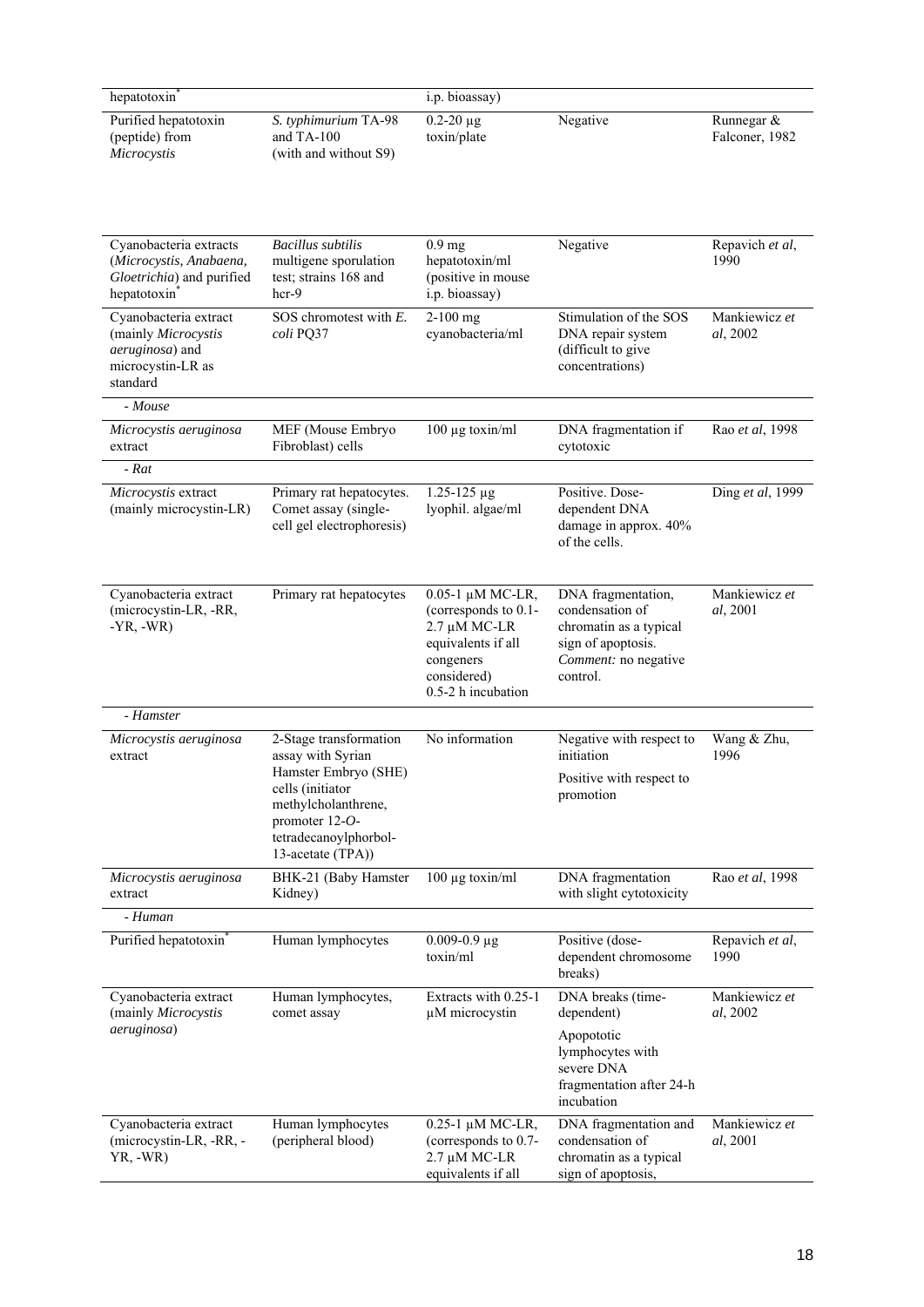| hepatotoxin                                           |                                                               | i.p. bioassay)                  |          |                                 |
|-------------------------------------------------------|---------------------------------------------------------------|---------------------------------|----------|---------------------------------|
| Purified hepatotoxin<br>(peptide) from<br>Microcystis | S. typhimurium TA-98<br>and $TA-100$<br>(with and without S9) | $0.2 - 20 \mu g$<br>toxin/plate | Negative | Runnegar $\&$<br>Falconer, 1982 |

| Cyanobacteria extracts<br>(Microcystis, Anabaena,<br>Gloetrichia) and purified<br>hepatotoxin    | <b>Bacillus</b> subtilis<br>multigene sporulation<br>test; strains 168 and<br>$\hbox{hcr-}9$                                                                                      | 0.9 <sub>mg</sub><br>hepatotoxin/ml<br>(positive in mouse<br>i.p. bioassay)                                                      | Negative                                                                                                                  | Repavich et al,<br>1990   |
|--------------------------------------------------------------------------------------------------|-----------------------------------------------------------------------------------------------------------------------------------------------------------------------------------|----------------------------------------------------------------------------------------------------------------------------------|---------------------------------------------------------------------------------------------------------------------------|---------------------------|
| Cyanobacteria extract<br>(mainly Microcystis<br>aeruginosa) and<br>microcystin-LR as<br>standard | SOS chromotest with $E$ .<br>coli PQ37                                                                                                                                            | $2-100$ mg<br>cyanobacteria/ml                                                                                                   | Stimulation of the SOS<br>DNA repair system<br>(difficult to give<br>concentrations)                                      | Mankiewicz et<br>al, 2002 |
| - Mouse                                                                                          |                                                                                                                                                                                   |                                                                                                                                  |                                                                                                                           |                           |
| Microcystis aeruginosa<br>extract                                                                | MEF (Mouse Embryo<br>Fibroblast) cells                                                                                                                                            | $100 \mu g$ toxin/ml                                                                                                             | DNA fragmentation if<br>cytotoxic                                                                                         | Rao et al, 1998           |
| $-Rat$                                                                                           |                                                                                                                                                                                   |                                                                                                                                  |                                                                                                                           |                           |
| Microcystis extract<br>(mainly microcystin-LR)                                                   | Primary rat hepatocytes.<br>Comet assay (single-<br>cell gel electrophoresis)                                                                                                     | $1.25 - 125 \mu g$<br>lyophil. algae/ml                                                                                          | Positive. Dose-<br>dependent DNA<br>damage in approx. 40%<br>of the cells.                                                | Ding et al, 1999          |
| Cyanobacteria extract<br>(microcystin-LR, -RR,<br>$-YR, -WR)$                                    | Primary rat hepatocytes                                                                                                                                                           | 0.05-1 μM MC-LR,<br>(corresponds to 0.1-<br>2.7 µM MC-LR<br>equivalents if all<br>congeners<br>considered)<br>0.5-2 h incubation | DNA fragmentation,<br>condensation of<br>chromatin as a typical<br>sign of apoptosis.<br>Comment: no negative<br>control. | Mankiewicz et<br>al, 2001 |
| - Hamster                                                                                        |                                                                                                                                                                                   |                                                                                                                                  |                                                                                                                           |                           |
| Microcystis aeruginosa<br>extract                                                                | 2-Stage transformation<br>assay with Syrian<br>Hamster Embryo (SHE)<br>cells (initiator<br>methylcholanthrene,<br>promoter $12-O$ -<br>tetradecanoylphorbol-<br>13-acetate (TPA)) | No information                                                                                                                   | Negative with respect to<br>initiation<br>Positive with respect to<br>promotion                                           | Wang & Zhu,<br>1996       |
| Microcystis aeruginosa                                                                           | BHK-21 (Baby Hamster                                                                                                                                                              | $100 \mu g$ toxin/ml                                                                                                             | DNA fragmentation                                                                                                         | Rao et al, 1998           |
| extract                                                                                          | Kidney)                                                                                                                                                                           |                                                                                                                                  | with slight cytotoxicity                                                                                                  |                           |
| - Human                                                                                          |                                                                                                                                                                                   |                                                                                                                                  |                                                                                                                           |                           |
| Purified hepatotoxin                                                                             | Human lymphocytes                                                                                                                                                                 | $0.009 - 0.9 \,\mu g$<br>toxin/ml                                                                                                | Positive (dose-<br>dependent chromosome<br>breaks)                                                                        | Repavich et al,<br>1990   |
| Cyanobacteria extract<br>(mainly Microcystis<br><i>aeruginosa</i> )                              | Human lymphocytes,<br>comet assay                                                                                                                                                 | Extracts with 0.25-1<br>µM microcystin                                                                                           | DNA breaks (time-<br>dependent)<br>Apopototic<br>lymphocytes with<br>severe DNA<br>fragmentation after 24-h<br>incubation | Mankiewicz et<br>al, 2002 |
| Cyanobacteria extract<br>(microcystin-LR, -RR, -<br>$YR, -WR)$                                   | Human lymphocytes<br>(peripheral blood)                                                                                                                                           | 0.25-1 μM MC-LR,<br>(corresponds to 0.7-<br>$2.7 \mu M$ MC-LR<br>equivalents if all                                              | DNA fragmentation and<br>condensation of<br>chromatin as a typical<br>sign of apoptosis,                                  | Mankiewicz et<br>al, 2001 |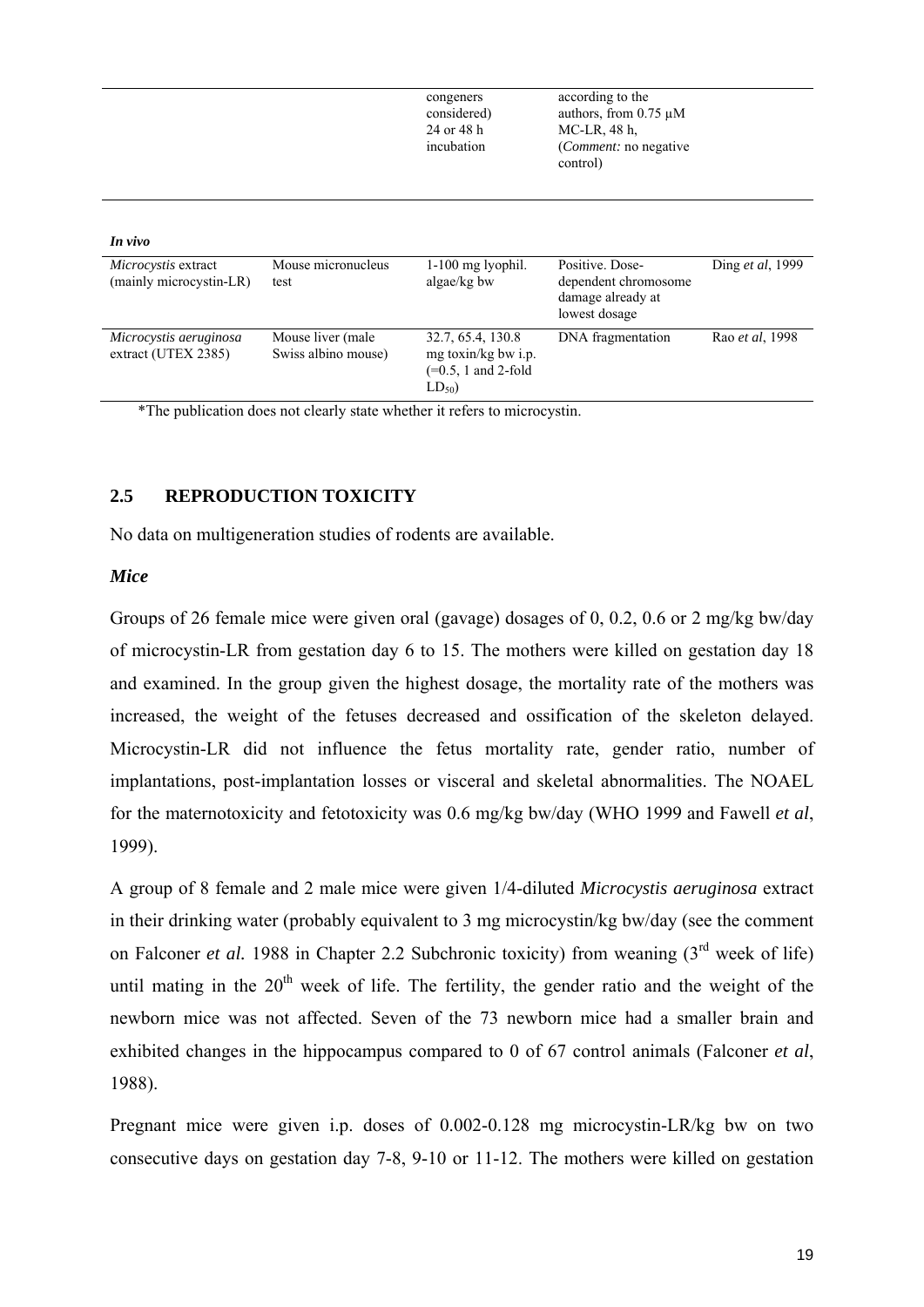|                                                |                                          | congeners<br>considered)<br>24 or 48 h<br>incubation                           | according to the<br>authors, from $0.75 \mu M$<br>MC-LR, 48 h,<br><i>(Comment: no negative)</i><br>control) |                          |
|------------------------------------------------|------------------------------------------|--------------------------------------------------------------------------------|-------------------------------------------------------------------------------------------------------------|--------------------------|
| In vivo                                        |                                          |                                                                                |                                                                                                             |                          |
| Microcystis extract<br>(mainly microcystin-LR) | Mouse micronucleus<br>test               | $1-100$ mg lyophil.<br>algae/kg bw                                             | Positive. Dose-<br>dependent chromosome<br>damage already at<br>lowest dosage                               | Ding <i>et al</i> , 1999 |
| Microcystis aeruginosa<br>extract (UTEX 2385)  | Mouse liver (male<br>Swiss albino mouse) | 32.7, 65.4, 130.8<br>mg toxin/kg bw i.p.<br>$(=0.5, 1$ and 2-fold<br>$LD_{50}$ | DNA fragmentation                                                                                           | Rao et al. 1998          |

\*The publication does not clearly state whether it refers to microcystin.

## **2.5 REPRODUCTION TOXICITY**

No data on multigeneration studies of rodents are available.

## *Mice*

Groups of 26 female mice were given oral (gavage) dosages of 0, 0.2, 0.6 or 2 mg/kg bw/day of microcystin-LR from gestation day 6 to 15. The mothers were killed on gestation day 18 and examined. In the group given the highest dosage, the mortality rate of the mothers was increased, the weight of the fetuses decreased and ossification of the skeleton delayed. Microcystin-LR did not influence the fetus mortality rate, gender ratio, number of implantations, post-implantation losses or visceral and skeletal abnormalities. The NOAEL for the maternotoxicity and fetotoxicity was 0.6 mg/kg bw/day (WHO 1999 and Fawell *et al*, 1999).

A group of 8 female and 2 male mice were given 1/4-diluted *Microcystis aeruginosa* extract in their drinking water (probably equivalent to 3 mg microcystin/kg bw/day (see the comment on Falconer *et al.* 1988 in Chapter 2.2 Subchronic toxicity) from weaning (3<sup>rd</sup> week of life) until mating in the  $20<sup>th</sup>$  week of life. The fertility, the gender ratio and the weight of the newborn mice was not affected. Seven of the 73 newborn mice had a smaller brain and exhibited changes in the hippocampus compared to 0 of 67 control animals (Falconer *et al*, 1988).

Pregnant mice were given i.p. doses of 0.002-0.128 mg microcystin-LR/kg bw on two consecutive days on gestation day 7-8, 9-10 or 11-12. The mothers were killed on gestation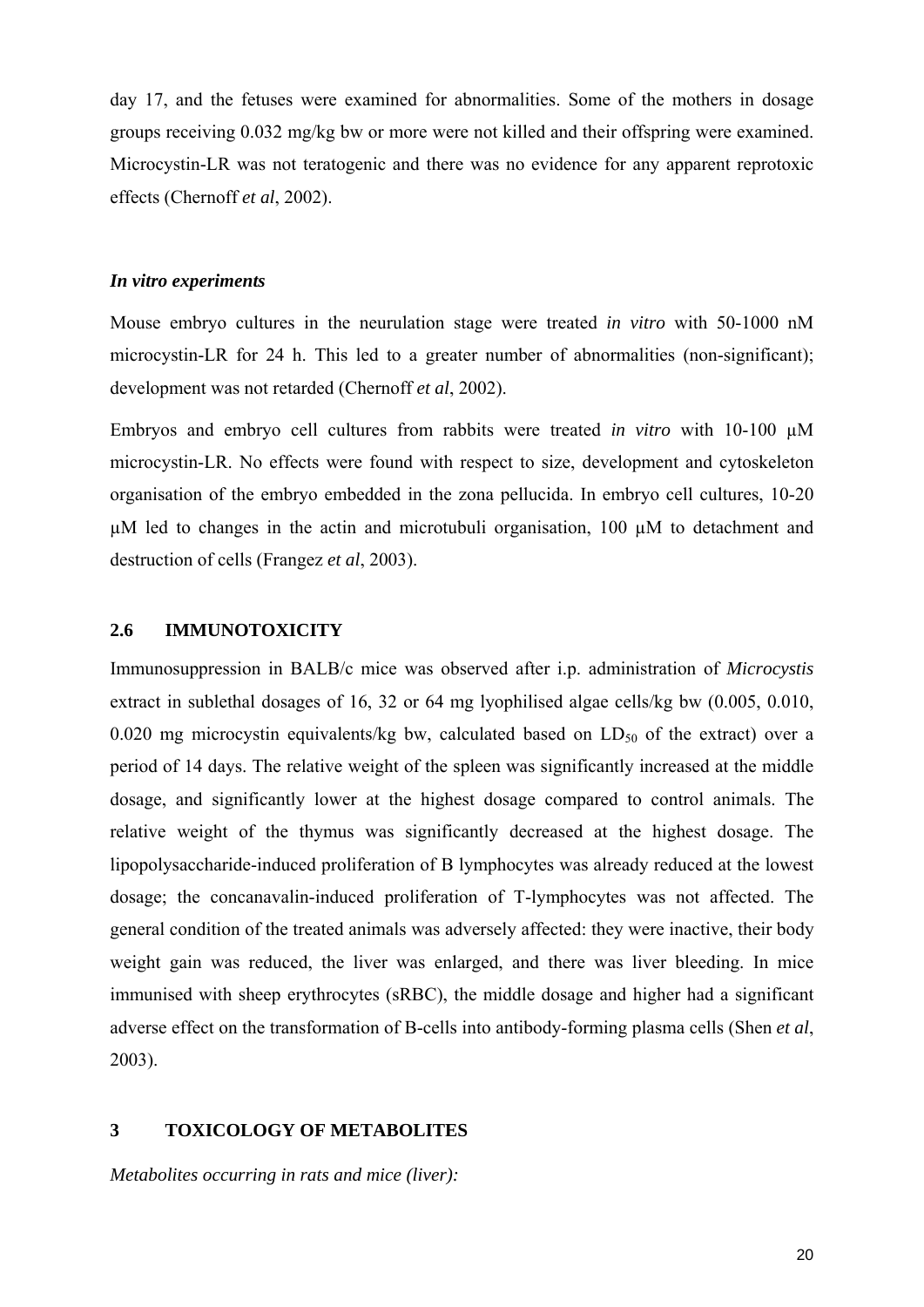day 17, and the fetuses were examined for abnormalities. Some of the mothers in dosage groups receiving 0.032 mg/kg bw or more were not killed and their offspring were examined. Microcystin-LR was not teratogenic and there was no evidence for any apparent reprotoxic effects (Chernoff *et al*, 2002).

## *In vitro experiments*

Mouse embryo cultures in the neurulation stage were treated *in vitro* with 50-1000 nM microcystin-LR for 24 h. This led to a greater number of abnormalities (non-significant); development was not retarded (Chernoff *et al*, 2002).

Embryos and embryo cell cultures from rabbits were treated *in vitro* with 10-100 µM microcystin-LR. No effects were found with respect to size, development and cytoskeleton organisation of the embryo embedded in the zona pellucida. In embryo cell cultures, 10-20  $\mu$ M led to changes in the actin and microtubuli organisation, 100  $\mu$ M to detachment and destruction of cells (Frangez *et al*, 2003).

#### **2.6 IMMUNOTOXICITY**

Immunosuppression in BALB/c mice was observed after i.p. administration of *Microcystis* extract in sublethal dosages of 16, 32 or 64 mg lyophilised algae cells/kg bw (0.005, 0.010, 0.020 mg microcystin equivalents/kg bw, calculated based on  $LD_{50}$  of the extract) over a period of 14 days. The relative weight of the spleen was significantly increased at the middle dosage, and significantly lower at the highest dosage compared to control animals. The relative weight of the thymus was significantly decreased at the highest dosage. The lipopolysaccharide-induced proliferation of B lymphocytes was already reduced at the lowest dosage; the concanavalin-induced proliferation of T-lymphocytes was not affected. The general condition of the treated animals was adversely affected: they were inactive, their body weight gain was reduced, the liver was enlarged, and there was liver bleeding. In mice immunised with sheep erythrocytes (sRBC), the middle dosage and higher had a significant adverse effect on the transformation of B-cells into antibody-forming plasma cells (Shen *et al*, 2003).

## **3 TOXICOLOGY OF METABOLITES**

*Metabolites occurring in rats and mice (liver):*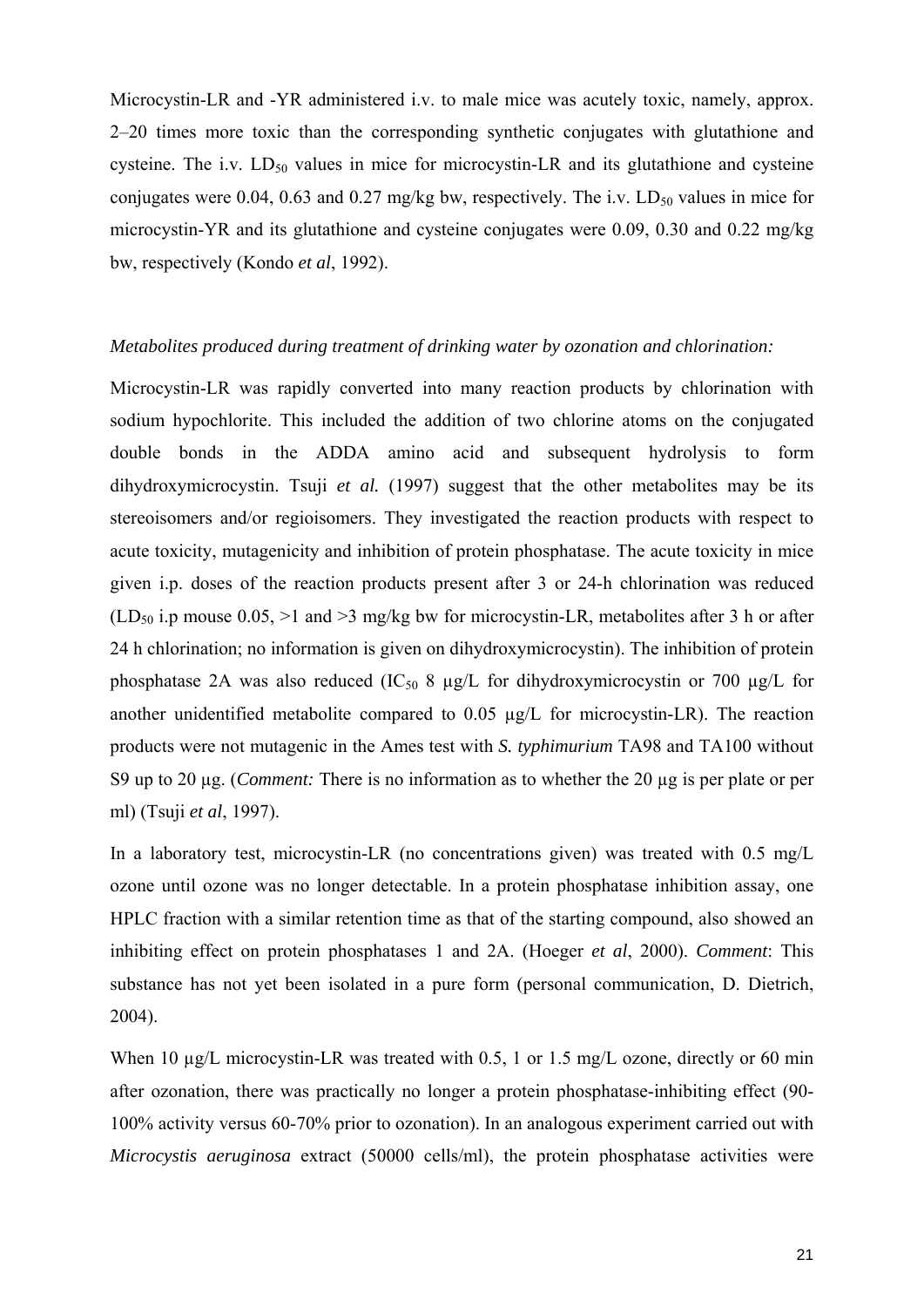Microcystin-LR and -YR administered i.v. to male mice was acutely toxic, namely, approx. 2–20 times more toxic than the corresponding synthetic conjugates with glutathione and cysteine. The i.v.  $LD_{50}$  values in mice for microcystin-LR and its glutathione and cysteine conjugates were 0.04, 0.63 and 0.27 mg/kg bw, respectively. The i.v.  $LD_{50}$  values in mice for microcystin-YR and its glutathione and cysteine conjugates were 0.09, 0.30 and 0.22 mg/kg bw, respectively (Kondo *et al*, 1992).

#### *Metabolites produced during treatment of drinking water by ozonation and chlorination:*

Microcystin-LR was rapidly converted into many reaction products by chlorination with sodium hypochlorite. This included the addition of two chlorine atoms on the conjugated double bonds in the ADDA amino acid and subsequent hydrolysis to form dihydroxymicrocystin. Tsuji *et al.* (1997) suggest that the other metabolites may be its stereoisomers and/or regioisomers. They investigated the reaction products with respect to acute toxicity, mutagenicity and inhibition of protein phosphatase. The acute toxicity in mice given i.p. doses of the reaction products present after 3 or 24-h chlorination was reduced  $(LD_{50}$  i.p mouse 0.05, >1 and >3 mg/kg bw for microcystin-LR, metabolites after 3 h or after 24 h chlorination; no information is given on dihydroxymicrocystin). The inhibition of protein phosphatase 2A was also reduced (IC<sub>50</sub> 8  $\mu$ g/L for dihydroxymicrocystin or 700  $\mu$ g/L for another unidentified metabolite compared to 0.05 µg/L for microcystin-LR). The reaction products were not mutagenic in the Ames test with *S. typhimurium* TA98 and TA100 without S9 up to 20 µg. (*Comment:* There is no information as to whether the 20 µg is per plate or per ml) (Tsuji *et al*, 1997).

In a laboratory test, microcystin-LR (no concentrations given) was treated with 0.5 mg/L ozone until ozone was no longer detectable. In a protein phosphatase inhibition assay, one HPLC fraction with a similar retention time as that of the starting compound, also showed an inhibiting effect on protein phosphatases 1 and 2A. (Hoeger *et al*, 2000). *Comment*: This substance has not yet been isolated in a pure form (personal communication, D. Dietrich, 2004).

When 10 µg/L microcystin-LR was treated with 0.5, 1 or 1.5 mg/L ozone, directly or 60 min after ozonation, there was practically no longer a protein phosphatase-inhibiting effect (90- 100% activity versus 60-70% prior to ozonation). In an analogous experiment carried out with *Microcystis aeruginosa* extract (50000 cells/ml), the protein phosphatase activities were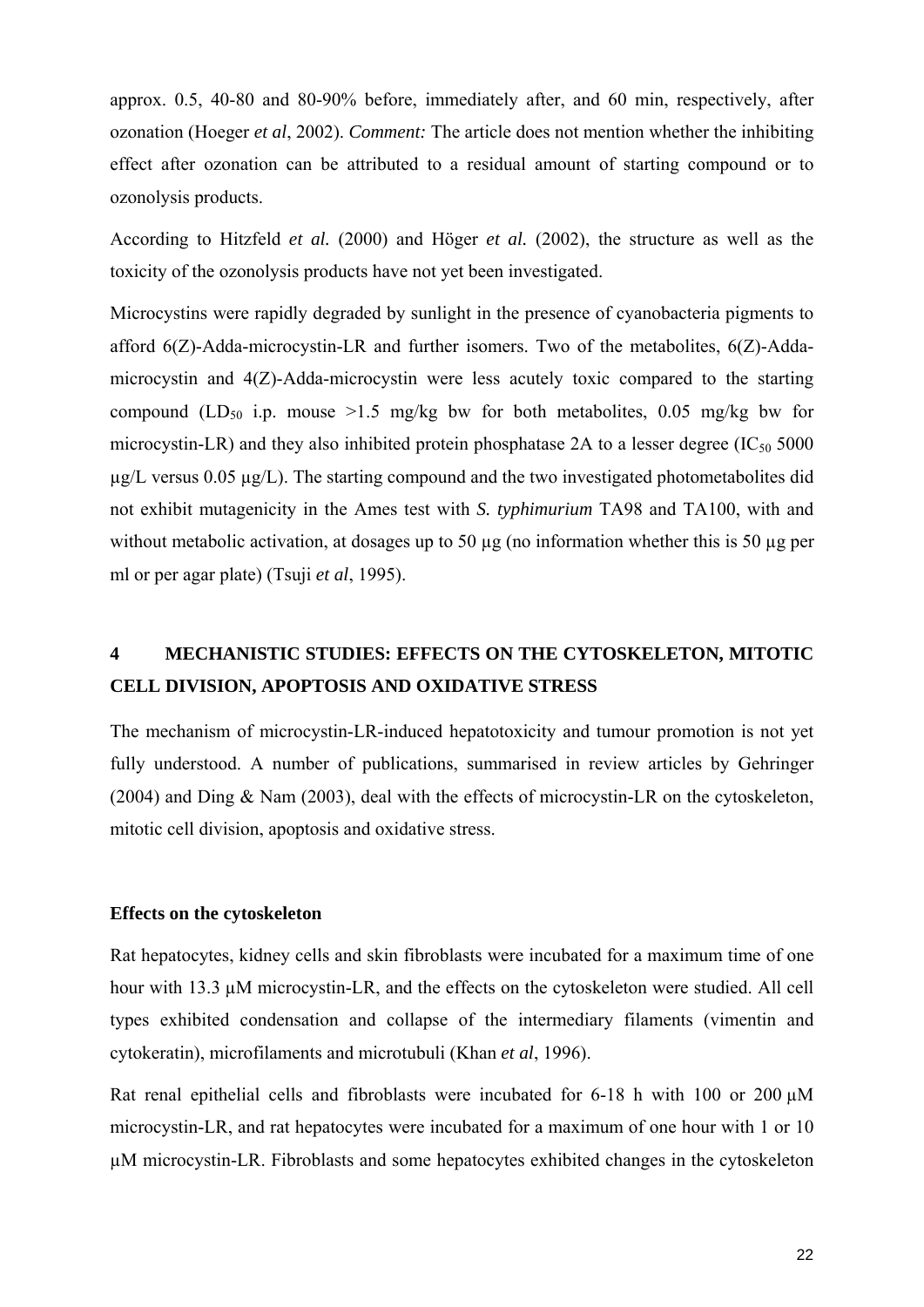approx. 0.5, 40-80 and 80-90% before, immediately after, and 60 min, respectively, after ozonation (Hoeger *et al*, 2002). *Comment:* The article does not mention whether the inhibiting effect after ozonation can be attributed to a residual amount of starting compound or to ozonolysis products.

According to Hitzfeld *et al.* (2000) and Höger *et al.* (2002), the structure as well as the toxicity of the ozonolysis products have not yet been investigated.

Microcystins were rapidly degraded by sunlight in the presence of cyanobacteria pigments to afford 6(Z)-Adda-microcystin-LR and further isomers. Two of the metabolites, 6(Z)-Addamicrocystin and 4(Z)-Adda-microcystin were less acutely toxic compared to the starting compound (LD<sub>50</sub> i.p. mouse >1.5 mg/kg bw for both metabolites, 0.05 mg/kg bw for microcystin-LR) and they also inhibited protein phosphatase 2A to a lesser degree  $(IC_{50} 5000$  $\mu$ g/L versus 0.05  $\mu$ g/L). The starting compound and the two investigated photometabolites did not exhibit mutagenicity in the Ames test with *S. typhimurium* TA98 and TA100, with and without metabolic activation, at dosages up to 50  $\mu$ g (no information whether this is 50  $\mu$ g per ml or per agar plate) (Tsuji *et al*, 1995).

# **4 MECHANISTIC STUDIES: EFFECTS ON THE CYTOSKELETON, MITOTIC CELL DIVISION, APOPTOSIS AND OXIDATIVE STRESS**

The mechanism of microcystin-LR-induced hepatotoxicity and tumour promotion is not yet fully understood. A number of publications, summarised in review articles by Gehringer (2004) and Ding & Nam (2003), deal with the effects of microcystin-LR on the cytoskeleton, mitotic cell division, apoptosis and oxidative stress.

## **Effects on the cytoskeleton**

Rat hepatocytes, kidney cells and skin fibroblasts were incubated for a maximum time of one hour with 13.3 µM microcystin-LR, and the effects on the cytoskeleton were studied. All cell types exhibited condensation and collapse of the intermediary filaments (vimentin and cytokeratin), microfilaments and microtubuli (Khan *et al*, 1996).

Rat renal epithelial cells and fibroblasts were incubated for 6-18 h with 100 or 200  $\mu$ M microcystin-LR, and rat hepatocytes were incubated for a maximum of one hour with 1 or 10 µM microcystin-LR. Fibroblasts and some hepatocytes exhibited changes in the cytoskeleton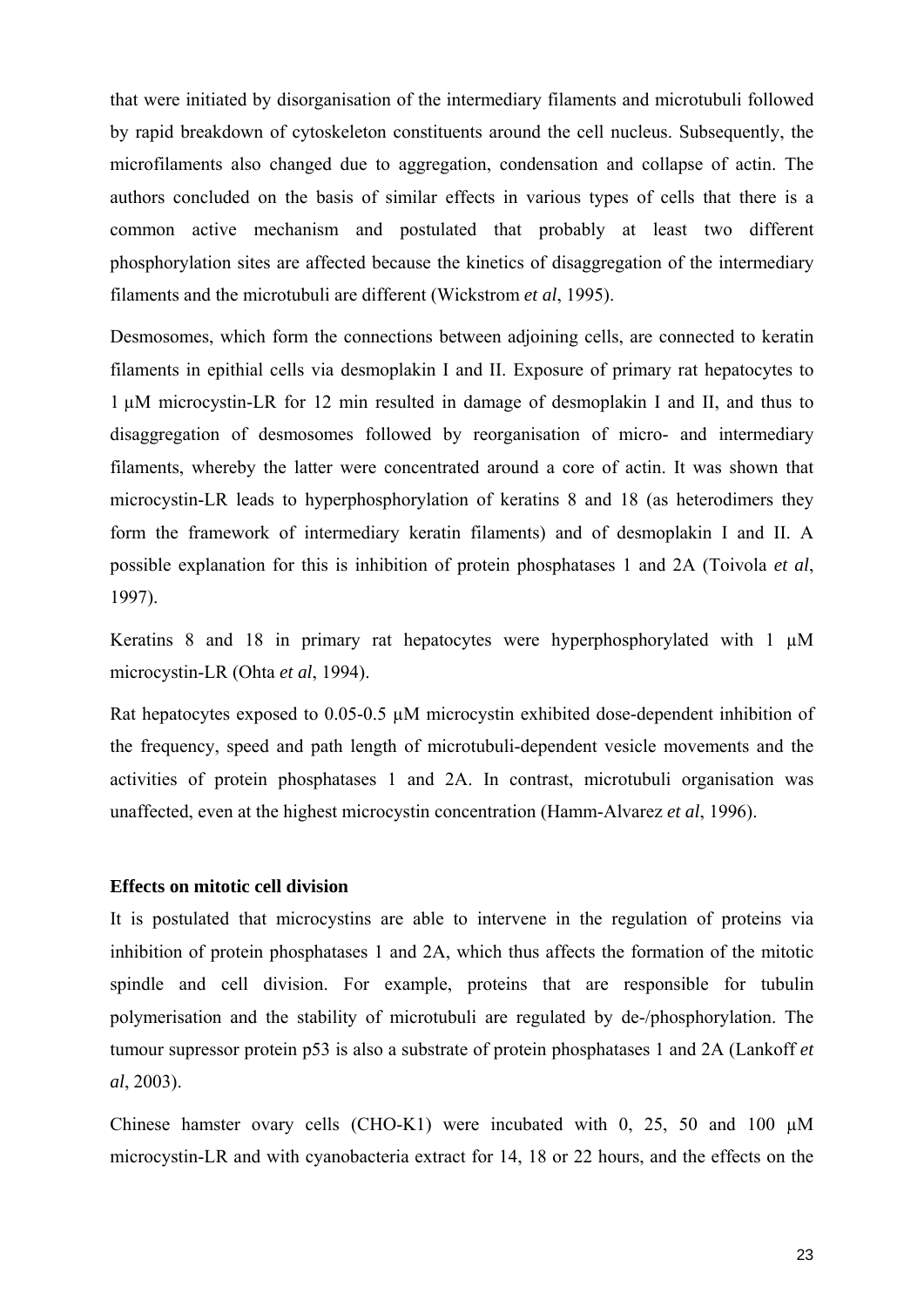that were initiated by disorganisation of the intermediary filaments and microtubuli followed by rapid breakdown of cytoskeleton constituents around the cell nucleus. Subsequently, the microfilaments also changed due to aggregation, condensation and collapse of actin. The authors concluded on the basis of similar effects in various types of cells that there is a common active mechanism and postulated that probably at least two different phosphorylation sites are affected because the kinetics of disaggregation of the intermediary filaments and the microtubuli are different (Wickstrom *et al*, 1995).

Desmosomes, which form the connections between adjoining cells, are connected to keratin filaments in epithial cells via desmoplakin I and II. Exposure of primary rat hepatocytes to 1 µM microcystin-LR for 12 min resulted in damage of desmoplakin I and II, and thus to disaggregation of desmosomes followed by reorganisation of micro- and intermediary filaments, whereby the latter were concentrated around a core of actin. It was shown that microcystin-LR leads to hyperphosphorylation of keratins 8 and 18 (as heterodimers they form the framework of intermediary keratin filaments) and of desmoplakin I and II. A possible explanation for this is inhibition of protein phosphatases 1 and 2A (Toivola *et al*, 1997).

Keratins 8 and 18 in primary rat hepatocytes were hyperphosphorylated with 1  $\mu$ M microcystin-LR (Ohta *et al*, 1994).

Rat hepatocytes exposed to 0.05-0.5  $\mu$ M microcystin exhibited dose-dependent inhibition of the frequency, speed and path length of microtubuli-dependent vesicle movements and the activities of protein phosphatases 1 and 2A. In contrast, microtubuli organisation was unaffected, even at the highest microcystin concentration (Hamm-Alvarez *et al*, 1996).

#### **Effects on mitotic cell division**

It is postulated that microcystins are able to intervene in the regulation of proteins via inhibition of protein phosphatases 1 and 2A, which thus affects the formation of the mitotic spindle and cell division. For example, proteins that are responsible for tubulin polymerisation and the stability of microtubuli are regulated by de-/phosphorylation. The tumour supressor protein p53 is also a substrate of protein phosphatases 1 and 2A (Lankoff *et al*, 2003).

Chinese hamster ovary cells (CHO-K1) were incubated with 0, 25, 50 and 100  $\mu$ M microcystin-LR and with cyanobacteria extract for 14, 18 or 22 hours, and the effects on the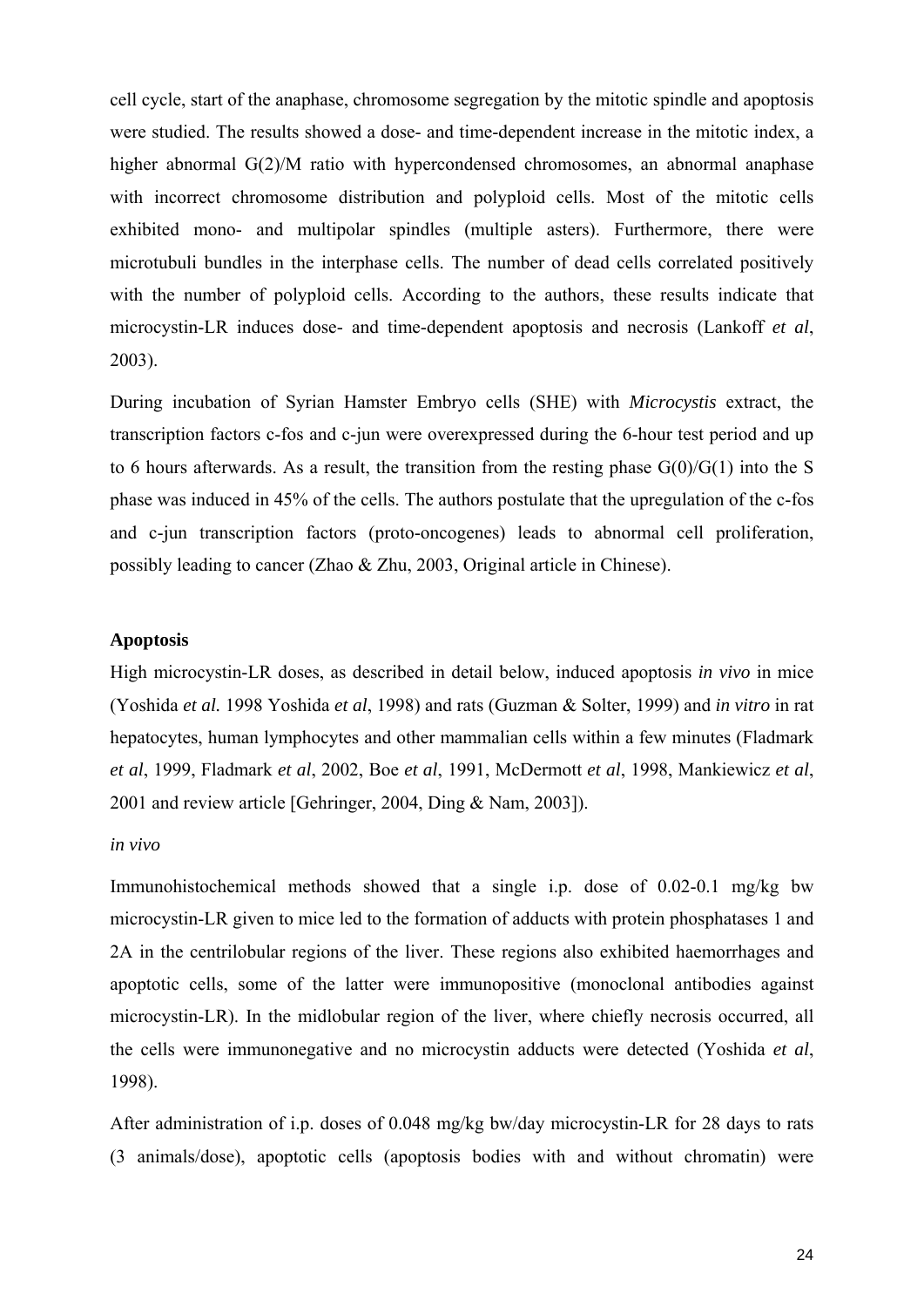cell cycle, start of the anaphase, chromosome segregation by the mitotic spindle and apoptosis were studied. The results showed a dose- and time-dependent increase in the mitotic index, a higher abnormal G(2)/M ratio with hypercondensed chromosomes, an abnormal anaphase with incorrect chromosome distribution and polyploid cells. Most of the mitotic cells exhibited mono- and multipolar spindles (multiple asters). Furthermore, there were microtubuli bundles in the interphase cells. The number of dead cells correlated positively with the number of polyploid cells. According to the authors, these results indicate that microcystin-LR induces dose- and time-dependent apoptosis and necrosis (Lankoff *et al*, 2003).

During incubation of Syrian Hamster Embryo cells (SHE) with *Microcystis* extract, the transcription factors c-fos and c-jun were overexpressed during the 6-hour test period and up to 6 hours afterwards. As a result, the transition from the resting phase  $G(0)/G(1)$  into the S phase was induced in 45% of the cells. The authors postulate that the upregulation of the c-fos and c-jun transcription factors (proto-oncogenes) leads to abnormal cell proliferation, possibly leading to cancer (Zhao & Zhu, 2003, Original article in Chinese).

## **Apoptosis**

High microcystin-LR doses, as described in detail below, induced apoptosis *in vivo* in mice (Yoshida *et al.* 1998 Yoshida *et al*, 1998) and rats (Guzman & Solter, 1999) and *in vitro* in rat hepatocytes, human lymphocytes and other mammalian cells within a few minutes (Fladmark *et al*, 1999, Fladmark *et al*, 2002, Boe *et al*, 1991, McDermott *et al*, 1998, Mankiewicz *et al*, 2001 and review article [Gehringer, 2004, Ding & Nam, 2003]).

#### *in vivo*

Immunohistochemical methods showed that a single i.p. dose of 0.02-0.1 mg/kg bw microcystin-LR given to mice led to the formation of adducts with protein phosphatases 1 and 2A in the centrilobular regions of the liver. These regions also exhibited haemorrhages and apoptotic cells, some of the latter were immunopositive (monoclonal antibodies against microcystin-LR). In the midlobular region of the liver, where chiefly necrosis occurred, all the cells were immunonegative and no microcystin adducts were detected (Yoshida *et al*, 1998).

After administration of i.p. doses of 0.048 mg/kg bw/day microcystin-LR for 28 days to rats (3 animals/dose), apoptotic cells (apoptosis bodies with and without chromatin) were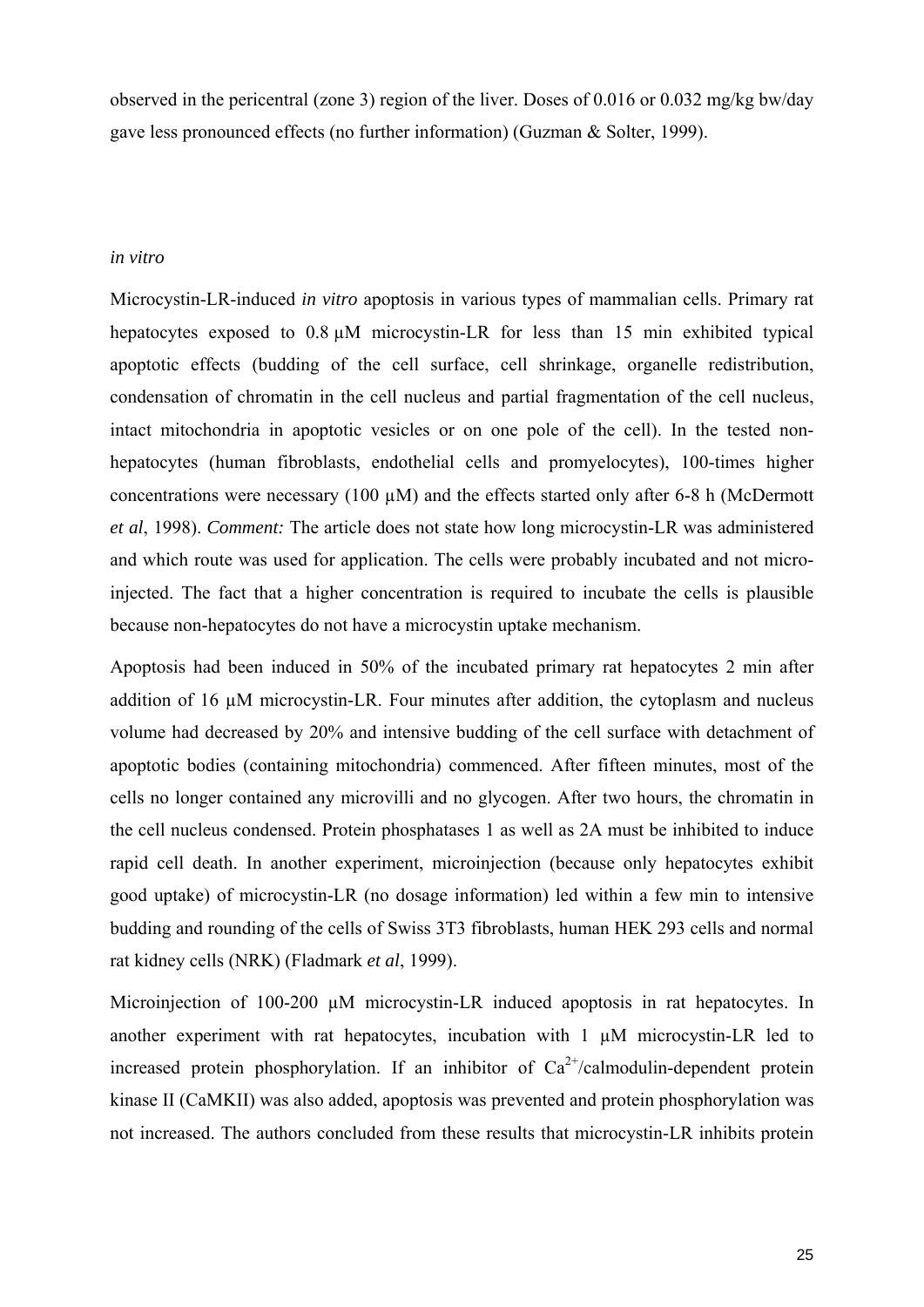observed in the pericentral (zone 3) region of the liver. Doses of 0.016 or 0.032 mg/kg bw/day gave less pronounced effects (no further information) (Guzman & Solter, 1999).

#### *in vitro*

Microcystin-LR-induced *in vitro* apoptosis in various types of mammalian cells. Primary rat hepatocytes exposed to  $0.8 \text{ uM}$  microcystin-LR for less than 15 min exhibited typical apoptotic effects (budding of the cell surface, cell shrinkage, organelle redistribution, condensation of chromatin in the cell nucleus and partial fragmentation of the cell nucleus, intact mitochondria in apoptotic vesicles or on one pole of the cell). In the tested nonhepatocytes (human fibroblasts, endothelial cells and promyelocytes), 100-times higher concentrations were necessary (100  $\mu$ M) and the effects started only after 6-8 h (McDermott *et al*, 1998). *Comment:* The article does not state how long microcystin-LR was administered and which route was used for application. The cells were probably incubated and not microinjected. The fact that a higher concentration is required to incubate the cells is plausible because non-hepatocytes do not have a microcystin uptake mechanism.

Apoptosis had been induced in 50% of the incubated primary rat hepatocytes 2 min after addition of 16  $\mu$ M microcystin-LR. Four minutes after addition, the cytoplasm and nucleus volume had decreased by 20% and intensive budding of the cell surface with detachment of apoptotic bodies (containing mitochondria) commenced. After fifteen minutes, most of the cells no longer contained any microvilli and no glycogen. After two hours, the chromatin in the cell nucleus condensed. Protein phosphatases 1 as well as 2A must be inhibited to induce rapid cell death. In another experiment, microinjection (because only hepatocytes exhibit good uptake) of microcystin-LR (no dosage information) led within a few min to intensive budding and rounding of the cells of Swiss 3T3 fibroblasts, human HEK 293 cells and normal rat kidney cells (NRK) (Fladmark *et al*, 1999).

Microinjection of 100-200  $\mu$ M microcystin-LR induced apoptosis in rat hepatocytes. In another experiment with rat hepatocytes, incubation with 1 µM microcystin-LR led to increased protein phosphorylation. If an inhibitor of  $Ca^{2+}/cal$ calmodulin-dependent protein kinase II (CaMKII) was also added, apoptosis was prevented and protein phosphorylation was not increased. The authors concluded from these results that microcystin-LR inhibits protein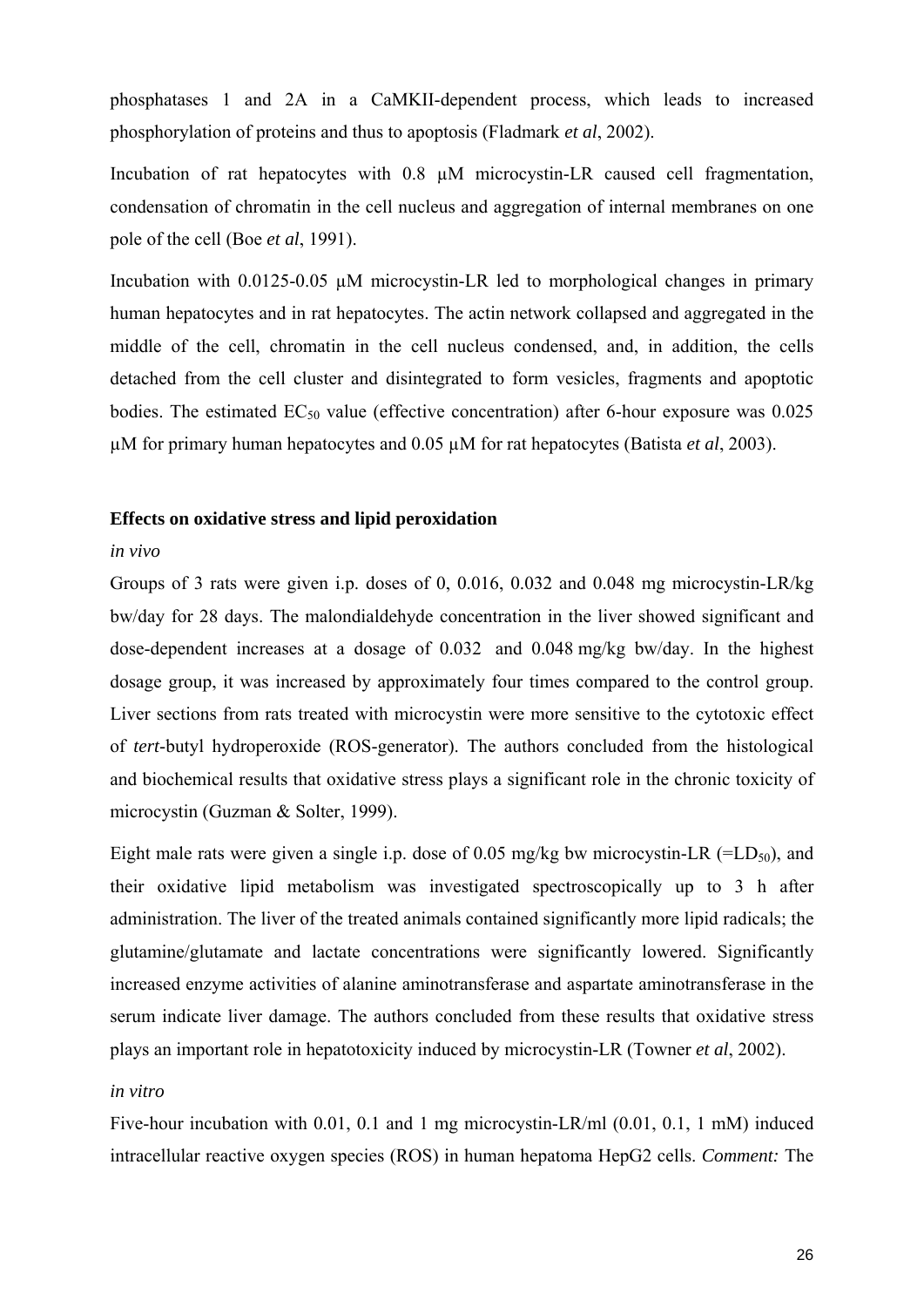phosphatases 1 and 2A in a CaMKII-dependent process, which leads to increased phosphorylation of proteins and thus to apoptosis (Fladmark *et al*, 2002).

Incubation of rat hepatocytes with 0.8 µM microcystin-LR caused cell fragmentation, condensation of chromatin in the cell nucleus and aggregation of internal membranes on one pole of the cell (Boe *et al*, 1991).

Incubation with  $0.0125-0.05 \mu M$  microcystin-LR led to morphological changes in primary human hepatocytes and in rat hepatocytes. The actin network collapsed and aggregated in the middle of the cell, chromatin in the cell nucleus condensed, and, in addition, the cells detached from the cell cluster and disintegrated to form vesicles, fragments and apoptotic bodies. The estimated  $EC_{50}$  value (effective concentration) after 6-hour exposure was 0.025 µM for primary human hepatocytes and 0.05 µM for rat hepatocytes (Batista *et al*, 2003).

## **Effects on oxidative stress and lipid peroxidation**

## *in vivo*

Groups of 3 rats were given i.p. doses of 0, 0.016, 0.032 and 0.048 mg microcystin-LR/kg bw/day for 28 days. The malondialdehyde concentration in the liver showed significant and dose-dependent increases at a dosage of 0.032 and 0.048 mg/kg bw/day. In the highest dosage group, it was increased by approximately four times compared to the control group. Liver sections from rats treated with microcystin were more sensitive to the cytotoxic effect of *tert*-butyl hydroperoxide (ROS-generator). The authors concluded from the histological and biochemical results that oxidative stress plays a significant role in the chronic toxicity of microcystin (Guzman & Solter, 1999).

Eight male rats were given a single i.p. dose of 0.05 mg/kg bw microcystin-LR (=LD<sub>50</sub>), and their oxidative lipid metabolism was investigated spectroscopically up to 3 h after administration. The liver of the treated animals contained significantly more lipid radicals; the glutamine/glutamate and lactate concentrations were significantly lowered. Significantly increased enzyme activities of alanine aminotransferase and aspartate aminotransferase in the serum indicate liver damage. The authors concluded from these results that oxidative stress plays an important role in hepatotoxicity induced by microcystin-LR (Towner *et al*, 2002).

#### *in vitro*

Five-hour incubation with 0.01, 0.1 and 1 mg microcystin-LR/ml (0.01, 0.1, 1 mM) induced intracellular reactive oxygen species (ROS) in human hepatoma HepG2 cells. *Comment:* The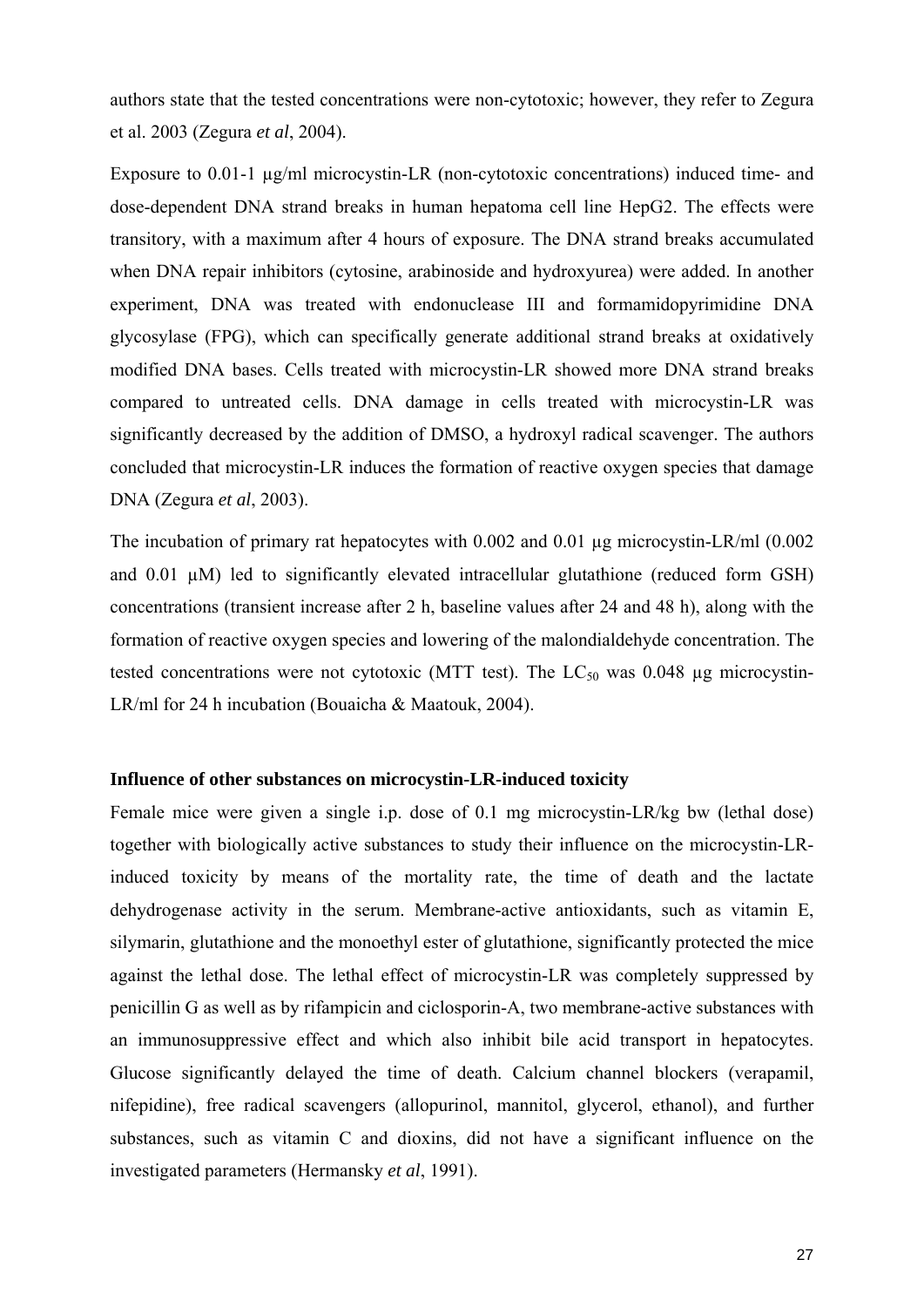authors state that the tested concentrations were non-cytotoxic; however, they refer to Zegura et al. 2003 (Zegura *et al*, 2004).

Exposure to 0.01-1  $\mu$ g/ml microcystin-LR (non-cytotoxic concentrations) induced time- and dose-dependent DNA strand breaks in human hepatoma cell line HepG2. The effects were transitory, with a maximum after 4 hours of exposure. The DNA strand breaks accumulated when DNA repair inhibitors (cytosine, arabinoside and hydroxyurea) were added. In another experiment, DNA was treated with endonuclease III and formamidopyrimidine DNA glycosylase (FPG), which can specifically generate additional strand breaks at oxidatively modified DNA bases. Cells treated with microcystin-LR showed more DNA strand breaks compared to untreated cells. DNA damage in cells treated with microcystin-LR was significantly decreased by the addition of DMSO, a hydroxyl radical scavenger. The authors concluded that microcystin-LR induces the formation of reactive oxygen species that damage DNA (Zegura *et al*, 2003).

The incubation of primary rat hepatocytes with 0.002 and 0.01 µg microcystin-LR/ml (0.002 and 0.01  $\mu$ M) led to significantly elevated intracellular glutathione (reduced form GSH) concentrations (transient increase after 2 h, baseline values after 24 and 48 h), along with the formation of reactive oxygen species and lowering of the malondialdehyde concentration. The tested concentrations were not cytotoxic (MTT test). The  $LC_{50}$  was 0.048 µg microcystin-LR/ml for 24 h incubation (Bouaicha & Maatouk, 2004).

## **Influence of other substances on microcystin-LR-induced toxicity**

Female mice were given a single i.p. dose of 0.1 mg microcystin-LR/kg bw (lethal dose) together with biologically active substances to study their influence on the microcystin-LRinduced toxicity by means of the mortality rate, the time of death and the lactate dehydrogenase activity in the serum. Membrane-active antioxidants, such as vitamin E, silymarin, glutathione and the monoethyl ester of glutathione, significantly protected the mice against the lethal dose. The lethal effect of microcystin-LR was completely suppressed by penicillin G as well as by rifampicin and ciclosporin-A, two membrane-active substances with an immunosuppressive effect and which also inhibit bile acid transport in hepatocytes. Glucose significantly delayed the time of death. Calcium channel blockers (verapamil, nifepidine), free radical scavengers (allopurinol, mannitol, glycerol, ethanol), and further substances, such as vitamin C and dioxins, did not have a significant influence on the investigated parameters (Hermansky *et al*, 1991).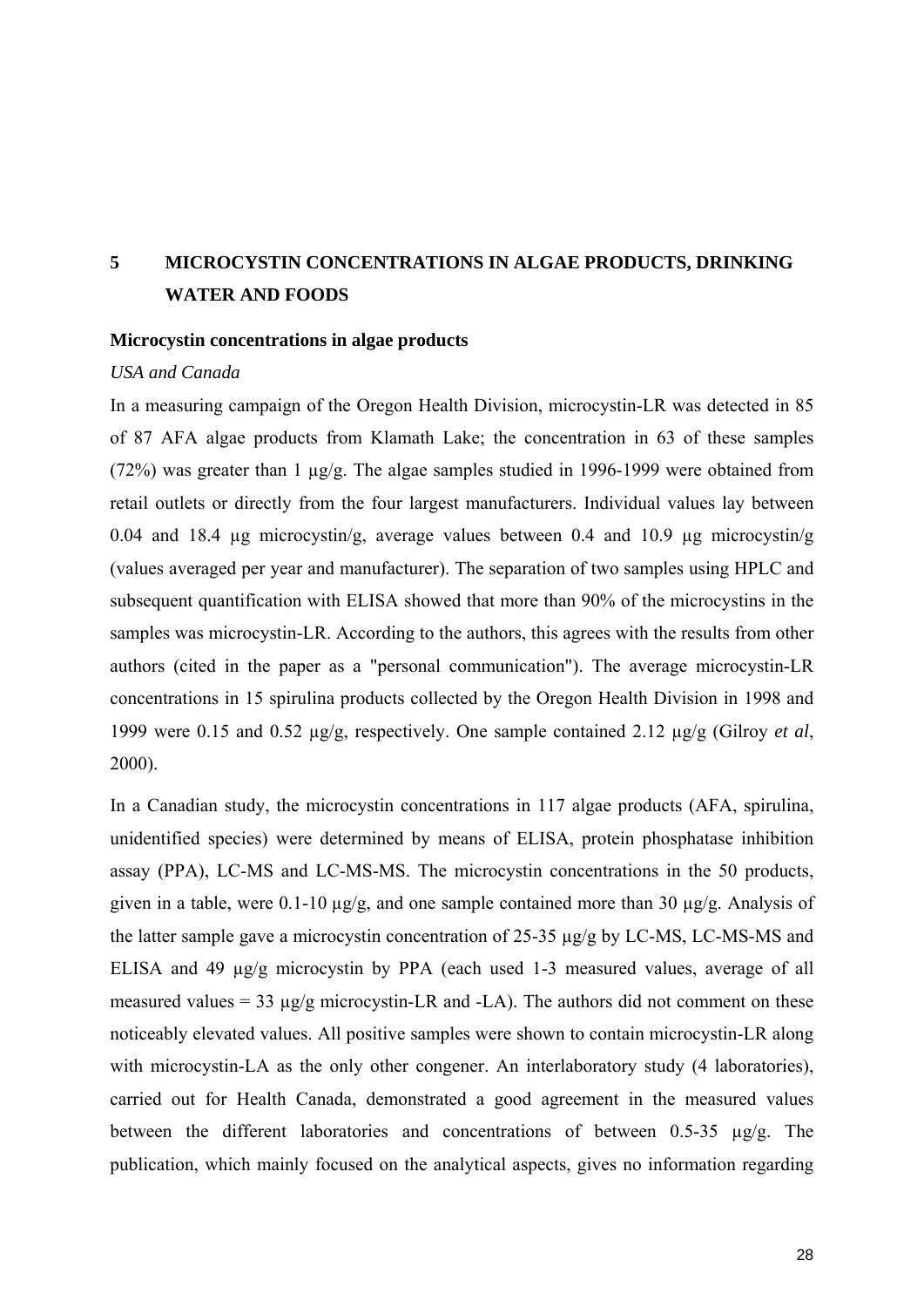# **5 MICROCYSTIN CONCENTRATIONS IN ALGAE PRODUCTS, DRINKING WATER AND FOODS**

#### **Microcystin concentrations in algae products**

#### *USA and Canada*

In a measuring campaign of the Oregon Health Division, microcystin-LR was detected in 85 of 87 AFA algae products from Klamath Lake; the concentration in 63 of these samples (72%) was greater than 1  $\mu$ g/g. The algae samples studied in 1996-1999 were obtained from retail outlets or directly from the four largest manufacturers. Individual values lay between 0.04 and 18.4 ug microcystin/g, average values between 0.4 and 10.9 ug microcystin/g (values averaged per year and manufacturer). The separation of two samples using HPLC and subsequent quantification with ELISA showed that more than 90% of the microcystins in the samples was microcystin-LR. According to the authors, this agrees with the results from other authors (cited in the paper as a "personal communication"). The average microcystin-LR concentrations in 15 spirulina products collected by the Oregon Health Division in 1998 and 1999 were 0.15 and 0.52 µg/g, respectively. One sample contained 2.12 µg/g (Gilroy *et al*, 2000).

In a Canadian study, the microcystin concentrations in 117 algae products (AFA, spirulina, unidentified species) were determined by means of ELISA, protein phosphatase inhibition assay (PPA), LC-MS and LC-MS-MS. The microcystin concentrations in the 50 products, given in a table, were 0.1-10 µg/g, and one sample contained more than 30 µg/g. Analysis of the latter sample gave a microcystin concentration of 25-35 µg/g by LC-MS, LC-MS-MS and ELISA and 49 µg/g microcystin by PPA (each used 1-3 measured values, average of all measured values = 33  $\mu$ g/g microcystin-LR and -LA). The authors did not comment on these noticeably elevated values. All positive samples were shown to contain microcystin-LR along with microcystin-LA as the only other congener. An interlaboratory study (4 laboratories), carried out for Health Canada, demonstrated a good agreement in the measured values between the different laboratories and concentrations of between 0.5-35 µg/g. The publication, which mainly focused on the analytical aspects, gives no information regarding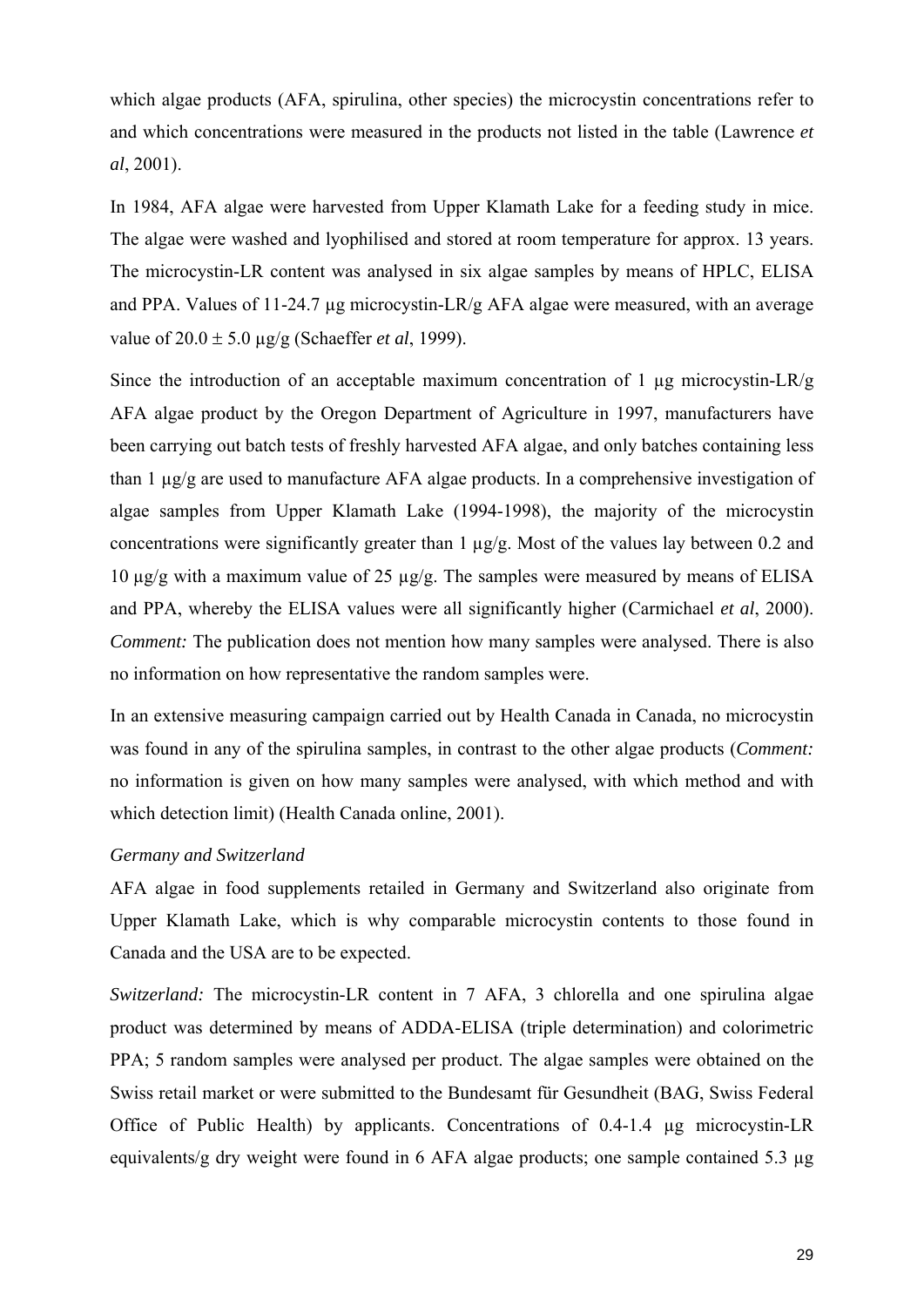which algae products (AFA, spirulina, other species) the microcystin concentrations refer to and which concentrations were measured in the products not listed in the table (Lawrence *et al*, 2001).

In 1984, AFA algae were harvested from Upper Klamath Lake for a feeding study in mice. The algae were washed and lyophilised and stored at room temperature for approx. 13 years. The microcystin-LR content was analysed in six algae samples by means of HPLC, ELISA and PPA. Values of 11-24.7 µg microcystin-LR/g AFA algae were measured, with an average value of 20.0 ± 5.0 µg/g (Schaeffer *et al*, 1999).

Since the introduction of an acceptable maximum concentration of 1  $\mu$ g microcystin-LR/g AFA algae product by the Oregon Department of Agriculture in 1997, manufacturers have been carrying out batch tests of freshly harvested AFA algae, and only batches containing less than 1 µg/g are used to manufacture AFA algae products. In a comprehensive investigation of algae samples from Upper Klamath Lake (1994-1998), the majority of the microcystin concentrations were significantly greater than 1 µg/g. Most of the values lay between 0.2 and 10  $\mu$ g/g with a maximum value of 25  $\mu$ g/g. The samples were measured by means of ELISA and PPA, whereby the ELISA values were all significantly higher (Carmichael *et al*, 2000). *Comment:* The publication does not mention how many samples were analysed. There is also no information on how representative the random samples were.

In an extensive measuring campaign carried out by Health Canada in Canada, no microcystin was found in any of the spirulina samples, in contrast to the other algae products (*Comment:* no information is given on how many samples were analysed, with which method and with which detection limit) (Health Canada online, 2001).

#### *Germany and Switzerland*

AFA algae in food supplements retailed in Germany and Switzerland also originate from Upper Klamath Lake, which is why comparable microcystin contents to those found in Canada and the USA are to be expected.

*Switzerland:* The microcystin-LR content in 7 AFA, 3 chlorella and one spirulina algae product was determined by means of ADDA-ELISA (triple determination) and colorimetric PPA; 5 random samples were analysed per product. The algae samples were obtained on the Swiss retail market or were submitted to the Bundesamt für Gesundheit (BAG, Swiss Federal Office of Public Health) by applicants. Concentrations of 0.4-1.4 µg microcystin-LR equivalents/g dry weight were found in 6 AFA algae products; one sample contained 5.3 µg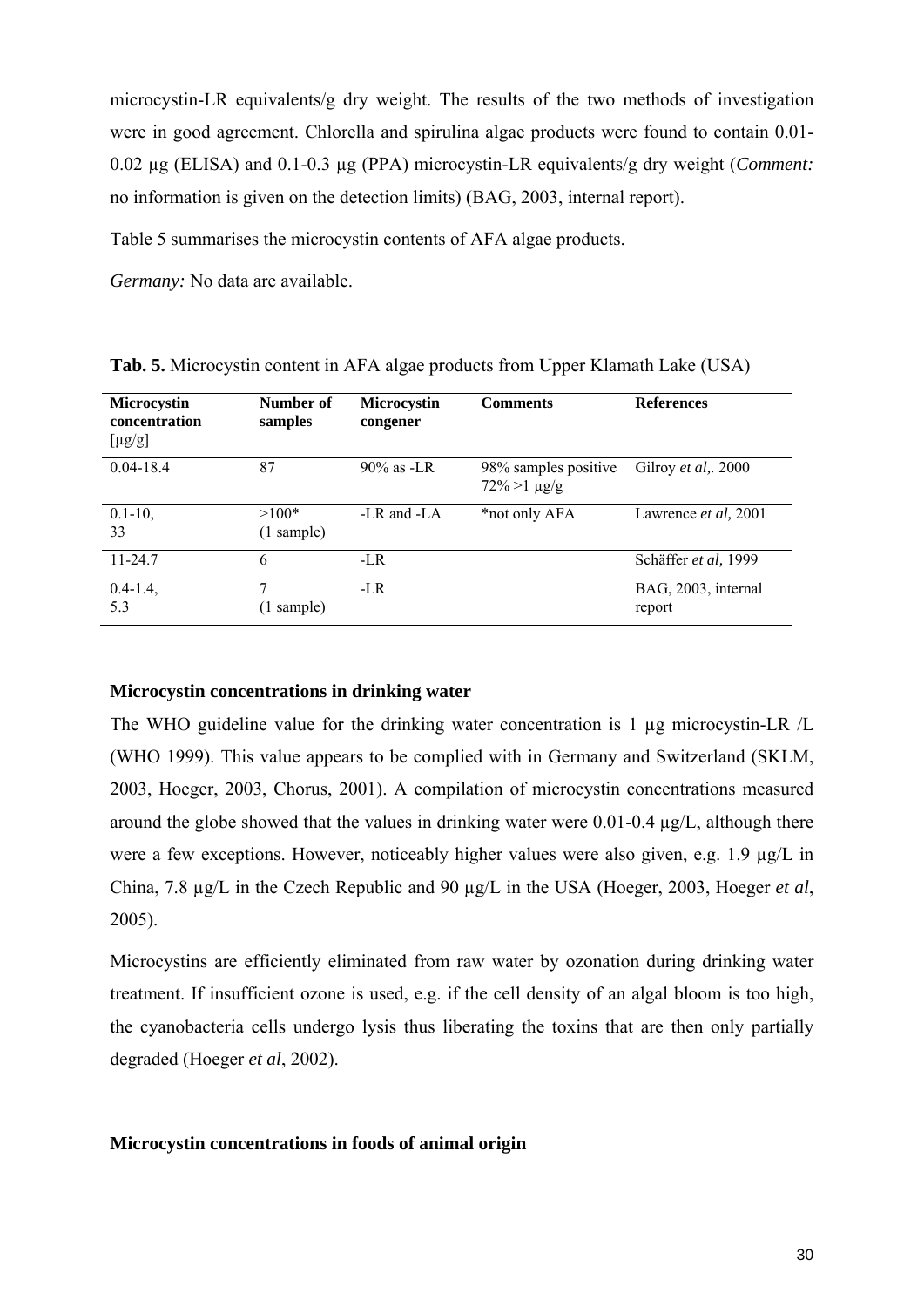microcystin-LR equivalents/g dry weight. The results of the two methods of investigation were in good agreement. Chlorella and spirulina algae products were found to contain 0.01- 0.02 µg (ELISA) and 0.1-0.3 µg (PPA) microcystin-LR equivalents/g dry weight (*Comment:* no information is given on the detection limits) (BAG, 2003, internal report).

Table 5 summarises the microcystin contents of AFA algae products.

*Germany:* No data are available.

| <b>Microcystin</b><br>concentration<br>$[\mu g/g]$ | Number of<br>samples  | <b>Microcystin</b><br>congener | <b>Comments</b>                            | <b>References</b>             |
|----------------------------------------------------|-----------------------|--------------------------------|--------------------------------------------|-------------------------------|
| $0.04 - 18.4$                                      | 87                    | $90\%$ as -LR                  | 98% samples positive<br>$72\% > 1 \mu g/g$ | Gilroy et al,. 2000           |
| $0.1 - 10$ ,<br>33                                 | $>100*$<br>(1 sample) | -LR and -LA                    | *not only AFA                              | Lawrence <i>et al</i> , 2001  |
| $11 - 24.7$                                        | 6                     | $-LR$                          |                                            | Schäffer et al, 1999          |
| $0.4 - 1.4$ ,<br>5.3                               | 7<br>sample)          | $-LR$                          |                                            | BAG, 2003, internal<br>report |

**Tab. 5.** Microcystin content in AFA algae products from Upper Klamath Lake (USA)

### **Microcystin concentrations in drinking water**

The WHO guideline value for the drinking water concentration is 1 µg microcystin-LR /L (WHO 1999). This value appears to be complied with in Germany and Switzerland (SKLM, 2003, Hoeger, 2003, Chorus, 2001). A compilation of microcystin concentrations measured around the globe showed that the values in drinking water were 0.01-0.4 µg/L, although there were a few exceptions. However, noticeably higher values were also given, e.g. 1.9  $\mu$ g/L in China, 7.8 µg/L in the Czech Republic and 90 µg/L in the USA (Hoeger, 2003, Hoeger *et al*, 2005).

Microcystins are efficiently eliminated from raw water by ozonation during drinking water treatment. If insufficient ozone is used, e.g. if the cell density of an algal bloom is too high, the cyanobacteria cells undergo lysis thus liberating the toxins that are then only partially degraded (Hoeger *et al*, 2002).

#### **Microcystin concentrations in foods of animal origin**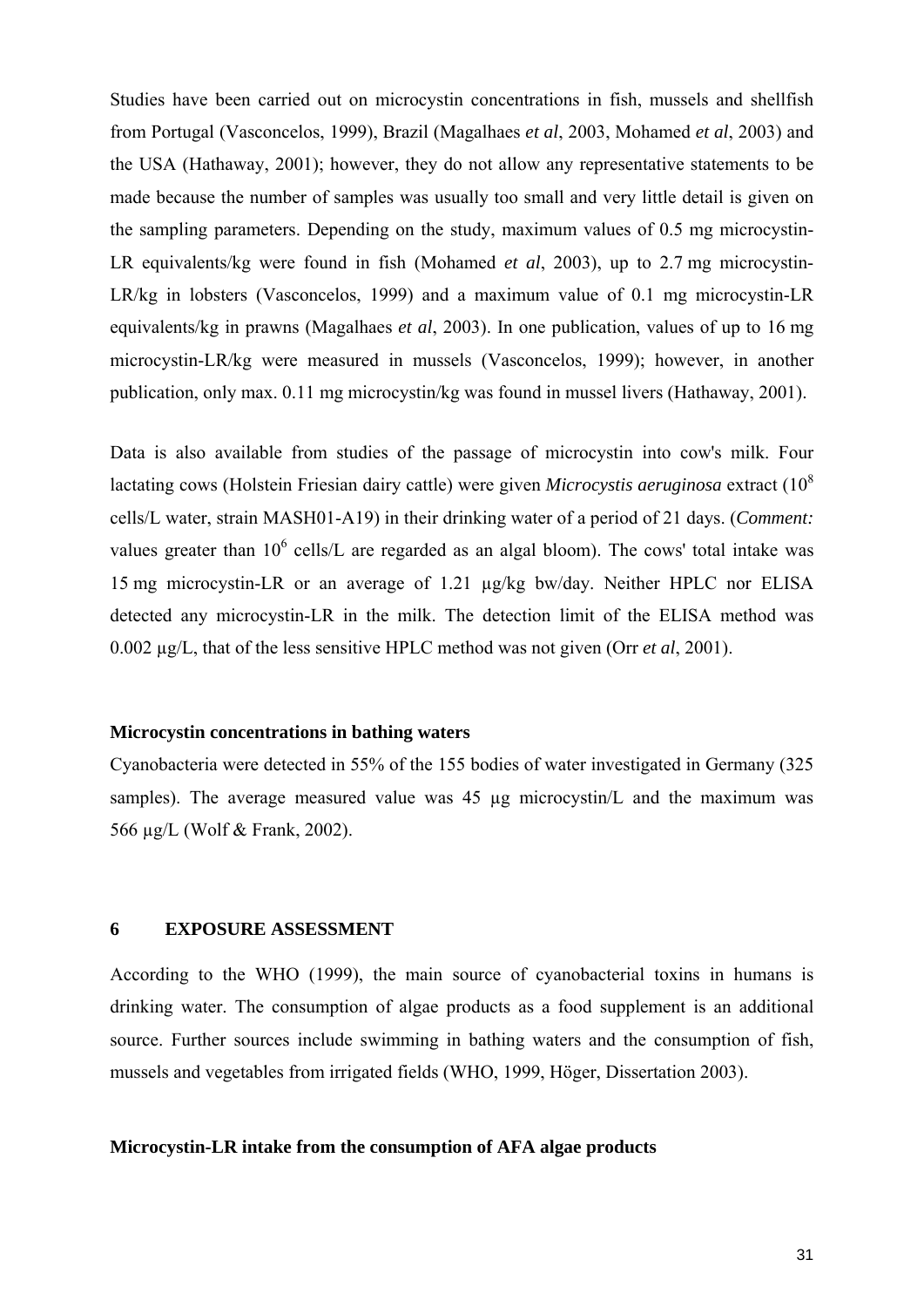Studies have been carried out on microcystin concentrations in fish, mussels and shellfish from Portugal (Vasconcelos, 1999), Brazil (Magalhaes *et al*, 2003, Mohamed *et al*, 2003) and the USA (Hathaway, 2001); however, they do not allow any representative statements to be made because the number of samples was usually too small and very little detail is given on the sampling parameters. Depending on the study, maximum values of 0.5 mg microcystin-LR equivalents/kg were found in fish (Mohamed *et al*, 2003), up to 2.7 mg microcystin-LR/kg in lobsters (Vasconcelos, 1999) and a maximum value of 0.1 mg microcystin-LR equivalents/kg in prawns (Magalhaes *et al*, 2003). In one publication, values of up to 16 mg microcystin-LR/kg were measured in mussels (Vasconcelos, 1999); however, in another publication, only max. 0.11 mg microcystin/kg was found in mussel livers (Hathaway, 2001).

Data is also available from studies of the passage of microcystin into cow's milk. Four lactating cows (Holstein Friesian dairy cattle) were given *Microcystis aeruginosa* extract (108 cells/L water, strain MASH01-A19) in their drinking water of a period of 21 days. (*Comment:* values greater than  $10^6$  cells/L are regarded as an algal bloom). The cows' total intake was 15 mg microcystin-LR or an average of 1.21 µg/kg bw/day. Neither HPLC nor ELISA detected any microcystin-LR in the milk. The detection limit of the ELISA method was 0.002 µg/L, that of the less sensitive HPLC method was not given (Orr *et al*, 2001).

#### **Microcystin concentrations in bathing waters**

Cyanobacteria were detected in 55% of the 155 bodies of water investigated in Germany (325 samples). The average measured value was  $45 \text{ µg}$  microcystin/L and the maximum was 566 µg/L (Wolf & Frank, 2002).

### **6 EXPOSURE ASSESSMENT**

According to the WHO (1999), the main source of cyanobacterial toxins in humans is drinking water. The consumption of algae products as a food supplement is an additional source. Further sources include swimming in bathing waters and the consumption of fish, mussels and vegetables from irrigated fields (WHO, 1999, Höger, Dissertation 2003).

## **Microcystin-LR intake from the consumption of AFA algae products**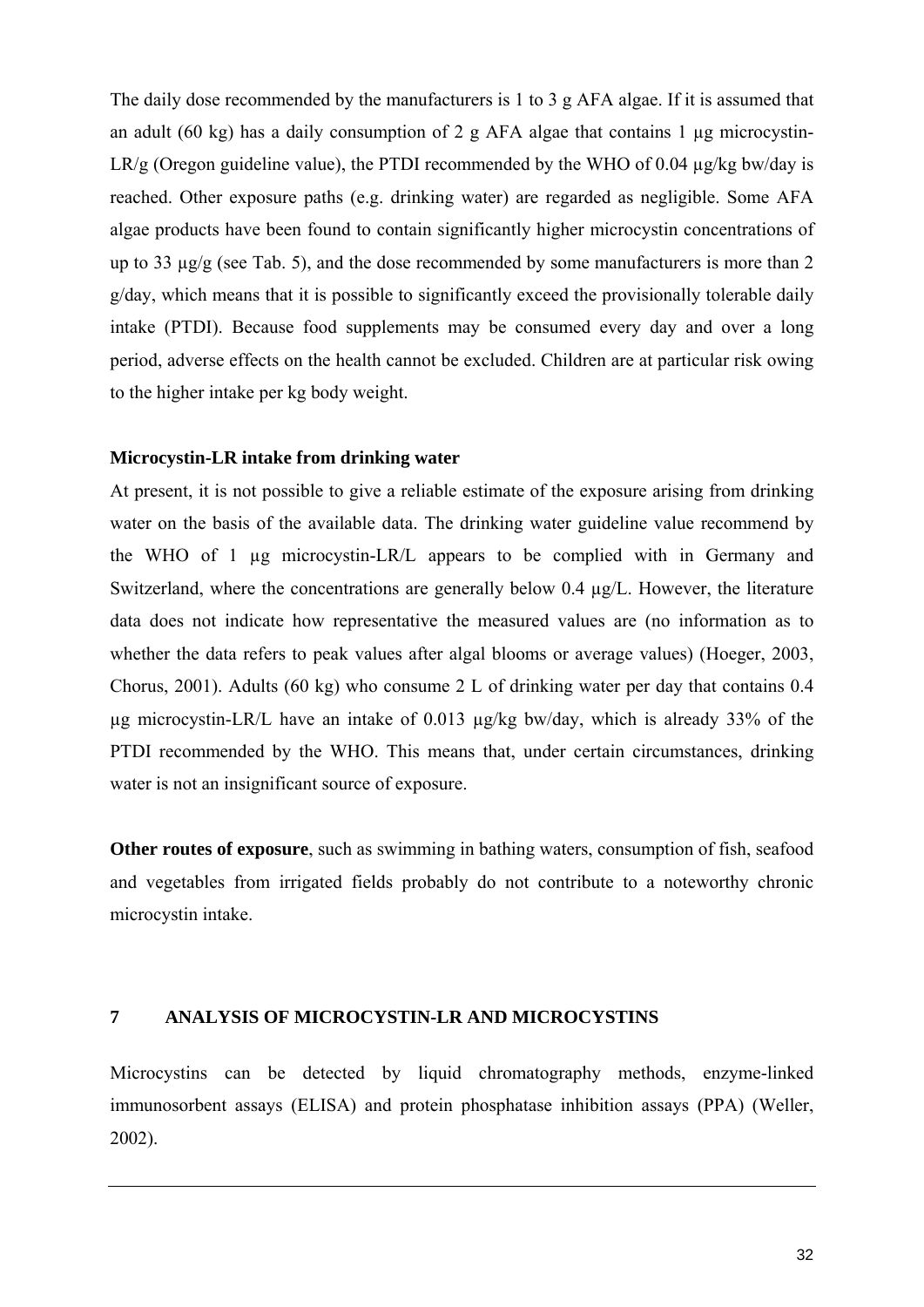The daily dose recommended by the manufacturers is 1 to 3 g AFA algae. If it is assumed that an adult (60 kg) has a daily consumption of 2 g AFA algae that contains 1  $\mu$ g microcystin-LR/g (Oregon guideline value), the PTDI recommended by the WHO of 0.04  $\mu$ g/kg bw/day is reached. Other exposure paths (e.g. drinking water) are regarded as negligible. Some AFA algae products have been found to contain significantly higher microcystin concentrations of up to 33 µg/g (see Tab. 5), and the dose recommended by some manufacturers is more than 2 g/day, which means that it is possible to significantly exceed the provisionally tolerable daily intake (PTDI). Because food supplements may be consumed every day and over a long period, adverse effects on the health cannot be excluded. Children are at particular risk owing to the higher intake per kg body weight.

#### **Microcystin-LR intake from drinking water**

At present, it is not possible to give a reliable estimate of the exposure arising from drinking water on the basis of the available data. The drinking water guideline value recommend by the WHO of 1 µg microcystin-LR/L appears to be complied with in Germany and Switzerland, where the concentrations are generally below 0.4 µg/L. However, the literature data does not indicate how representative the measured values are (no information as to whether the data refers to peak values after algal blooms or average values) (Hoeger, 2003, Chorus, 2001). Adults (60 kg) who consume 2 L of drinking water per day that contains 0.4 µg microcystin-LR/L have an intake of 0.013 µg/kg bw/day, which is already 33% of the PTDI recommended by the WHO. This means that, under certain circumstances, drinking water is not an insignificant source of exposure.

**Other routes of exposure**, such as swimming in bathing waters, consumption of fish, seafood and vegetables from irrigated fields probably do not contribute to a noteworthy chronic microcystin intake.

## **7 ANALYSIS OF MICROCYSTIN-LR AND MICROCYSTINS**

Microcystins can be detected by liquid chromatography methods, enzyme-linked immunosorbent assays (ELISA) and protein phosphatase inhibition assays (PPA) (Weller, 2002).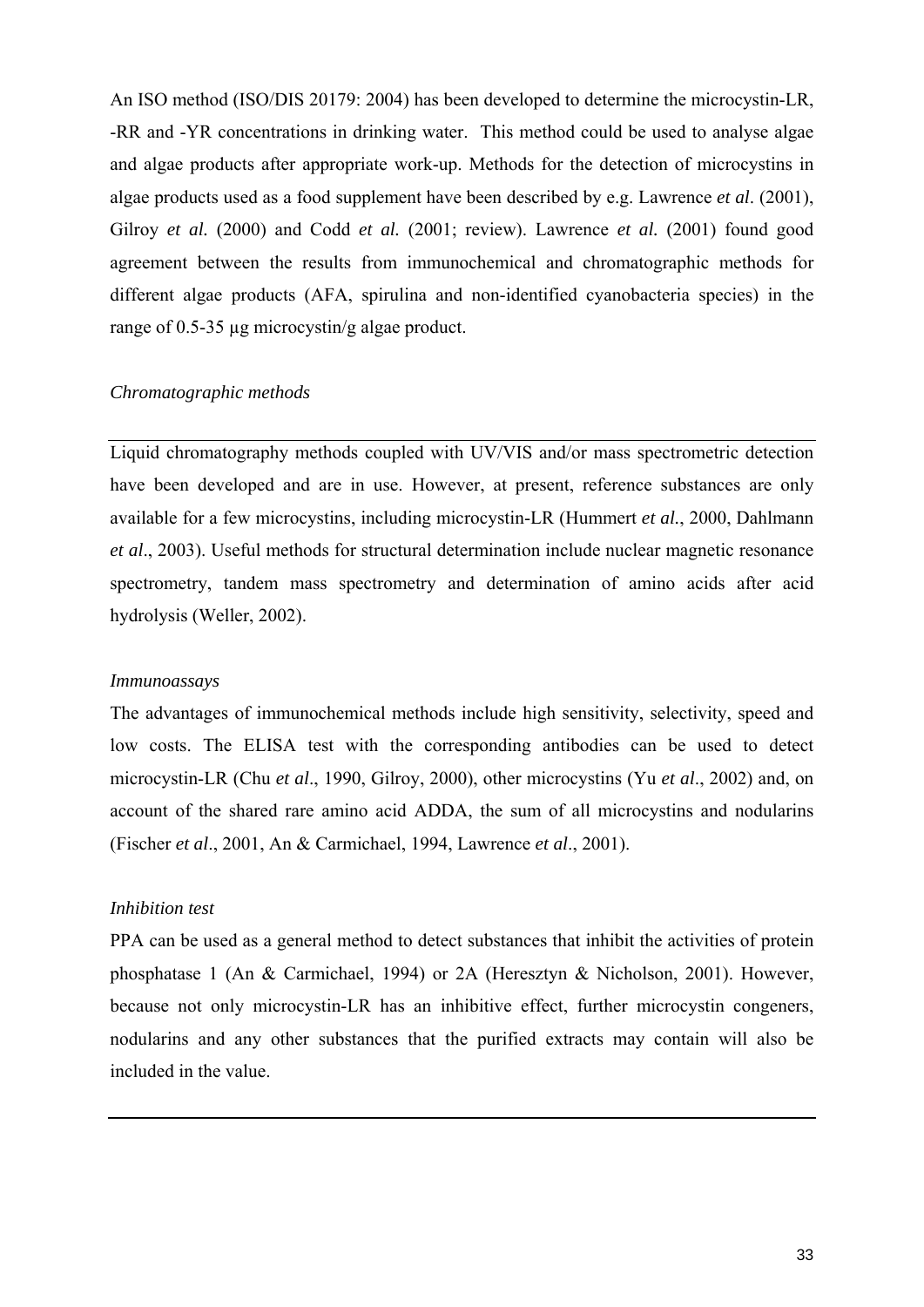An ISO method (ISO/DIS 20179: 2004) has been developed to determine the microcystin-LR, -RR and -YR concentrations in drinking water. This method could be used to analyse algae and algae products after appropriate work-up. Methods for the detection of microcystins in algae products used as a food supplement have been described by e.g. Lawrence *et al*. (2001), Gilroy *et al.* (2000) and Codd *et al.* (2001; review). Lawrence *et al.* (2001) found good agreement between the results from immunochemical and chromatographic methods for different algae products (AFA, spirulina and non-identified cyanobacteria species) in the range of 0.5-35 µg microcystin/g algae product.

## *Chromatographic methods*

Liquid chromatography methods coupled with UV/VIS and/or mass spectrometric detection have been developed and are in use. However, at present, reference substances are only available for a few microcystins, including microcystin-LR (Hummert *et al.*, 2000, Dahlmann *et al*., 2003). Useful methods for structural determination include nuclear magnetic resonance spectrometry, tandem mass spectrometry and determination of amino acids after acid hydrolysis (Weller, 2002).

#### *Immunoassays*

The advantages of immunochemical methods include high sensitivity, selectivity, speed and low costs. The ELISA test with the corresponding antibodies can be used to detect microcystin-LR (Chu *et al*., 1990, Gilroy, 2000), other microcystins (Yu *et al*., 2002) and, on account of the shared rare amino acid ADDA, the sum of all microcystins and nodularins (Fischer *et al*., 2001, An & Carmichael, 1994, Lawrence *et al*., 2001).

## *Inhibition test*

PPA can be used as a general method to detect substances that inhibit the activities of protein phosphatase 1 (An & Carmichael, 1994) or 2A (Heresztyn & Nicholson, 2001). However, because not only microcystin-LR has an inhibitive effect, further microcystin congeners, nodularins and any other substances that the purified extracts may contain will also be included in the value.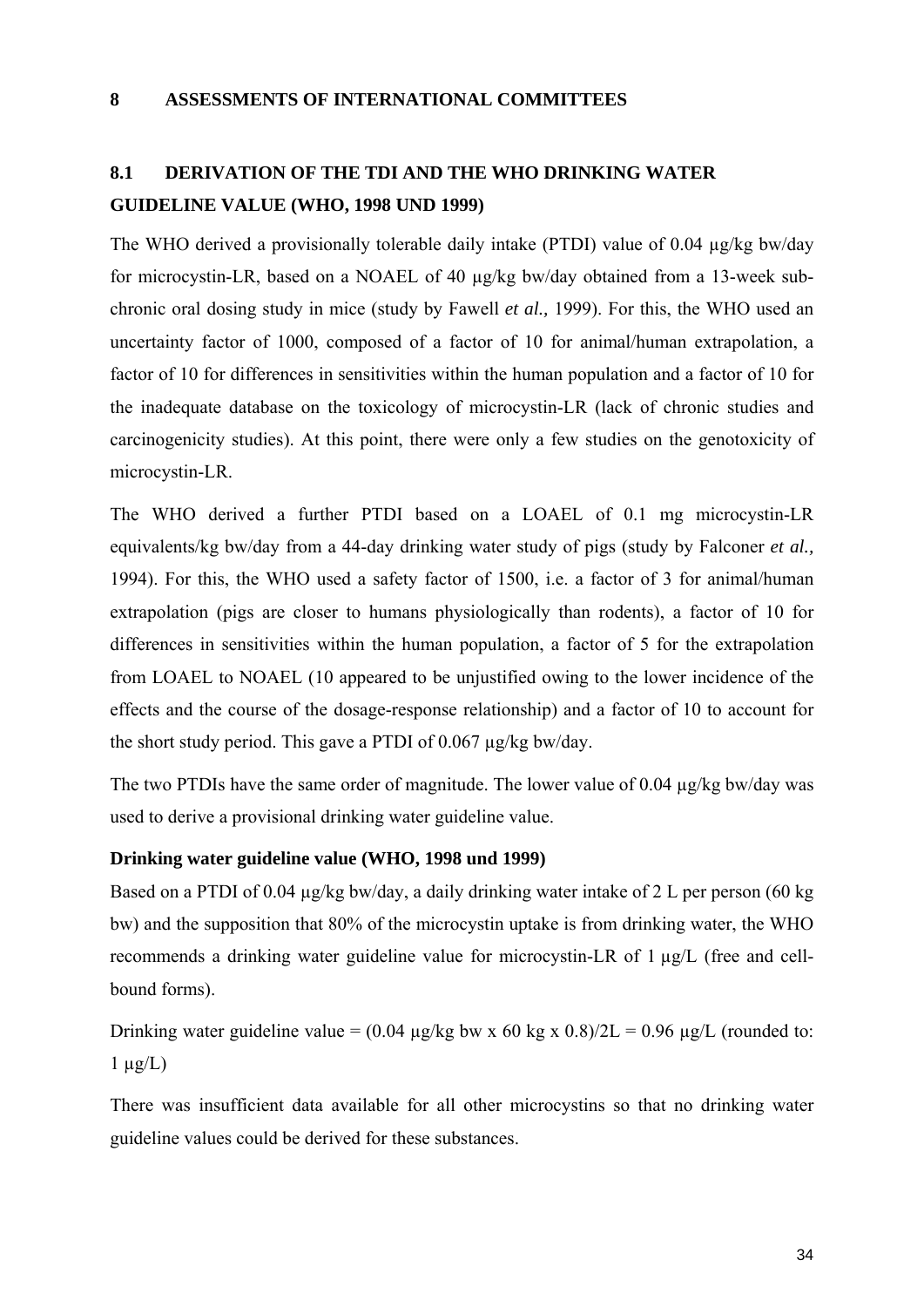## **8 ASSESSMENTS OF INTERNATIONAL COMMITTEES**

## **8.1 DERIVATION OF THE TDI AND THE WHO DRINKING WATER GUIDELINE VALUE (WHO, 1998 UND 1999)**

The WHO derived a provisionally tolerable daily intake (PTDI) value of 0.04 µg/kg bw/day for microcystin-LR, based on a NOAEL of 40 µg/kg bw/day obtained from a 13-week subchronic oral dosing study in mice (study by Fawell *et al.,* 1999). For this, the WHO used an uncertainty factor of 1000, composed of a factor of 10 for animal/human extrapolation, a factor of 10 for differences in sensitivities within the human population and a factor of 10 for the inadequate database on the toxicology of microcystin-LR (lack of chronic studies and carcinogenicity studies). At this point, there were only a few studies on the genotoxicity of microcystin-LR.

The WHO derived a further PTDI based on a LOAEL of 0.1 mg microcystin-LR equivalents/kg bw/day from a 44-day drinking water study of pigs (study by Falconer *et al.,* 1994). For this, the WHO used a safety factor of 1500, i.e. a factor of 3 for animal/human extrapolation (pigs are closer to humans physiologically than rodents), a factor of 10 for differences in sensitivities within the human population, a factor of 5 for the extrapolation from LOAEL to NOAEL (10 appeared to be unjustified owing to the lower incidence of the effects and the course of the dosage-response relationship) and a factor of 10 to account for the short study period. This gave a PTDI of 0.067 µg/kg bw/day.

The two PTDIs have the same order of magnitude. The lower value of 0.04 µg/kg bw/day was used to derive a provisional drinking water guideline value.

## **Drinking water guideline value (WHO, 1998 und 1999)**

Based on a PTDI of 0.04  $\mu$ g/kg bw/day, a daily drinking water intake of 2 L per person (60 kg bw) and the supposition that 80% of the microcystin uptake is from drinking water, the WHO recommends a drinking water guideline value for microcystin-LR of 1 µg/L (free and cellbound forms).

Drinking water guideline value =  $(0.04 \text{ µg/kg}$  bw x 60 kg x  $0.8/2L = 0.96 \text{ µg/L}$  (rounded to:  $1 \mu g/L$ )

There was insufficient data available for all other microcystins so that no drinking water guideline values could be derived for these substances.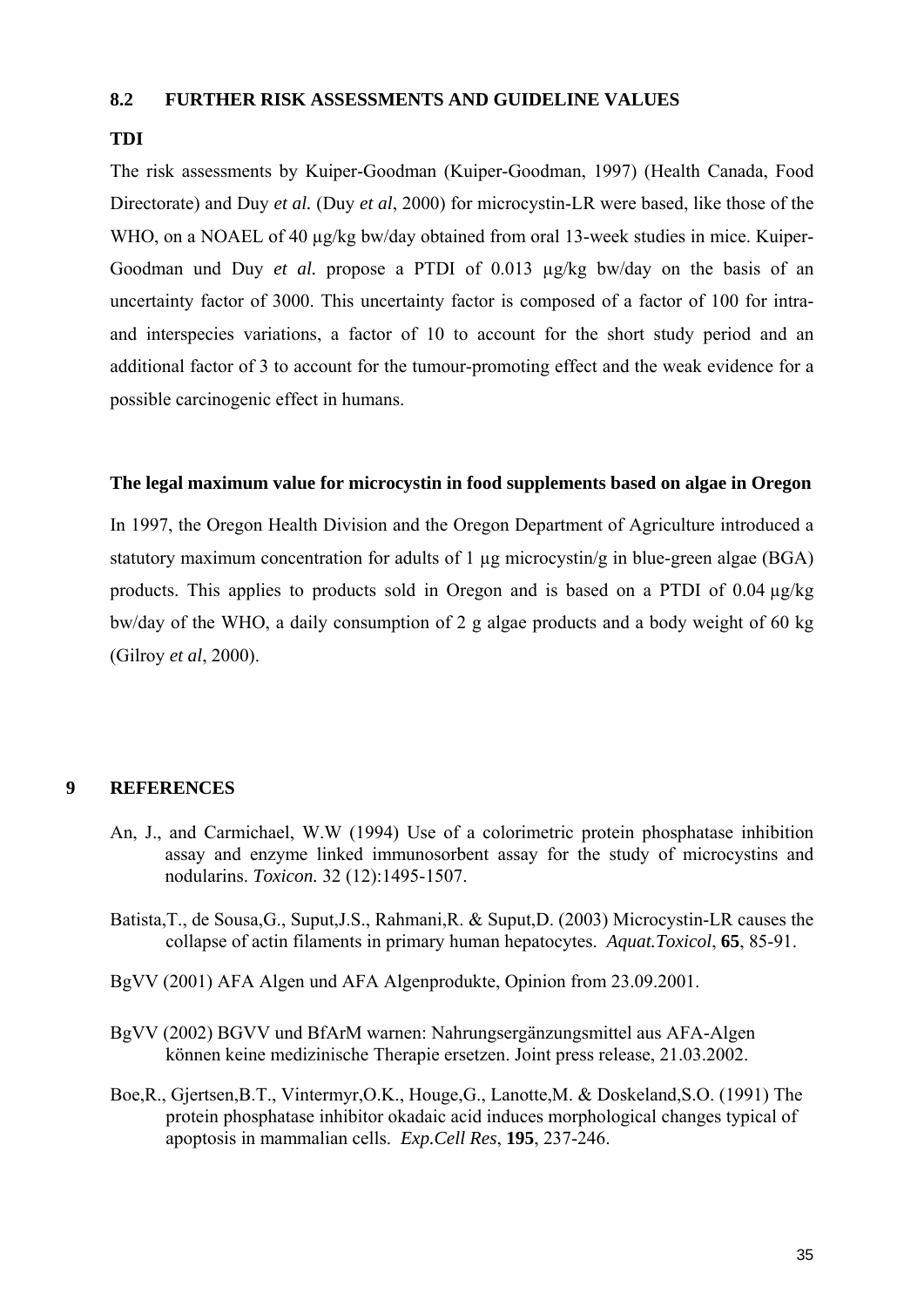## **8.2 FURTHER RISK ASSESSMENTS AND GUIDELINE VALUES**

## **TDI**

The risk assessments by Kuiper-Goodman (Kuiper-Goodman, 1997) (Health Canada, Food Directorate) and Duy *et al.* (Duy *et al*, 2000) for microcystin-LR were based, like those of the WHO, on a NOAEL of 40 µg/kg bw/day obtained from oral 13-week studies in mice. Kuiper-Goodman und Duy *et al.* propose a PTDI of 0.013 µg/kg bw/day on the basis of an uncertainty factor of 3000. This uncertainty factor is composed of a factor of 100 for intraand interspecies variations, a factor of 10 to account for the short study period and an additional factor of 3 to account for the tumour-promoting effect and the weak evidence for a possible carcinogenic effect in humans.

## **The legal maximum value for microcystin in food supplements based on algae in Oregon**

In 1997, the Oregon Health Division and the Oregon Department of Agriculture introduced a statutory maximum concentration for adults of 1  $\mu$ g microcystin/g in blue-green algae (BGA) products. This applies to products sold in Oregon and is based on a PTDI of 0.04 µg/kg bw/day of the WHO, a daily consumption of 2 g algae products and a body weight of 60 kg (Gilroy *et al*, 2000).

#### **9 REFERENCES**

- An, J., and Carmichael, W.W (1994) Use of a colorimetric protein phosphatase inhibition assay and enzyme linked immunosorbent assay for the study of microcystins and nodularins. *Toxicon.* 32 (12):1495-1507.
- Batista,T., de Sousa,G., Suput,J.S., Rahmani,R. & Suput,D. (2003) Microcystin-LR causes the collapse of actin filaments in primary human hepatocytes. *Aquat.Toxicol*, **65**, 85-91.
- BgVV (2001) AFA Algen und AFA Algenprodukte, Opinion from 23.09.2001.
- BgVV (2002) BGVV und BfArM warnen: Nahrungsergänzungsmittel aus AFA-Algen können keine medizinische Therapie ersetzen. Joint press release, 21.03.2002.
- Boe,R., Gjertsen,B.T., Vintermyr,O.K., Houge,G., Lanotte,M. & Doskeland,S.O. (1991) The protein phosphatase inhibitor okadaic acid induces morphological changes typical of apoptosis in mammalian cells. *Exp.Cell Res*, **195**, 237-246.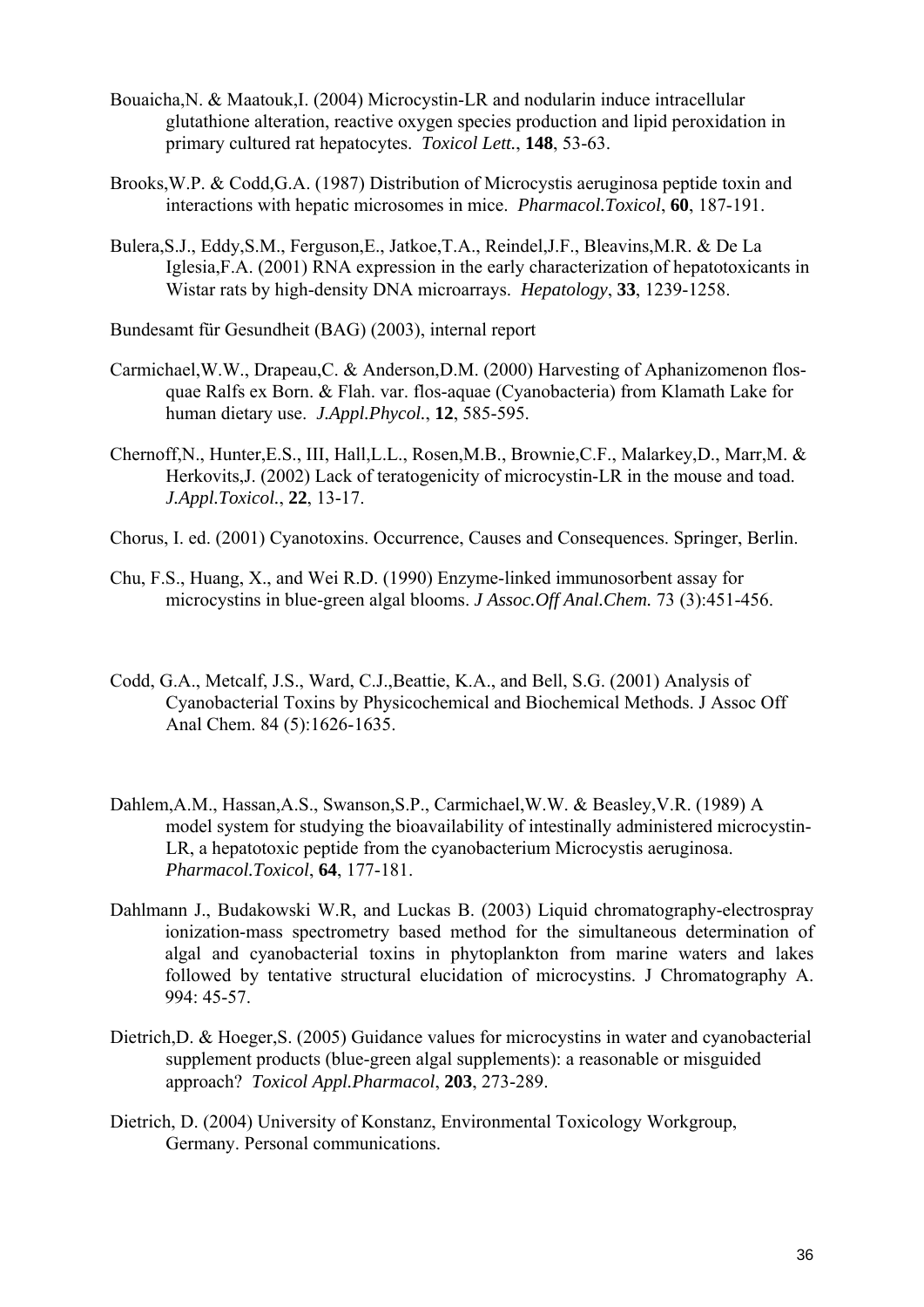- Bouaicha,N. & Maatouk,I. (2004) Microcystin-LR and nodularin induce intracellular glutathione alteration, reactive oxygen species production and lipid peroxidation in primary cultured rat hepatocytes. *Toxicol Lett.*, **148**, 53-63.
- Brooks,W.P. & Codd,G.A. (1987) Distribution of Microcystis aeruginosa peptide toxin and interactions with hepatic microsomes in mice. *Pharmacol.Toxicol*, **60**, 187-191.
- Bulera,S.J., Eddy,S.M., Ferguson,E., Jatkoe,T.A., Reindel,J.F., Bleavins,M.R. & De La Iglesia,F.A. (2001) RNA expression in the early characterization of hepatotoxicants in Wistar rats by high-density DNA microarrays. *Hepatology*, **33**, 1239-1258.
- Bundesamt für Gesundheit (BAG) (2003), internal report
- Carmichael,W.W., Drapeau,C. & Anderson,D.M. (2000) Harvesting of Aphanizomenon flosquae Ralfs ex Born. & Flah. var. flos-aquae (Cyanobacteria) from Klamath Lake for human dietary use. *J.Appl.Phycol.*, **12**, 585-595.
- Chernoff,N., Hunter,E.S., III, Hall,L.L., Rosen,M.B., Brownie,C.F., Malarkey,D., Marr,M. & Herkovits,J. (2002) Lack of teratogenicity of microcystin-LR in the mouse and toad. *J.Appl.Toxicol.*, **22**, 13-17.
- Chorus, I. ed. (2001) Cyanotoxins. Occurrence, Causes and Consequences. Springer, Berlin.
- Chu, F.S., Huang, X., and Wei R.D. (1990) Enzyme-linked immunosorbent assay for microcystins in blue-green algal blooms. *J Assoc.Off Anal.Chem.* 73 (3):451-456.
- Codd, G.A., Metcalf, J.S., Ward, C.J.,Beattie, K.A., and Bell, S.G. (2001) Analysis of Cyanobacterial Toxins by Physicochemical and Biochemical Methods. J Assoc Off Anal Chem. 84 (5):1626-1635.
- Dahlem,A.M., Hassan,A.S., Swanson,S.P., Carmichael,W.W. & Beasley,V.R. (1989) A model system for studying the bioavailability of intestinally administered microcystin-LR, a hepatotoxic peptide from the cyanobacterium Microcystis aeruginosa. *Pharmacol.Toxicol*, **64**, 177-181.
- Dahlmann J., Budakowski W.R, and Luckas B. (2003) Liquid chromatography-electrospray ionization-mass spectrometry based method for the simultaneous determination of algal and cyanobacterial toxins in phytoplankton from marine waters and lakes followed by tentative structural elucidation of microcystins. J Chromatography A. 994: 45-57.
- Dietrich, D. & Hoeger, S. (2005) Guidance values for microcystins in water and cyanobacterial supplement products (blue-green algal supplements): a reasonable or misguided approach? *Toxicol Appl.Pharmacol*, **203**, 273-289.
- Dietrich, D. (2004) University of Konstanz, Environmental Toxicology Workgroup, Germany. Personal communications.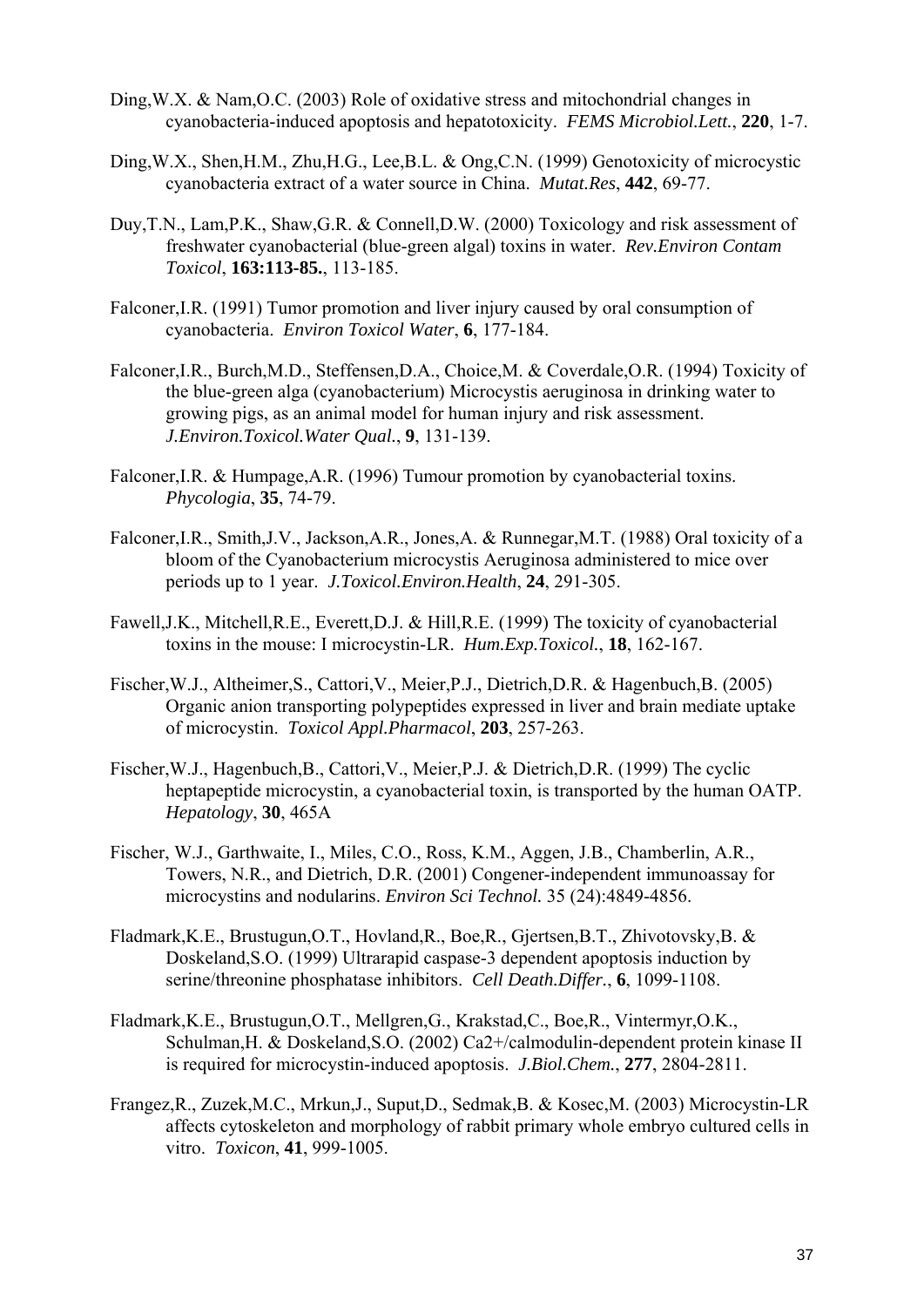- Ding,W.X. & Nam,O.C. (2003) Role of oxidative stress and mitochondrial changes in cyanobacteria-induced apoptosis and hepatotoxicity. *FEMS Microbiol.Lett.*, **220**, 1-7.
- Ding,W.X., Shen,H.M., Zhu,H.G., Lee,B.L. & Ong,C.N. (1999) Genotoxicity of microcystic cyanobacteria extract of a water source in China. *Mutat.Res*, **442**, 69-77.
- Duy,T.N., Lam,P.K., Shaw,G.R. & Connell,D.W. (2000) Toxicology and risk assessment of freshwater cyanobacterial (blue-green algal) toxins in water. *Rev.Environ Contam Toxicol*, **163:113-85.**, 113-185.
- Falconer,I.R. (1991) Tumor promotion and liver injury caused by oral consumption of cyanobacteria. *Environ Toxicol Water*, **6**, 177-184.
- Falconer,I.R., Burch,M.D., Steffensen,D.A., Choice,M. & Coverdale,O.R. (1994) Toxicity of the blue-green alga (cyanobacterium) Microcystis aeruginosa in drinking water to growing pigs, as an animal model for human injury and risk assessment. *J.Environ.Toxicol.Water Qual.*, **9**, 131-139.
- Falconer,I.R. & Humpage,A.R. (1996) Tumour promotion by cyanobacterial toxins. *Phycologia*, **35**, 74-79.
- Falconer,I.R., Smith,J.V., Jackson,A.R., Jones,A. & Runnegar,M.T. (1988) Oral toxicity of a bloom of the Cyanobacterium microcystis Aeruginosa administered to mice over periods up to 1 year. *J.Toxicol.Environ.Health*, **24**, 291-305.
- Fawell,J.K., Mitchell,R.E., Everett,D.J. & Hill,R.E. (1999) The toxicity of cyanobacterial toxins in the mouse: I microcystin-LR. *Hum.Exp.Toxicol.*, **18**, 162-167.
- Fischer,W.J., Altheimer,S., Cattori,V., Meier,P.J., Dietrich,D.R. & Hagenbuch,B. (2005) Organic anion transporting polypeptides expressed in liver and brain mediate uptake of microcystin. *Toxicol Appl.Pharmacol*, **203**, 257-263.
- Fischer,W.J., Hagenbuch,B., Cattori,V., Meier,P.J. & Dietrich,D.R. (1999) The cyclic heptapeptide microcystin, a cyanobacterial toxin, is transported by the human OATP. *Hepatology*, **30**, 465A
- Fischer, W.J., Garthwaite, I., Miles, C.O., Ross, K.M., Aggen, J.B., Chamberlin, A.R., Towers, N.R., and Dietrich, D.R. (2001) Congener-independent immunoassay for microcystins and nodularins. *Environ Sci Technol.* 35 (24):4849-4856.
- Fladmark,K.E., Brustugun,O.T., Hovland,R., Boe,R., Gjertsen,B.T., Zhivotovsky,B. & Doskeland,S.O. (1999) Ultrarapid caspase-3 dependent apoptosis induction by serine/threonine phosphatase inhibitors. *Cell Death.Differ.*, **6**, 1099-1108.
- Fladmark,K.E., Brustugun,O.T., Mellgren,G., Krakstad,C., Boe,R., Vintermyr,O.K., Schulman,H. & Doskeland,S.O. (2002) Ca2+/calmodulin-dependent protein kinase II is required for microcystin-induced apoptosis. *J.Biol.Chem.*, **277**, 2804-2811.
- Frangez,R., Zuzek,M.C., Mrkun,J., Suput,D., Sedmak,B. & Kosec,M. (2003) Microcystin-LR affects cytoskeleton and morphology of rabbit primary whole embryo cultured cells in vitro. *Toxicon*, **41**, 999-1005.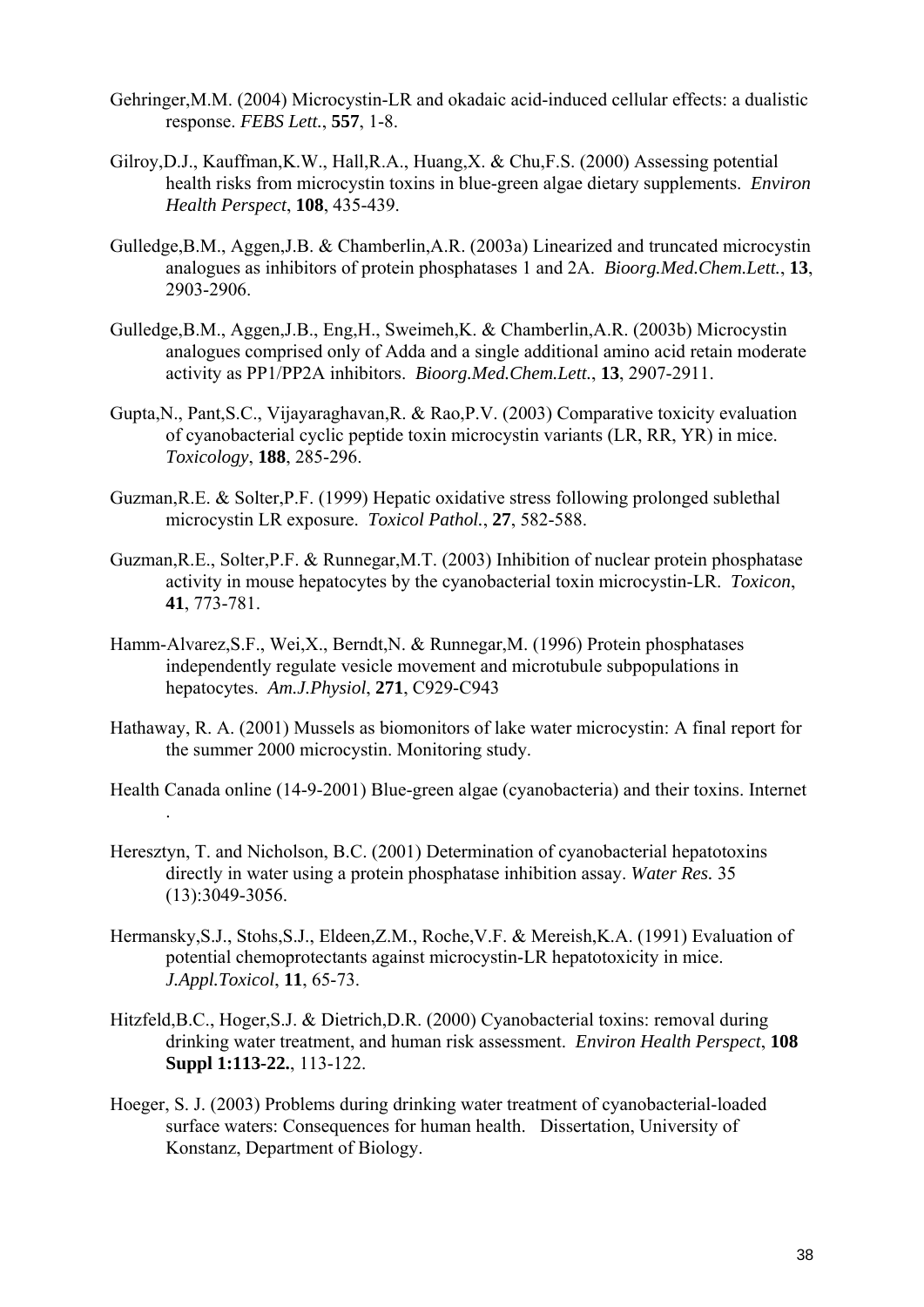- Gehringer,M.M. (2004) Microcystin-LR and okadaic acid-induced cellular effects: a dualistic response. *FEBS Lett.*, **557**, 1-8.
- Gilroy,D.J., Kauffman,K.W., Hall,R.A., Huang,X. & Chu,F.S. (2000) Assessing potential health risks from microcystin toxins in blue-green algae dietary supplements. *Environ Health Perspect*, **108**, 435-439.
- Gulledge,B.M., Aggen,J.B. & Chamberlin,A.R. (2003a) Linearized and truncated microcystin analogues as inhibitors of protein phosphatases 1 and 2A. *Bioorg.Med.Chem.Lett.*, **13**, 2903-2906.
- Gulledge,B.M., Aggen,J.B., Eng,H., Sweimeh,K. & Chamberlin,A.R. (2003b) Microcystin analogues comprised only of Adda and a single additional amino acid retain moderate activity as PP1/PP2A inhibitors. *Bioorg.Med.Chem.Lett.*, **13**, 2907-2911.
- Gupta,N., Pant,S.C., Vijayaraghavan,R. & Rao,P.V. (2003) Comparative toxicity evaluation of cyanobacterial cyclic peptide toxin microcystin variants (LR, RR, YR) in mice. *Toxicology*, **188**, 285-296.
- Guzman,R.E. & Solter,P.F. (1999) Hepatic oxidative stress following prolonged sublethal microcystin LR exposure. *Toxicol Pathol.*, **27**, 582-588.
- Guzman,R.E., Solter,P.F. & Runnegar,M.T. (2003) Inhibition of nuclear protein phosphatase activity in mouse hepatocytes by the cyanobacterial toxin microcystin-LR. *Toxicon*, **41**, 773-781.
- Hamm-Alvarez,S.F., Wei,X., Berndt,N. & Runnegar,M. (1996) Protein phosphatases independently regulate vesicle movement and microtubule subpopulations in hepatocytes. *Am.J.Physiol*, **271**, C929-C943
- Hathaway, R. A. (2001) Mussels as biomonitors of lake water microcystin: A final report for the summer 2000 microcystin. Monitoring study.
- Health Canada online (14-9-2001) Blue-green algae (cyanobacteria) and their toxins. Internet
- Heresztyn, T. and Nicholson, B.C. (2001) Determination of cyanobacterial hepatotoxins directly in water using a protein phosphatase inhibition assay. *Water Res.* 35 (13):3049-3056.

.

- Hermansky,S.J., Stohs,S.J., Eldeen,Z.M., Roche,V.F. & Mereish,K.A. (1991) Evaluation of potential chemoprotectants against microcystin-LR hepatotoxicity in mice. *J.Appl.Toxicol*, **11**, 65-73.
- Hitzfeld,B.C., Hoger,S.J. & Dietrich,D.R. (2000) Cyanobacterial toxins: removal during drinking water treatment, and human risk assessment. *Environ Health Perspect*, **108 Suppl 1:113-22.**, 113-122.
- Hoeger, S. J. (2003) Problems during drinking water treatment of cyanobacterial-loaded surface waters: Consequences for human health. Dissertation, University of Konstanz, Department of Biology.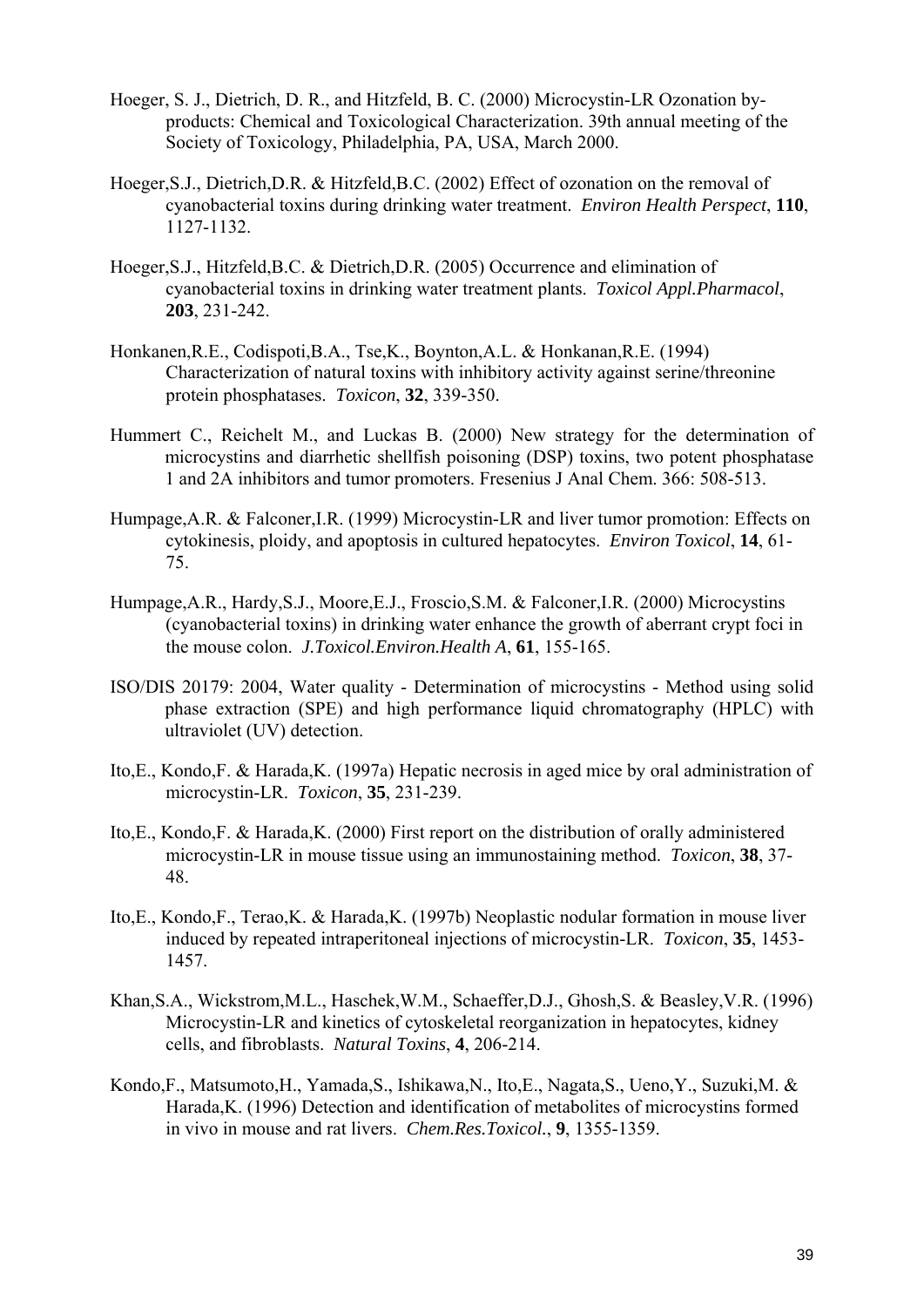- Hoeger, S. J., Dietrich, D. R., and Hitzfeld, B. C. (2000) Microcystin-LR Ozonation byproducts: Chemical and Toxicological Characterization. 39th annual meeting of the Society of Toxicology, Philadelphia, PA, USA, March 2000.
- Hoeger,S.J., Dietrich,D.R. & Hitzfeld,B.C. (2002) Effect of ozonation on the removal of cyanobacterial toxins during drinking water treatment. *Environ Health Perspect*, **110**, 1127-1132.
- Hoeger,S.J., Hitzfeld,B.C. & Dietrich,D.R. (2005) Occurrence and elimination of cyanobacterial toxins in drinking water treatment plants. *Toxicol Appl.Pharmacol*, **203**, 231-242.
- Honkanen,R.E., Codispoti,B.A., Tse,K., Boynton,A.L. & Honkanan,R.E. (1994) Characterization of natural toxins with inhibitory activity against serine/threonine protein phosphatases. *Toxicon*, **32**, 339-350.
- Hummert C., Reichelt M., and Luckas B. (2000) New strategy for the determination of microcystins and diarrhetic shellfish poisoning (DSP) toxins, two potent phosphatase 1 and 2A inhibitors and tumor promoters. Fresenius J Anal Chem. 366: 508-513.
- Humpage,A.R. & Falconer,I.R. (1999) Microcystin-LR and liver tumor promotion: Effects on cytokinesis, ploidy, and apoptosis in cultured hepatocytes. *Environ Toxicol*, **14**, 61- 75.
- Humpage,A.R., Hardy,S.J., Moore,E.J., Froscio,S.M. & Falconer,I.R. (2000) Microcystins (cyanobacterial toxins) in drinking water enhance the growth of aberrant crypt foci in the mouse colon. *J.Toxicol.Environ.Health A*, **61**, 155-165.
- ISO/DIS 20179: 2004, Water quality Determination of microcystins Method using solid phase extraction (SPE) and high performance liquid chromatography (HPLC) with ultraviolet (UV) detection.
- Ito,E., Kondo,F. & Harada,K. (1997a) Hepatic necrosis in aged mice by oral administration of microcystin-LR. *Toxicon*, **35**, 231-239.
- Ito,E., Kondo,F. & Harada,K. (2000) First report on the distribution of orally administered microcystin-LR in mouse tissue using an immunostaining method. *Toxicon*, **38**, 37- 48.
- Ito,E., Kondo,F., Terao,K. & Harada,K. (1997b) Neoplastic nodular formation in mouse liver induced by repeated intraperitoneal injections of microcystin-LR. *Toxicon*, **35**, 1453- 1457.
- Khan,S.A., Wickstrom,M.L., Haschek,W.M., Schaeffer,D.J., Ghosh,S. & Beasley,V.R. (1996) Microcystin-LR and kinetics of cytoskeletal reorganization in hepatocytes, kidney cells, and fibroblasts. *Natural Toxins*, **4**, 206-214.
- Kondo,F., Matsumoto,H., Yamada,S., Ishikawa,N., Ito,E., Nagata,S., Ueno,Y., Suzuki,M. & Harada,K. (1996) Detection and identification of metabolites of microcystins formed in vivo in mouse and rat livers. *Chem.Res.Toxicol.*, **9**, 1355-1359.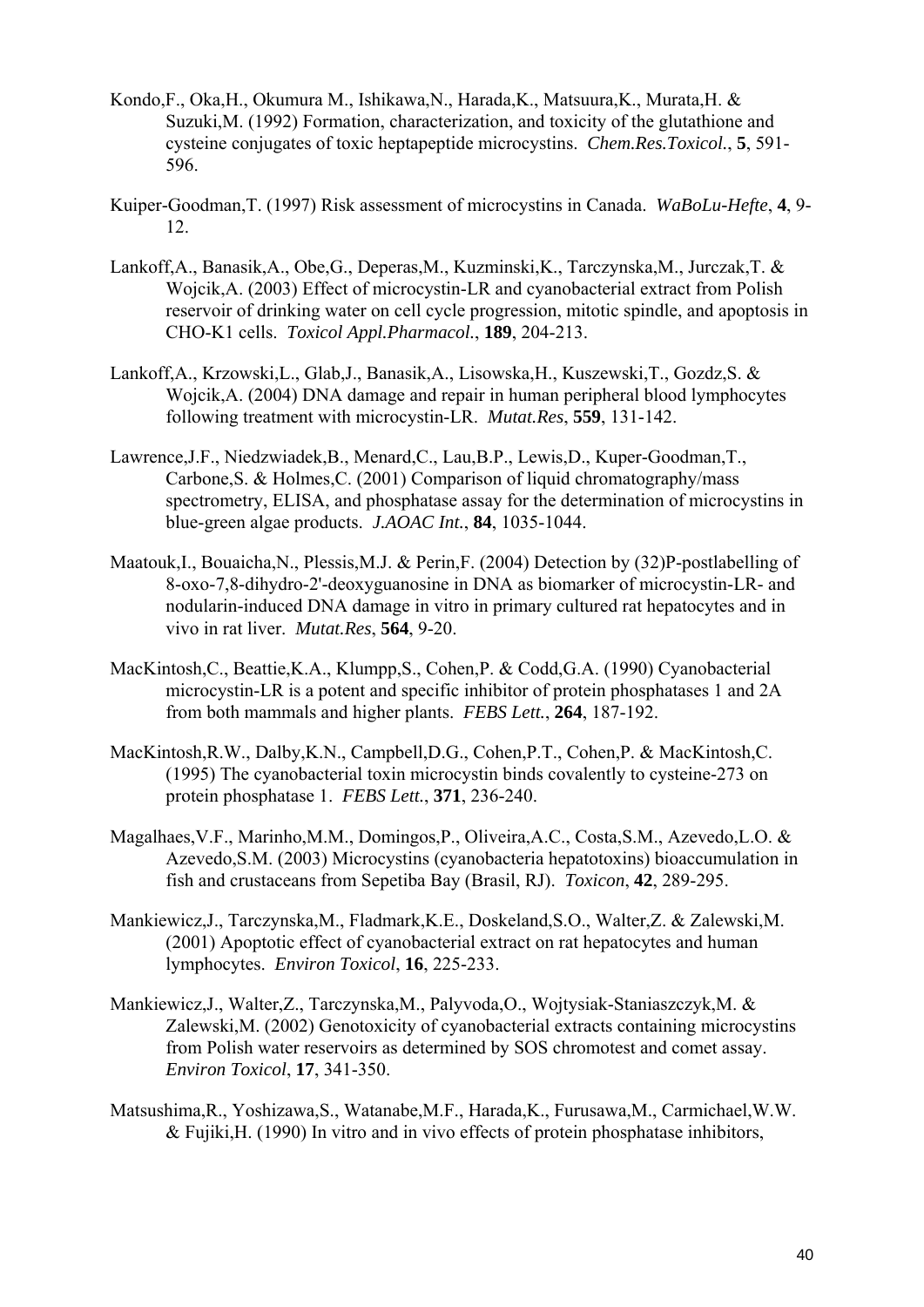- Kondo,F., Oka,H., Okumura M., Ishikawa,N., Harada,K., Matsuura,K., Murata,H. & Suzuki,M. (1992) Formation, characterization, and toxicity of the glutathione and cysteine conjugates of toxic heptapeptide microcystins. *Chem.Res.Toxicol.*, **5**, 591- 596.
- Kuiper-Goodman,T. (1997) Risk assessment of microcystins in Canada. *WaBoLu-Hefte*, **4**, 9- 12.
- Lankoff,A., Banasik,A., Obe,G., Deperas,M., Kuzminski,K., Tarczynska,M., Jurczak,T. & Wojcik,A. (2003) Effect of microcystin-LR and cyanobacterial extract from Polish reservoir of drinking water on cell cycle progression, mitotic spindle, and apoptosis in CHO-K1 cells. *Toxicol Appl.Pharmacol.*, **189**, 204-213.
- Lankoff,A., Krzowski,L., Glab,J., Banasik,A., Lisowska,H., Kuszewski,T., Gozdz,S. & Wojcik,A. (2004) DNA damage and repair in human peripheral blood lymphocytes following treatment with microcystin-LR. *Mutat.Res*, **559**, 131-142.
- Lawrence,J.F., Niedzwiadek,B., Menard,C., Lau,B.P., Lewis,D., Kuper-Goodman,T., Carbone,S. & Holmes,C. (2001) Comparison of liquid chromatography/mass spectrometry, ELISA, and phosphatase assay for the determination of microcystins in blue-green algae products. *J.AOAC Int.*, **84**, 1035-1044.
- Maatouk,I., Bouaicha,N., Plessis,M.J. & Perin,F. (2004) Detection by (32)P-postlabelling of 8-oxo-7,8-dihydro-2'-deoxyguanosine in DNA as biomarker of microcystin-LR- and nodularin-induced DNA damage in vitro in primary cultured rat hepatocytes and in vivo in rat liver. *Mutat.Res*, **564**, 9-20.
- MacKintosh,C., Beattie,K.A., Klumpp,S., Cohen,P. & Codd,G.A. (1990) Cyanobacterial microcystin-LR is a potent and specific inhibitor of protein phosphatases 1 and 2A from both mammals and higher plants. *FEBS Lett.*, **264**, 187-192.
- MacKintosh,R.W., Dalby,K.N., Campbell,D.G., Cohen,P.T., Cohen,P. & MacKintosh,C. (1995) The cyanobacterial toxin microcystin binds covalently to cysteine-273 on protein phosphatase 1. *FEBS Lett.*, **371**, 236-240.
- Magalhaes,V.F., Marinho,M.M., Domingos,P., Oliveira,A.C., Costa,S.M., Azevedo,L.O. & Azevedo,S.M. (2003) Microcystins (cyanobacteria hepatotoxins) bioaccumulation in fish and crustaceans from Sepetiba Bay (Brasil, RJ). *Toxicon*, **42**, 289-295.
- Mankiewicz,J., Tarczynska,M., Fladmark,K.E., Doskeland,S.O., Walter,Z. & Zalewski,M. (2001) Apoptotic effect of cyanobacterial extract on rat hepatocytes and human lymphocytes. *Environ Toxicol*, **16**, 225-233.
- Mankiewicz,J., Walter,Z., Tarczynska,M., Palyvoda,O., Wojtysiak-Staniaszczyk,M. & Zalewski,M. (2002) Genotoxicity of cyanobacterial extracts containing microcystins from Polish water reservoirs as determined by SOS chromotest and comet assay. *Environ Toxicol*, **17**, 341-350.
- Matsushima,R., Yoshizawa,S., Watanabe,M.F., Harada,K., Furusawa,M., Carmichael,W.W. & Fujiki,H. (1990) In vitro and in vivo effects of protein phosphatase inhibitors,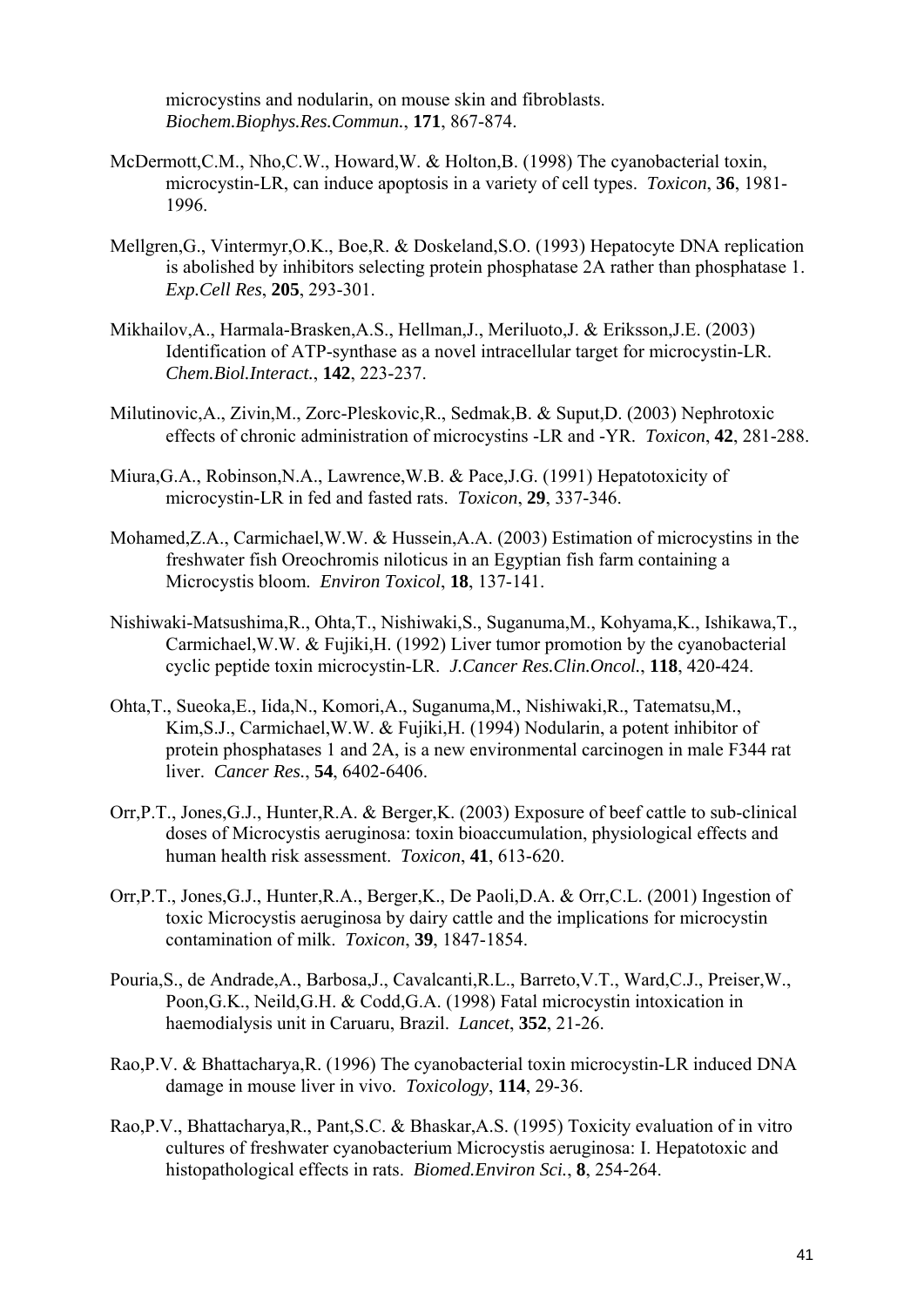microcystins and nodularin, on mouse skin and fibroblasts. *Biochem.Biophys.Res.Commun.*, **171**, 867-874.

- McDermott,C.M., Nho,C.W., Howard,W. & Holton,B. (1998) The cyanobacterial toxin, microcystin-LR, can induce apoptosis in a variety of cell types. *Toxicon*, **36**, 1981- 1996.
- Mellgren,G., Vintermyr,O.K., Boe,R. & Doskeland,S.O. (1993) Hepatocyte DNA replication is abolished by inhibitors selecting protein phosphatase 2A rather than phosphatase 1. *Exp.Cell Res*, **205**, 293-301.
- Mikhailov,A., Harmala-Brasken,A.S., Hellman,J., Meriluoto,J. & Eriksson,J.E. (2003) Identification of ATP-synthase as a novel intracellular target for microcystin-LR. *Chem.Biol.Interact.*, **142**, 223-237.
- Milutinovic,A., Zivin,M., Zorc-Pleskovic,R., Sedmak,B. & Suput,D. (2003) Nephrotoxic effects of chronic administration of microcystins -LR and -YR. *Toxicon*, **42**, 281-288.
- Miura,G.A., Robinson,N.A., Lawrence,W.B. & Pace,J.G. (1991) Hepatotoxicity of microcystin-LR in fed and fasted rats. *Toxicon*, **29**, 337-346.
- Mohamed,Z.A., Carmichael,W.W. & Hussein,A.A. (2003) Estimation of microcystins in the freshwater fish Oreochromis niloticus in an Egyptian fish farm containing a Microcystis bloom. *Environ Toxicol*, **18**, 137-141.
- Nishiwaki-Matsushima,R., Ohta,T., Nishiwaki,S., Suganuma,M., Kohyama,K., Ishikawa,T., Carmichael,W.W. & Fujiki,H. (1992) Liver tumor promotion by the cyanobacterial cyclic peptide toxin microcystin-LR. *J.Cancer Res.Clin.Oncol.*, **118**, 420-424.
- Ohta,T., Sueoka,E., Iida,N., Komori,A., Suganuma,M., Nishiwaki,R., Tatematsu,M., Kim,S.J., Carmichael,W.W. & Fujiki,H. (1994) Nodularin, a potent inhibitor of protein phosphatases 1 and 2A, is a new environmental carcinogen in male F344 rat liver. *Cancer Res.*, **54**, 6402-6406.
- Orr,P.T., Jones,G.J., Hunter,R.A. & Berger,K. (2003) Exposure of beef cattle to sub-clinical doses of Microcystis aeruginosa: toxin bioaccumulation, physiological effects and human health risk assessment. *Toxicon*, **41**, 613-620.
- Orr,P.T., Jones,G.J., Hunter,R.A., Berger,K., De Paoli,D.A. & Orr,C.L. (2001) Ingestion of toxic Microcystis aeruginosa by dairy cattle and the implications for microcystin contamination of milk. *Toxicon*, **39**, 1847-1854.
- Pouria,S., de Andrade,A., Barbosa,J., Cavalcanti,R.L., Barreto,V.T., Ward,C.J., Preiser,W., Poon,G.K., Neild,G.H. & Codd,G.A. (1998) Fatal microcystin intoxication in haemodialysis unit in Caruaru, Brazil. *Lancet*, **352**, 21-26.
- Rao,P.V. & Bhattacharya,R. (1996) The cyanobacterial toxin microcystin-LR induced DNA damage in mouse liver in vivo. *Toxicology*, **114**, 29-36.
- Rao,P.V., Bhattacharya,R., Pant,S.C. & Bhaskar,A.S. (1995) Toxicity evaluation of in vitro cultures of freshwater cyanobacterium Microcystis aeruginosa: I. Hepatotoxic and histopathological effects in rats. *Biomed.Environ Sci.*, **8**, 254-264.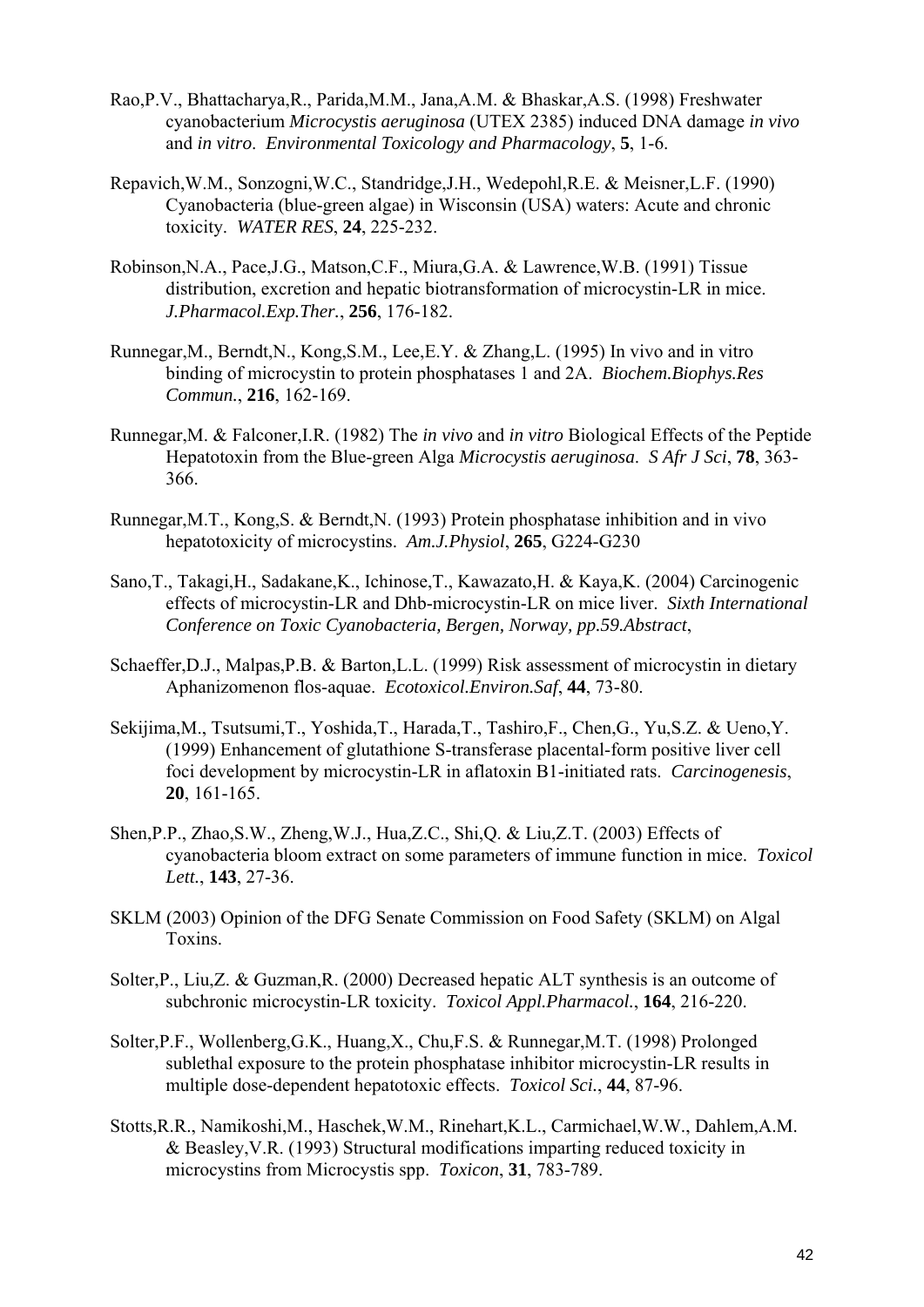- Rao,P.V., Bhattacharya,R., Parida,M.M., Jana,A.M. & Bhaskar,A.S. (1998) Freshwater cyanobacterium *Microcystis aeruginosa* (UTEX 2385) induced DNA damage *in vivo* and *in vitro*. *Environmental Toxicology and Pharmacology*, **5**, 1-6.
- Repavich,W.M., Sonzogni,W.C., Standridge,J.H., Wedepohl,R.E. & Meisner,L.F. (1990) Cyanobacteria (blue-green algae) in Wisconsin (USA) waters: Acute and chronic toxicity. *WATER RES*, **24**, 225-232.
- Robinson,N.A., Pace,J.G., Matson,C.F., Miura,G.A. & Lawrence,W.B. (1991) Tissue distribution, excretion and hepatic biotransformation of microcystin-LR in mice. *J.Pharmacol.Exp.Ther.*, **256**, 176-182.
- Runnegar,M., Berndt,N., Kong,S.M., Lee,E.Y. & Zhang,L. (1995) In vivo and in vitro binding of microcystin to protein phosphatases 1 and 2A. *Biochem.Biophys.Res Commun.*, **216**, 162-169.
- Runnegar,M. & Falconer,I.R. (1982) The *in vivo* and *in vitro* Biological Effects of the Peptide Hepatotoxin from the Blue-green Alga *Microcystis aeruginosa*. *S Afr J Sci*, **78**, 363- 366.
- Runnegar,M.T., Kong,S. & Berndt,N. (1993) Protein phosphatase inhibition and in vivo hepatotoxicity of microcystins. *Am.J.Physiol*, **265**, G224-G230
- Sano,T., Takagi,H., Sadakane,K., Ichinose,T., Kawazato,H. & Kaya,K. (2004) Carcinogenic effects of microcystin-LR and Dhb-microcystin-LR on mice liver. *Sixth International Conference on Toxic Cyanobacteria, Bergen, Norway, pp.59.Abstract*,
- Schaeffer,D.J., Malpas,P.B. & Barton,L.L. (1999) Risk assessment of microcystin in dietary Aphanizomenon flos-aquae. *Ecotoxicol.Environ.Saf*, **44**, 73-80.
- Sekijima,M., Tsutsumi,T., Yoshida,T., Harada,T., Tashiro,F., Chen,G., Yu,S.Z. & Ueno,Y. (1999) Enhancement of glutathione S-transferase placental-form positive liver cell foci development by microcystin-LR in aflatoxin B1-initiated rats. *Carcinogenesis*, **20**, 161-165.
- Shen,P.P., Zhao,S.W., Zheng,W.J., Hua,Z.C., Shi,Q. & Liu,Z.T. (2003) Effects of cyanobacteria bloom extract on some parameters of immune function in mice. *Toxicol Lett.*, **143**, 27-36.
- SKLM (2003) Opinion of the DFG Senate Commission on Food Safety (SKLM) on Algal Toxins.
- Solter,P., Liu,Z. & Guzman,R. (2000) Decreased hepatic ALT synthesis is an outcome of subchronic microcystin-LR toxicity. *Toxicol Appl.Pharmacol.*, **164**, 216-220.
- Solter,P.F., Wollenberg,G.K., Huang,X., Chu,F.S. & Runnegar,M.T. (1998) Prolonged sublethal exposure to the protein phosphatase inhibitor microcystin-LR results in multiple dose-dependent hepatotoxic effects. *Toxicol Sci.*, **44**, 87-96.
- Stotts,R.R., Namikoshi,M., Haschek,W.M., Rinehart,K.L., Carmichael,W.W., Dahlem,A.M. & Beasley,V.R. (1993) Structural modifications imparting reduced toxicity in microcystins from Microcystis spp. *Toxicon*, **31**, 783-789.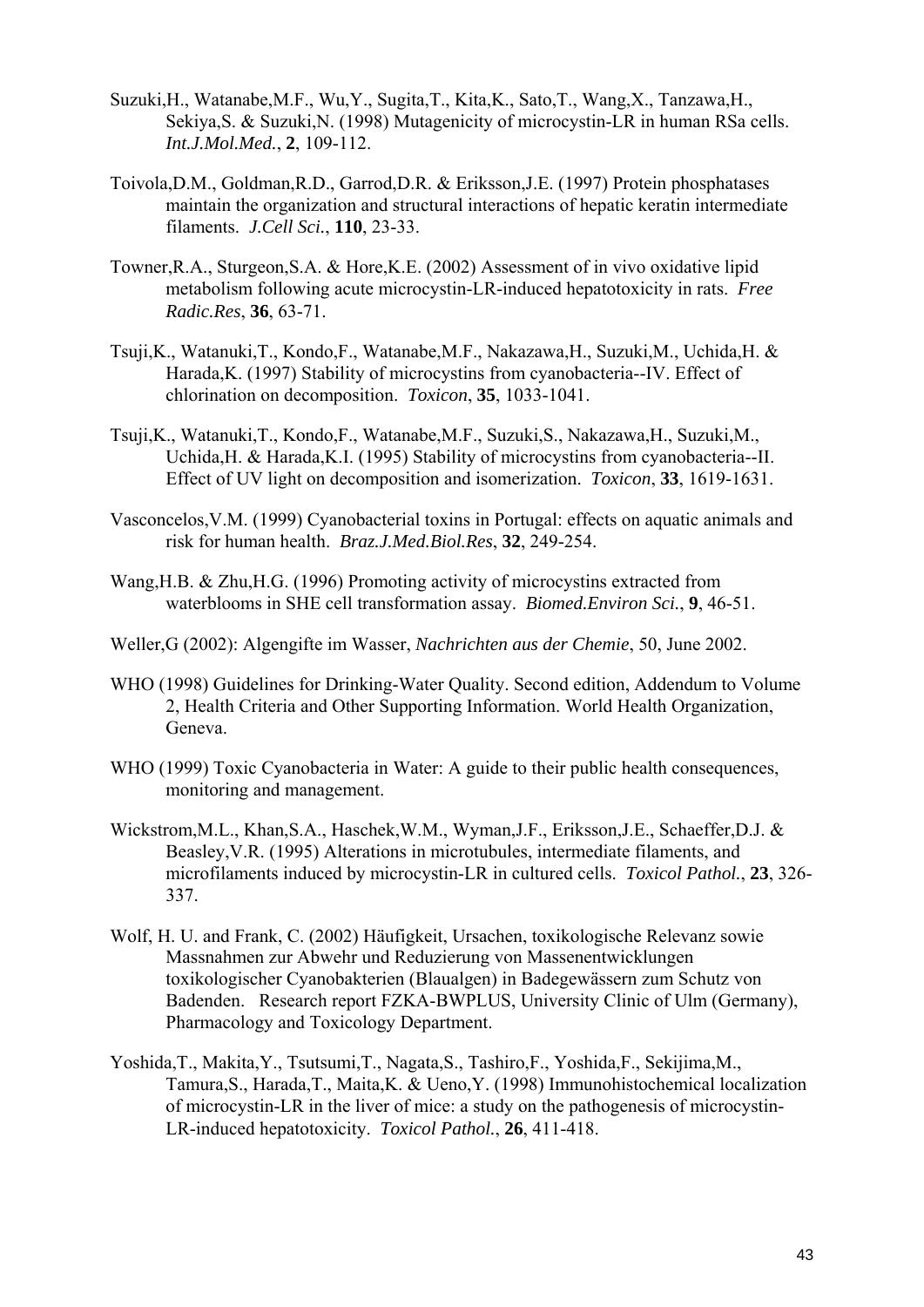- Suzuki,H., Watanabe,M.F., Wu,Y., Sugita,T., Kita,K., Sato,T., Wang,X., Tanzawa,H., Sekiya,S. & Suzuki,N. (1998) Mutagenicity of microcystin-LR in human RSa cells. *Int.J.Mol.Med.*, **2**, 109-112.
- Toivola,D.M., Goldman,R.D., Garrod,D.R. & Eriksson,J.E. (1997) Protein phosphatases maintain the organization and structural interactions of hepatic keratin intermediate filaments. *J.Cell Sci.*, **110**, 23-33.
- Towner,R.A., Sturgeon,S.A. & Hore,K.E. (2002) Assessment of in vivo oxidative lipid metabolism following acute microcystin-LR-induced hepatotoxicity in rats. *Free Radic.Res*, **36**, 63-71.
- Tsuji,K., Watanuki,T., Kondo,F., Watanabe,M.F., Nakazawa,H., Suzuki,M., Uchida,H. & Harada,K. (1997) Stability of microcystins from cyanobacteria--IV. Effect of chlorination on decomposition. *Toxicon*, **35**, 1033-1041.
- Tsuji,K., Watanuki,T., Kondo,F., Watanabe,M.F., Suzuki,S., Nakazawa,H., Suzuki,M., Uchida,H. & Harada,K.I. (1995) Stability of microcystins from cyanobacteria--II. Effect of UV light on decomposition and isomerization. *Toxicon*, **33**, 1619-1631.
- Vasconcelos,V.M. (1999) Cyanobacterial toxins in Portugal: effects on aquatic animals and risk for human health. *Braz.J.Med.Biol.Res*, **32**, 249-254.
- Wang,H.B. & Zhu,H.G. (1996) Promoting activity of microcystins extracted from waterblooms in SHE cell transformation assay. *Biomed.Environ Sci.*, **9**, 46-51.
- Weller,G (2002): Algengifte im Wasser, *Nachrichten aus der Chemie*, 50, June 2002.
- WHO (1998) Guidelines for Drinking-Water Quality. Second edition, Addendum to Volume 2, Health Criteria and Other Supporting Information. World Health Organization, Geneva.
- WHO (1999) Toxic Cyanobacteria in Water: A guide to their public health consequences, monitoring and management.
- Wickstrom,M.L., Khan,S.A., Haschek,W.M., Wyman,J.F., Eriksson,J.E., Schaeffer,D.J. & Beasley,V.R. (1995) Alterations in microtubules, intermediate filaments, and microfilaments induced by microcystin-LR in cultured cells. *Toxicol Pathol.*, **23**, 326- 337.
- Wolf, H. U. and Frank, C. (2002) Häufigkeit, Ursachen, toxikologische Relevanz sowie Massnahmen zur Abwehr und Reduzierung von Massenentwicklungen toxikologischer Cyanobakterien (Blaualgen) in Badegewässern zum Schutz von Badenden. Research report FZKA-BWPLUS, University Clinic of Ulm (Germany), Pharmacology and Toxicology Department.
- Yoshida,T., Makita,Y., Tsutsumi,T., Nagata,S., Tashiro,F., Yoshida,F., Sekijima,M., Tamura,S., Harada,T., Maita,K. & Ueno,Y. (1998) Immunohistochemical localization of microcystin-LR in the liver of mice: a study on the pathogenesis of microcystin-LR-induced hepatotoxicity. *Toxicol Pathol.*, **26**, 411-418.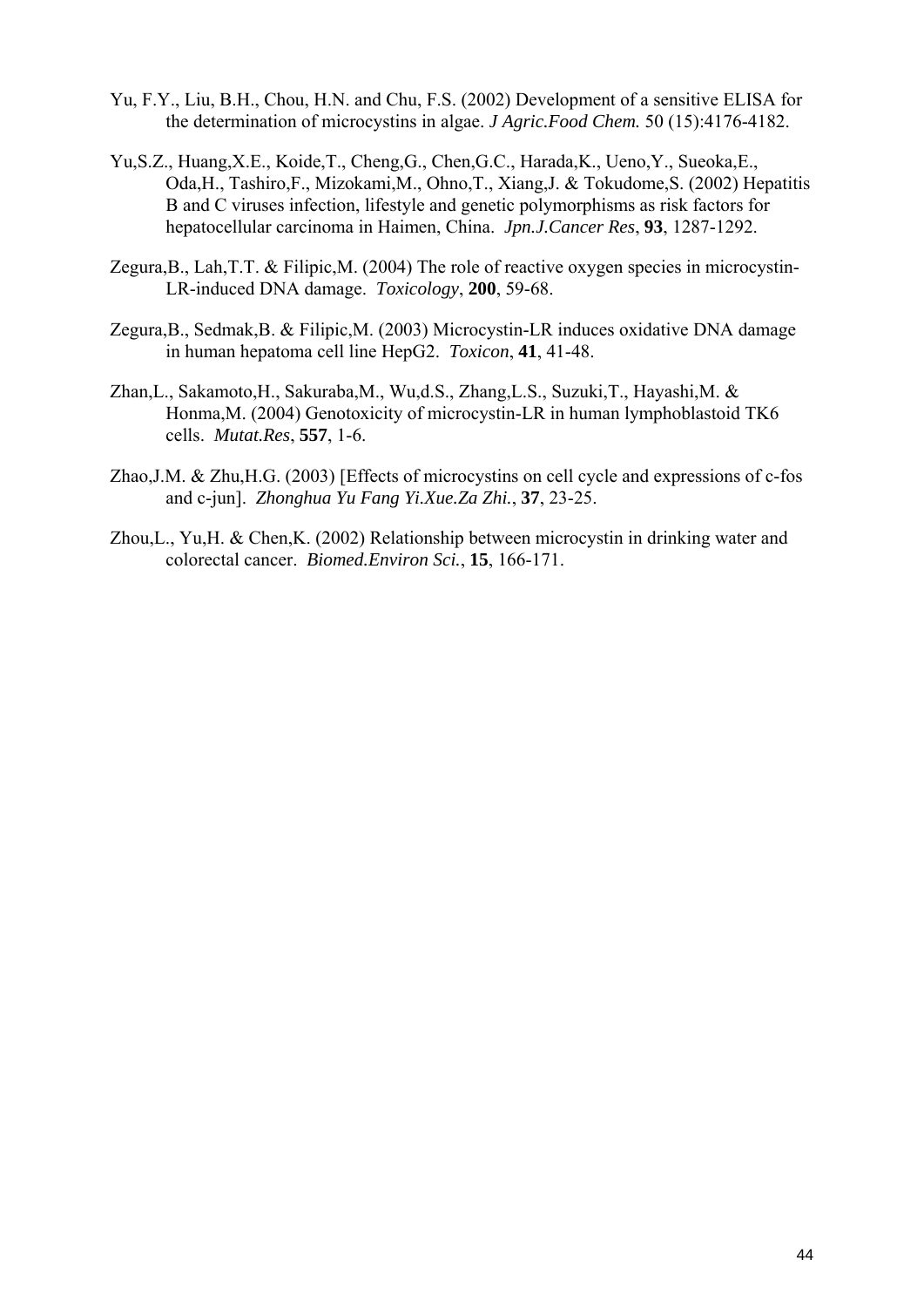- Yu, F.Y., Liu, B.H., Chou, H.N. and Chu, F.S. (2002) Development of a sensitive ELISA for the determination of microcystins in algae. *J Agric.Food Chem.* 50 (15):4176-4182.
- Yu,S.Z., Huang,X.E., Koide,T., Cheng,G., Chen,G.C., Harada,K., Ueno,Y., Sueoka,E., Oda,H., Tashiro,F., Mizokami,M., Ohno,T., Xiang,J. & Tokudome,S. (2002) Hepatitis B and C viruses infection, lifestyle and genetic polymorphisms as risk factors for hepatocellular carcinoma in Haimen, China. *Jpn.J.Cancer Res*, **93**, 1287-1292.
- Zegura,B., Lah,T.T. & Filipic,M. (2004) The role of reactive oxygen species in microcystin-LR-induced DNA damage. *Toxicology*, **200**, 59-68.
- Zegura,B., Sedmak,B. & Filipic,M. (2003) Microcystin-LR induces oxidative DNA damage in human hepatoma cell line HepG2. *Toxicon*, **41**, 41-48.
- Zhan,L., Sakamoto,H., Sakuraba,M., Wu,d.S., Zhang,L.S., Suzuki,T., Hayashi,M. & Honma,M. (2004) Genotoxicity of microcystin-LR in human lymphoblastoid TK6 cells. *Mutat.Res*, **557**, 1-6.
- Zhao,J.M. & Zhu,H.G. (2003) [Effects of microcystins on cell cycle and expressions of c-fos and c-jun]. *Zhonghua Yu Fang Yi.Xue.Za Zhi.*, **37**, 23-25.
- Zhou,L., Yu,H. & Chen,K. (2002) Relationship between microcystin in drinking water and colorectal cancer. *Biomed.Environ Sci.*, **15**, 166-171.